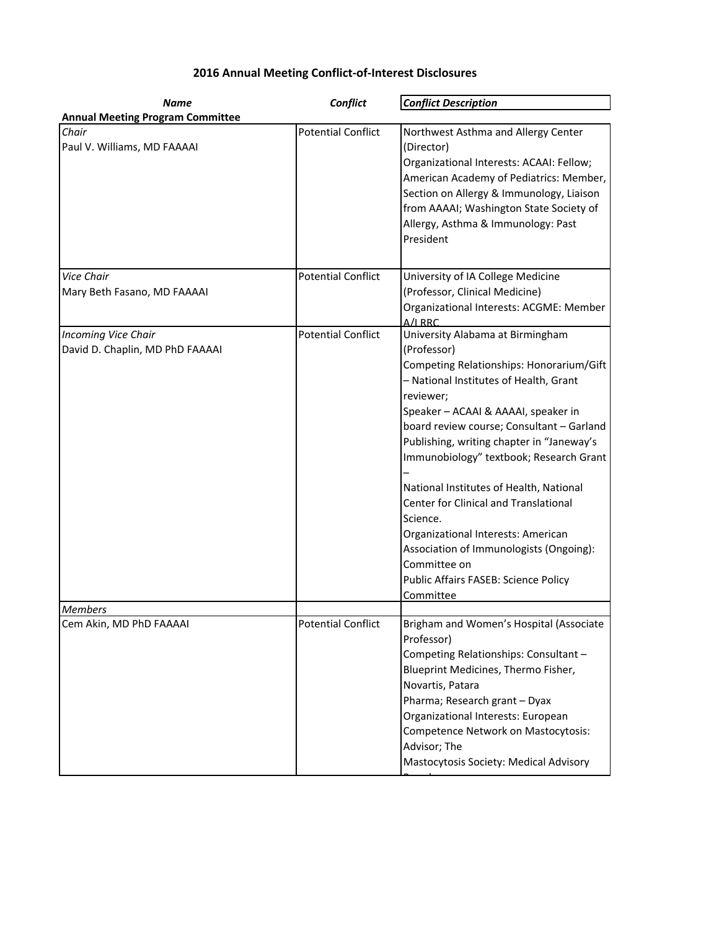## **2016 Annual Meeting Conflict-of-Interest Disclosures**

| <b>Name</b>                             | Conflict                  | <b>Conflict Description</b>                                                                                                                                                                                                                                                                                                       |
|-----------------------------------------|---------------------------|-----------------------------------------------------------------------------------------------------------------------------------------------------------------------------------------------------------------------------------------------------------------------------------------------------------------------------------|
| <b>Annual Meeting Program Committee</b> |                           |                                                                                                                                                                                                                                                                                                                                   |
| Chair<br>Paul V. Williams, MD FAAAAI    | <b>Potential Conflict</b> | Northwest Asthma and Allergy Center<br>(Director)<br>Organizational Interests: ACAAI: Fellow;<br>American Academy of Pediatrics: Member,<br>Section on Allergy & Immunology, Liaison<br>from AAAAI; Washington State Society of<br>Allergy, Asthma & Immunology: Past<br>President                                                |
| Vice Chair                              | <b>Potential Conflict</b> | University of IA College Medicine                                                                                                                                                                                                                                                                                                 |
| Mary Beth Fasano, MD FAAAAI             |                           | (Professor, Clinical Medicine)<br>Organizational Interests: ACGME: Member<br>A/I RRC                                                                                                                                                                                                                                              |
| <b>Incoming Vice Chair</b>              | <b>Potential Conflict</b> | University Alabama at Birmingham                                                                                                                                                                                                                                                                                                  |
| David D. Chaplin, MD PhD FAAAAI         |                           | (Professor)                                                                                                                                                                                                                                                                                                                       |
|                                         |                           | Competing Relationships: Honorarium/Gift<br>- National Institutes of Health, Grant<br>reviewer;                                                                                                                                                                                                                                   |
|                                         |                           | Speaker - ACAAI & AAAAI, speaker in                                                                                                                                                                                                                                                                                               |
|                                         |                           | board review course; Consultant - Garland                                                                                                                                                                                                                                                                                         |
|                                         |                           | Publishing, writing chapter in "Janeway's<br>Immunobiology" textbook; Research Grant                                                                                                                                                                                                                                              |
|                                         |                           | National Institutes of Health, National<br>Center for Clinical and Translational<br>Science.<br>Organizational Interests: American<br>Association of Immunologists (Ongoing):<br>Committee on<br>Public Affairs FASEB: Science Policy<br>Committee                                                                                |
| <b>Members</b>                          |                           |                                                                                                                                                                                                                                                                                                                                   |
| Cem Akin, MD PhD FAAAAI                 | Potential Conflict        | Brigham and Women's Hospital (Associate<br>Professor)<br>Competing Relationships: Consultant -<br>Blueprint Medicines, Thermo Fisher,<br>Novartis, Patara<br>Pharma; Research grant - Dyax<br>Organizational Interests: European<br>Competence Network on Mastocytosis:<br>Advisor; The<br>Mastocytosis Society: Medical Advisory |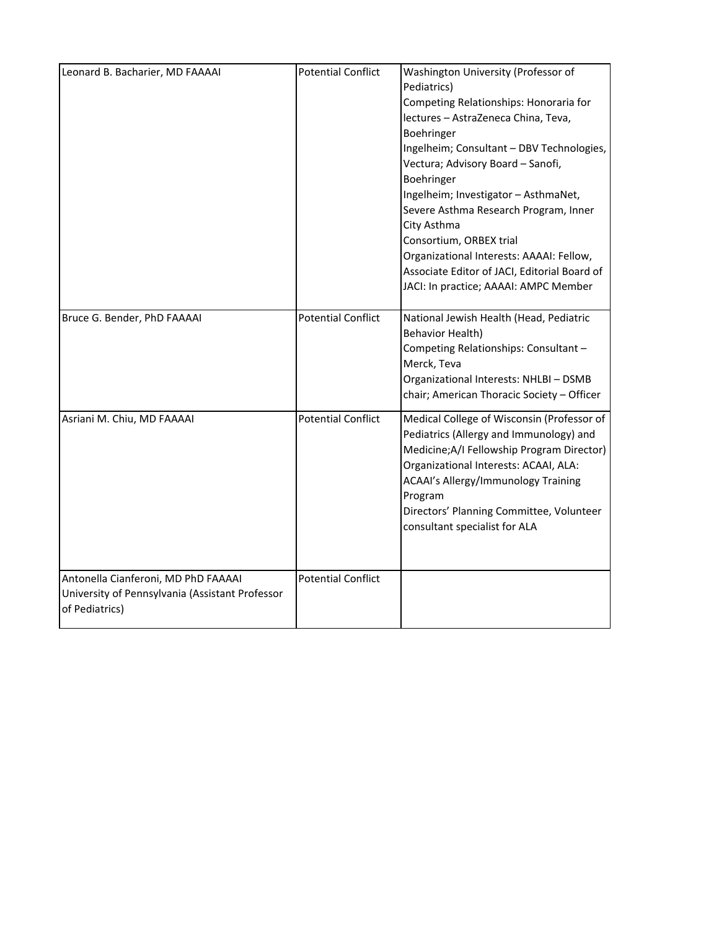| Leonard B. Bacharier, MD FAAAAI                                                                          | <b>Potential Conflict</b> | Washington University (Professor of<br>Pediatrics)<br>Competing Relationships: Honoraria for<br>lectures - AstraZeneca China, Teva,<br>Boehringer<br>Ingelheim; Consultant - DBV Technologies,<br>Vectura; Advisory Board - Sanofi,<br>Boehringer<br>Ingelheim; Investigator - AsthmaNet,<br>Severe Asthma Research Program, Inner<br>City Asthma<br>Consortium, ORBEX trial<br>Organizational Interests: AAAAI: Fellow,<br>Associate Editor of JACI, Editorial Board of<br>JACI: In practice; AAAAI: AMPC Member |
|----------------------------------------------------------------------------------------------------------|---------------------------|-------------------------------------------------------------------------------------------------------------------------------------------------------------------------------------------------------------------------------------------------------------------------------------------------------------------------------------------------------------------------------------------------------------------------------------------------------------------------------------------------------------------|
| Bruce G. Bender, PhD FAAAAI                                                                              | <b>Potential Conflict</b> | National Jewish Health (Head, Pediatric<br>Behavior Health)<br>Competing Relationships: Consultant -<br>Merck, Teva<br>Organizational Interests: NHLBI - DSMB<br>chair; American Thoracic Society - Officer                                                                                                                                                                                                                                                                                                       |
| Asriani M. Chiu, MD FAAAAI                                                                               | <b>Potential Conflict</b> | Medical College of Wisconsin (Professor of<br>Pediatrics (Allergy and Immunology) and<br>Medicine; A/I Fellowship Program Director)<br>Organizational Interests: ACAAI, ALA:<br>ACAAI's Allergy/Immunology Training<br>Program<br>Directors' Planning Committee, Volunteer<br>consultant specialist for ALA                                                                                                                                                                                                       |
| Antonella Cianferoni, MD PhD FAAAAI<br>University of Pennsylvania (Assistant Professor<br>of Pediatrics) | <b>Potential Conflict</b> |                                                                                                                                                                                                                                                                                                                                                                                                                                                                                                                   |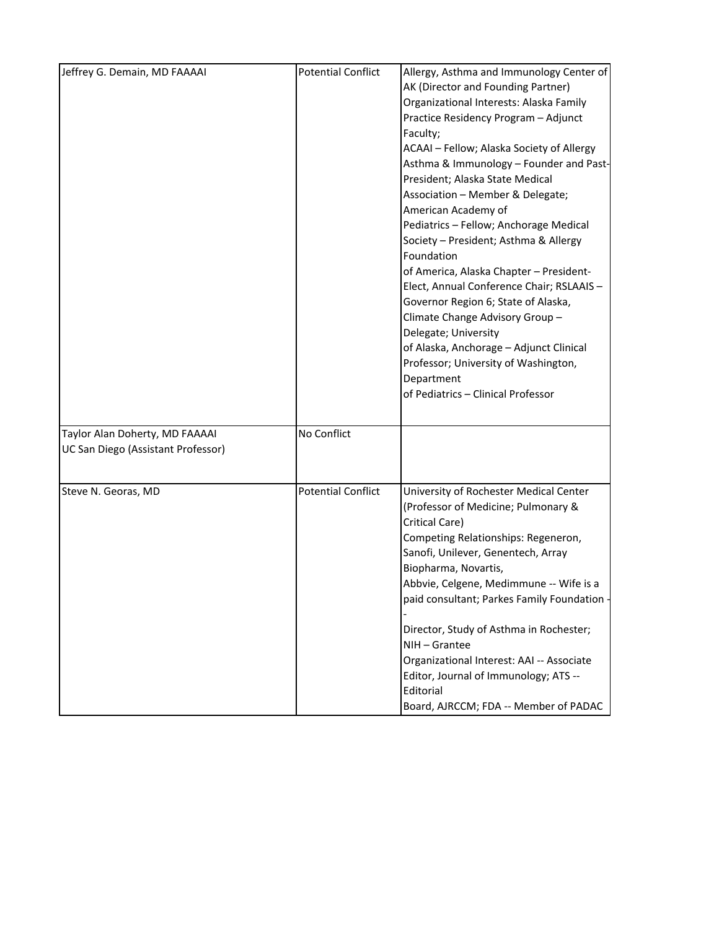| Jeffrey G. Demain, MD FAAAAI                                         | <b>Potential Conflict</b> | Allergy, Asthma and Immunology Center of<br>AK (Director and Founding Partner)<br>Organizational Interests: Alaska Family<br>Practice Residency Program - Adjunct<br>Faculty;<br>ACAAI - Fellow; Alaska Society of Allergy<br>Asthma & Immunology - Founder and Past-<br>President; Alaska State Medical<br>Association - Member & Delegate;<br>American Academy of<br>Pediatrics - Fellow; Anchorage Medical<br>Society - President; Asthma & Allergy<br>Foundation<br>of America, Alaska Chapter - President-<br>Elect, Annual Conference Chair; RSLAAIS -<br>Governor Region 6; State of Alaska,<br>Climate Change Advisory Group-<br>Delegate; University<br>of Alaska, Anchorage - Adjunct Clinical<br>Professor; University of Washington,<br>Department<br>of Pediatrics - Clinical Professor |
|----------------------------------------------------------------------|---------------------------|------------------------------------------------------------------------------------------------------------------------------------------------------------------------------------------------------------------------------------------------------------------------------------------------------------------------------------------------------------------------------------------------------------------------------------------------------------------------------------------------------------------------------------------------------------------------------------------------------------------------------------------------------------------------------------------------------------------------------------------------------------------------------------------------------|
| Taylor Alan Doherty, MD FAAAAI<br>UC San Diego (Assistant Professor) | No Conflict               |                                                                                                                                                                                                                                                                                                                                                                                                                                                                                                                                                                                                                                                                                                                                                                                                      |
| Steve N. Georas, MD                                                  | <b>Potential Conflict</b> | University of Rochester Medical Center<br>(Professor of Medicine; Pulmonary &<br>Critical Care)<br>Competing Relationships: Regeneron,<br>Sanofi, Unilever, Genentech, Array<br>Biopharma, Novartis,<br>Abbvie, Celgene, Medimmune -- Wife is a<br>paid consultant; Parkes Family Foundation<br>Director, Study of Asthma in Rochester;<br>NIH-Grantee<br>Organizational Interest: AAI -- Associate<br>Editor, Journal of Immunology; ATS --<br>Editorial<br>Board, AJRCCM; FDA -- Member of PADAC                                                                                                                                                                                                                                                                                                   |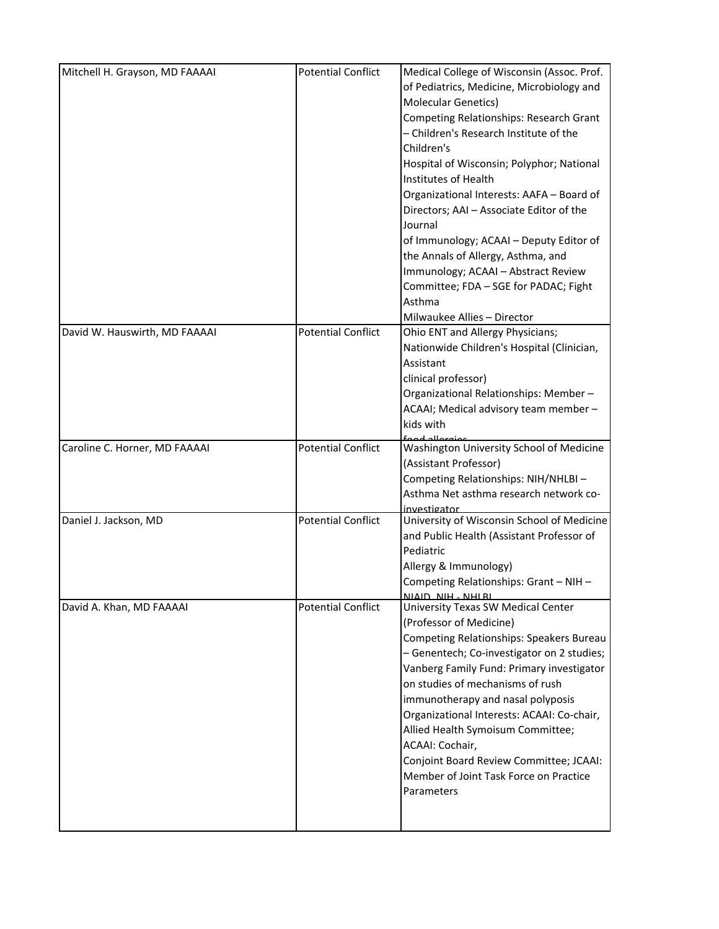| Mitchell H. Grayson, MD FAAAAI | <b>Potential Conflict</b> | Medical College of Wisconsin (Assoc. Prof.<br>of Pediatrics, Medicine, Microbiology and<br><b>Molecular Genetics)</b><br>Competing Relationships: Research Grant<br>- Children's Research Institute of the<br>Children's<br>Hospital of Wisconsin; Polyphor; National<br>Institutes of Health<br>Organizational Interests: AAFA - Board of<br>Directors; AAI - Associate Editor of the<br>Journal<br>of Immunology; ACAAI - Deputy Editor of<br>the Annals of Allergy, Asthma, and<br>Immunology; ACAAI - Abstract Review<br>Committee; FDA - SGE for PADAC; Fight<br>Asthma<br>Milwaukee Allies - Director |
|--------------------------------|---------------------------|-------------------------------------------------------------------------------------------------------------------------------------------------------------------------------------------------------------------------------------------------------------------------------------------------------------------------------------------------------------------------------------------------------------------------------------------------------------------------------------------------------------------------------------------------------------------------------------------------------------|
| David W. Hauswirth, MD FAAAAI  | <b>Potential Conflict</b> | Ohio ENT and Allergy Physicians;<br>Nationwide Children's Hospital (Clinician,<br>Assistant<br>clinical professor)<br>Organizational Relationships: Member-<br>ACAAI; Medical advisory team member -<br>kids with                                                                                                                                                                                                                                                                                                                                                                                           |
| Caroline C. Horner, MD FAAAAI  | <b>Potential Conflict</b> | Washington University School of Medicine<br>(Assistant Professor)<br>Competing Relationships: NIH/NHLBI-<br>Asthma Net asthma research network co-<br>investigator                                                                                                                                                                                                                                                                                                                                                                                                                                          |
| Daniel J. Jackson, MD          | <b>Potential Conflict</b> | University of Wisconsin School of Medicine<br>and Public Health (Assistant Professor of<br>Pediatric<br>Allergy & Immunology)<br>Competing Relationships: Grant - NIH -<br>NIAID NIH - NHI RI                                                                                                                                                                                                                                                                                                                                                                                                               |
| David A. Khan, MD FAAAAI       | <b>Potential Conflict</b> | University Texas SW Medical Center<br>(Professor of Medicine)<br>Competing Relationships: Speakers Bureau<br>- Genentech; Co-investigator on 2 studies;<br>Vanberg Family Fund: Primary investigator<br>on studies of mechanisms of rush<br>immunotherapy and nasal polyposis<br>Organizational Interests: ACAAI: Co-chair,<br>Allied Health Symoisum Committee;<br>ACAAI: Cochair,<br>Conjoint Board Review Committee; JCAAI:<br>Member of Joint Task Force on Practice<br>Parameters                                                                                                                      |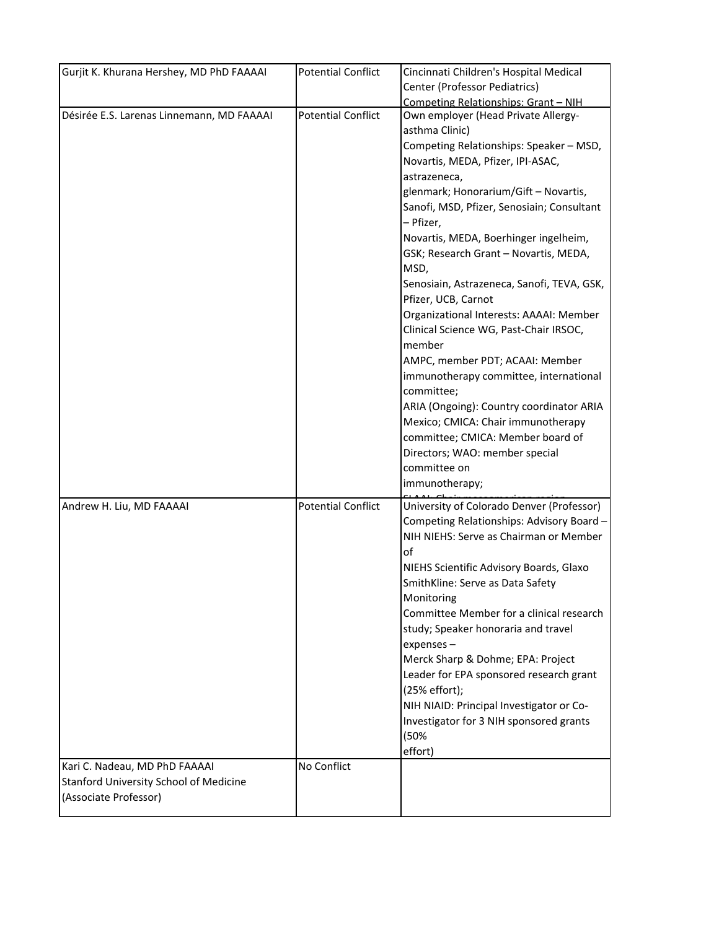| Gurjit K. Khurana Hershey, MD PhD FAAAAI                                                         | <b>Potential Conflict</b> | Cincinnati Children's Hospital Medical                                                                                                                                                                                                                                                                                                                                                                                                                                                                                                                                                                      |
|--------------------------------------------------------------------------------------------------|---------------------------|-------------------------------------------------------------------------------------------------------------------------------------------------------------------------------------------------------------------------------------------------------------------------------------------------------------------------------------------------------------------------------------------------------------------------------------------------------------------------------------------------------------------------------------------------------------------------------------------------------------|
|                                                                                                  |                           | Center (Professor Pediatrics)                                                                                                                                                                                                                                                                                                                                                                                                                                                                                                                                                                               |
|                                                                                                  |                           |                                                                                                                                                                                                                                                                                                                                                                                                                                                                                                                                                                                                             |
| Désirée E.S. Larenas Linnemann, MD FAAAAI                                                        | <b>Potential Conflict</b> | Competing Relationships: Grant - NIH<br>Own employer (Head Private Allergy-<br>asthma Clinic)<br>Competing Relationships: Speaker - MSD,<br>Novartis, MEDA, Pfizer, IPI-ASAC,<br>astrazeneca,<br>glenmark; Honorarium/Gift - Novartis,                                                                                                                                                                                                                                                                                                                                                                      |
|                                                                                                  |                           | Sanofi, MSD, Pfizer, Senosiain; Consultant<br>- Pfizer,<br>Novartis, MEDA, Boerhinger ingelheim,<br>GSK; Research Grant - Novartis, MEDA,<br>MSD,<br>Senosiain, Astrazeneca, Sanofi, TEVA, GSK,<br>Pfizer, UCB, Carnot<br>Organizational Interests: AAAAI: Member<br>Clinical Science WG, Past-Chair IRSOC,<br>member<br>AMPC, member PDT; ACAAI: Member<br>immunotherapy committee, international<br>committee;<br>ARIA (Ongoing): Country coordinator ARIA<br>Mexico; CMICA: Chair immunotherapy<br>committee; CMICA: Member board of<br>Directors; WAO: member special<br>committee on<br>immunotherapy; |
| Andrew H. Liu, MD FAAAAI                                                                         | <b>Potential Conflict</b> | University of Colorado Denver (Professor)<br>Competing Relationships: Advisory Board -<br>NIH NIEHS: Serve as Chairman or Member<br>οf<br>NIEHS Scientific Advisory Boards, Glaxo<br>SmithKline: Serve as Data Safety<br>Monitoring<br>Committee Member for a clinical research<br>study; Speaker honoraria and travel<br>expenses-<br>Merck Sharp & Dohme; EPA: Project<br>Leader for EPA sponsored research grant<br>(25% effort);<br>NIH NIAID: Principal Investigator or Co-<br>Investigator for 3 NIH sponsored grants<br>(50%<br>effort)                                                              |
| Kari C. Nadeau, MD PhD FAAAAI<br>Stanford University School of Medicine<br>(Associate Professor) | No Conflict               |                                                                                                                                                                                                                                                                                                                                                                                                                                                                                                                                                                                                             |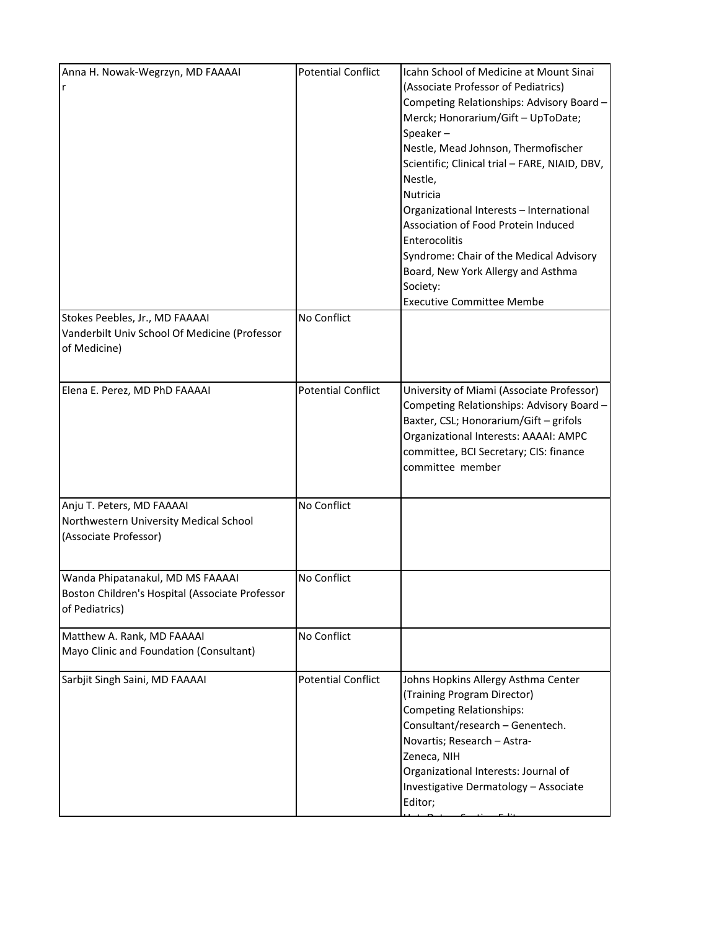| Anna H. Nowak-Wegrzyn, MD FAAAAI<br>r                                                                 | <b>Potential Conflict</b> | Icahn School of Medicine at Mount Sinai<br>(Associate Professor of Pediatrics)<br>Competing Relationships: Advisory Board -<br>Merck; Honorarium/Gift - UpToDate;<br>Speaker-<br>Nestle, Mead Johnson, Thermofischer<br>Scientific; Clinical trial - FARE, NIAID, DBV,<br>Nestle,<br><b>Nutricia</b><br>Organizational Interests - International<br>Association of Food Protein Induced<br>Enterocolitis<br>Syndrome: Chair of the Medical Advisory<br>Board, New York Allergy and Asthma<br>Society:<br><b>Executive Committee Membe</b> |
|-------------------------------------------------------------------------------------------------------|---------------------------|-------------------------------------------------------------------------------------------------------------------------------------------------------------------------------------------------------------------------------------------------------------------------------------------------------------------------------------------------------------------------------------------------------------------------------------------------------------------------------------------------------------------------------------------|
| Stokes Peebles, Jr., MD FAAAAI<br>Vanderbilt Univ School Of Medicine (Professor<br>of Medicine)       | No Conflict               |                                                                                                                                                                                                                                                                                                                                                                                                                                                                                                                                           |
| Elena E. Perez, MD PhD FAAAAI                                                                         | <b>Potential Conflict</b> | University of Miami (Associate Professor)<br>Competing Relationships: Advisory Board -<br>Baxter, CSL; Honorarium/Gift - grifols<br>Organizational Interests: AAAAI: AMPC<br>committee, BCI Secretary; CIS: finance<br>committee member                                                                                                                                                                                                                                                                                                   |
| Anju T. Peters, MD FAAAAI<br>Northwestern University Medical School<br>(Associate Professor)          | No Conflict               |                                                                                                                                                                                                                                                                                                                                                                                                                                                                                                                                           |
| Wanda Phipatanakul, MD MS FAAAAI<br>Boston Children's Hospital (Associate Professor<br>of Pediatrics) | No Conflict               |                                                                                                                                                                                                                                                                                                                                                                                                                                                                                                                                           |
| Matthew A. Rank, MD FAAAAI<br>Mayo Clinic and Foundation (Consultant)                                 | No Conflict               |                                                                                                                                                                                                                                                                                                                                                                                                                                                                                                                                           |
| Sarbjit Singh Saini, MD FAAAAI                                                                        | <b>Potential Conflict</b> | Johns Hopkins Allergy Asthma Center<br>(Training Program Director)<br><b>Competing Relationships:</b><br>Consultant/research - Genentech.<br>Novartis; Research - Astra-<br>Zeneca, NIH<br>Organizational Interests: Journal of<br>Investigative Dermatology - Associate<br>Editor;                                                                                                                                                                                                                                                       |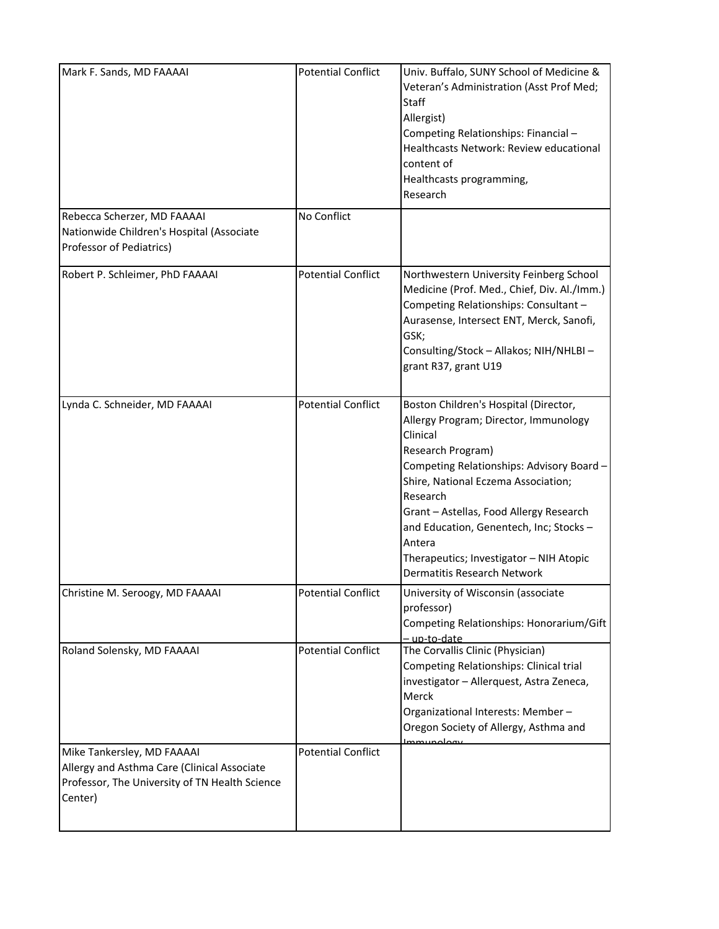| Mark F. Sands, MD FAAAAI                                                                                                               | <b>Potential Conflict</b> | Univ. Buffalo, SUNY School of Medicine &<br>Veteran's Administration (Asst Prof Med;<br>Staff<br>Allergist)<br>Competing Relationships: Financial -<br>Healthcasts Network: Review educational<br>content of<br>Healthcasts programming,<br>Research                                                                                                                                     |
|----------------------------------------------------------------------------------------------------------------------------------------|---------------------------|------------------------------------------------------------------------------------------------------------------------------------------------------------------------------------------------------------------------------------------------------------------------------------------------------------------------------------------------------------------------------------------|
| Rebecca Scherzer, MD FAAAAI<br>Nationwide Children's Hospital (Associate<br>Professor of Pediatrics)                                   | No Conflict               |                                                                                                                                                                                                                                                                                                                                                                                          |
| Robert P. Schleimer, PhD FAAAAI                                                                                                        | <b>Potential Conflict</b> | Northwestern University Feinberg School<br>Medicine (Prof. Med., Chief, Div. Al./Imm.)<br>Competing Relationships: Consultant -<br>Aurasense, Intersect ENT, Merck, Sanofi,<br>GSK;<br>Consulting/Stock - Allakos; NIH/NHLBI -<br>grant R37, grant U19                                                                                                                                   |
| Lynda C. Schneider, MD FAAAAI                                                                                                          | <b>Potential Conflict</b> | Boston Children's Hospital (Director,<br>Allergy Program; Director, Immunology<br>Clinical<br>Research Program)<br>Competing Relationships: Advisory Board -<br>Shire, National Eczema Association;<br>Research<br>Grant - Astellas, Food Allergy Research<br>and Education, Genentech, Inc; Stocks-<br>Antera<br>Therapeutics; Investigator - NIH Atopic<br>Dermatitis Research Network |
| Christine M. Seroogy, MD FAAAAI                                                                                                        | <b>Potential Conflict</b> | University of Wisconsin (associate<br>professor)<br>Competing Relationships: Honorarium/Gift<br>- up-to-date                                                                                                                                                                                                                                                                             |
| Roland Solensky, MD FAAAAI                                                                                                             | <b>Potential Conflict</b> | The Corvallis Clinic (Physician)<br>Competing Relationships: Clinical trial<br>investigator - Allerquest, Astra Zeneca,<br>Merck<br>Organizational Interests: Member-<br>Oregon Society of Allergy, Asthma and<br>بمملوميسسها                                                                                                                                                            |
| Mike Tankersley, MD FAAAAI<br>Allergy and Asthma Care (Clinical Associate<br>Professor, The University of TN Health Science<br>Center) | <b>Potential Conflict</b> |                                                                                                                                                                                                                                                                                                                                                                                          |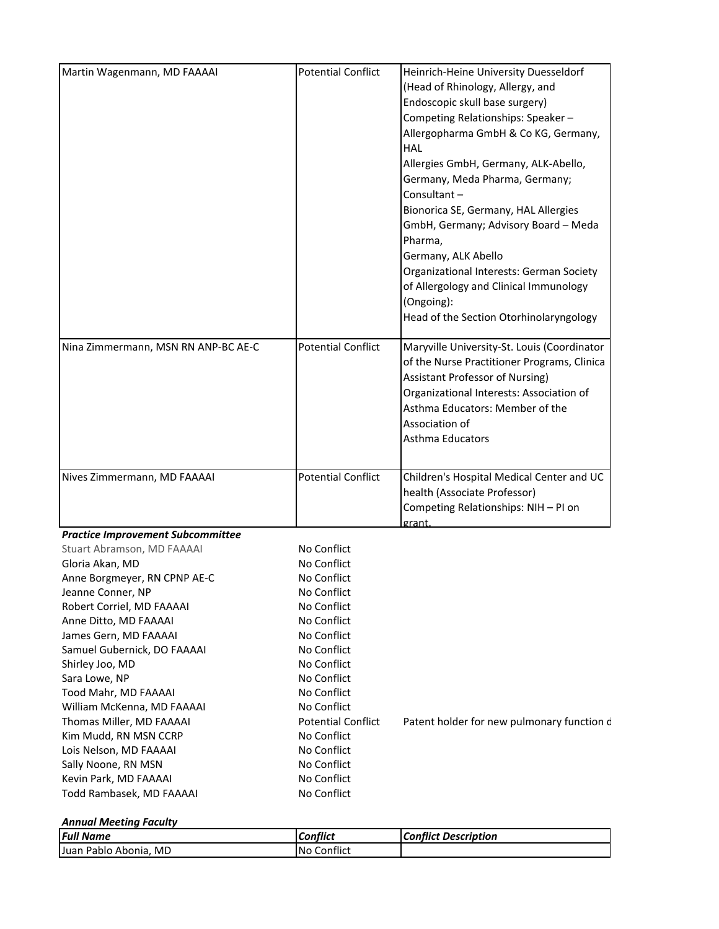| Martin Wagenmann, MD FAAAAI              | <b>Potential Conflict</b> | Heinrich-Heine University Duesseldorf       |
|------------------------------------------|---------------------------|---------------------------------------------|
|                                          |                           | (Head of Rhinology, Allergy, and            |
|                                          |                           | Endoscopic skull base surgery)              |
|                                          |                           | Competing Relationships: Speaker-           |
|                                          |                           | Allergopharma GmbH & Co KG, Germany,        |
|                                          |                           | HAL                                         |
|                                          |                           | Allergies GmbH, Germany, ALK-Abello,        |
|                                          |                           | Germany, Meda Pharma, Germany;              |
|                                          |                           | Consultant-                                 |
|                                          |                           | Bionorica SE, Germany, HAL Allergies        |
|                                          |                           | GmbH, Germany; Advisory Board - Meda        |
|                                          |                           | Pharma,                                     |
|                                          |                           | Germany, ALK Abello                         |
|                                          |                           |                                             |
|                                          |                           | Organizational Interests: German Society    |
|                                          |                           | of Allergology and Clinical Immunology      |
|                                          |                           | (Ongoing):                                  |
|                                          |                           | Head of the Section Otorhinolaryngology     |
| Nina Zimmermann, MSN RN ANP-BC AE-C      | <b>Potential Conflict</b> | Maryville University-St. Louis (Coordinator |
|                                          |                           | of the Nurse Practitioner Programs, Clinica |
|                                          |                           | <b>Assistant Professor of Nursing)</b>      |
|                                          |                           | Organizational Interests: Association of    |
|                                          |                           | Asthma Educators: Member of the             |
|                                          |                           | Association of                              |
|                                          |                           | Asthma Educators                            |
|                                          |                           |                                             |
| Nives Zimmermann, MD FAAAAI              | <b>Potential Conflict</b> | Children's Hospital Medical Center and UC   |
|                                          |                           | health (Associate Professor)                |
|                                          |                           | Competing Relationships: NIH - PI on        |
|                                          |                           | grant.                                      |
| <b>Practice Improvement Subcommittee</b> |                           |                                             |
| Stuart Abramson, MD FAAAAI               | No Conflict               |                                             |
| Gloria Akan, MD                          | No Conflict               |                                             |
| Anne Borgmeyer, RN CPNP AE-C             | No Conflict               |                                             |
| Jeanne Conner, NP                        | No Conflict               |                                             |
| Robert Corriel, MD FAAAAI                | No Conflict               |                                             |
| Anne Ditto, MD FAAAAI                    | No Conflict               |                                             |
| James Gern, MD FAAAAI                    | No Conflict               |                                             |
| Samuel Gubernick, DO FAAAAI              | No Conflict               |                                             |
| Shirley Joo, MD                          | No Conflict               |                                             |
| Sara Lowe, NP                            | No Conflict               |                                             |
| Tood Mahr, MD FAAAAI                     | No Conflict               |                                             |
| William McKenna, MD FAAAAI               | No Conflict               |                                             |
| Thomas Miller, MD FAAAAI                 | <b>Potential Conflict</b> | Patent holder for new pulmonary function d  |
| Kim Mudd, RN MSN CCRP                    | No Conflict               |                                             |
| Lois Nelson, MD FAAAAI                   | No Conflict               |                                             |
| Sally Noone, RN MSN                      | No Conflict               |                                             |
| Kevin Park, MD FAAAAI                    | No Conflict               |                                             |
| Todd Rambasek, MD FAAAAI                 | No Conflict               |                                             |
|                                          |                           |                                             |

|  | <b>Annual Meeting Faculty</b> |  |
|--|-------------------------------|--|
|--|-------------------------------|--|

| <b>Full Name</b>                      | <b>Conflict</b>  | <b>Conflict Description</b> |
|---------------------------------------|------------------|-----------------------------|
| MD<br><b>Juan</b><br>Abonia.<br>Pablo | Conflict<br>I No |                             |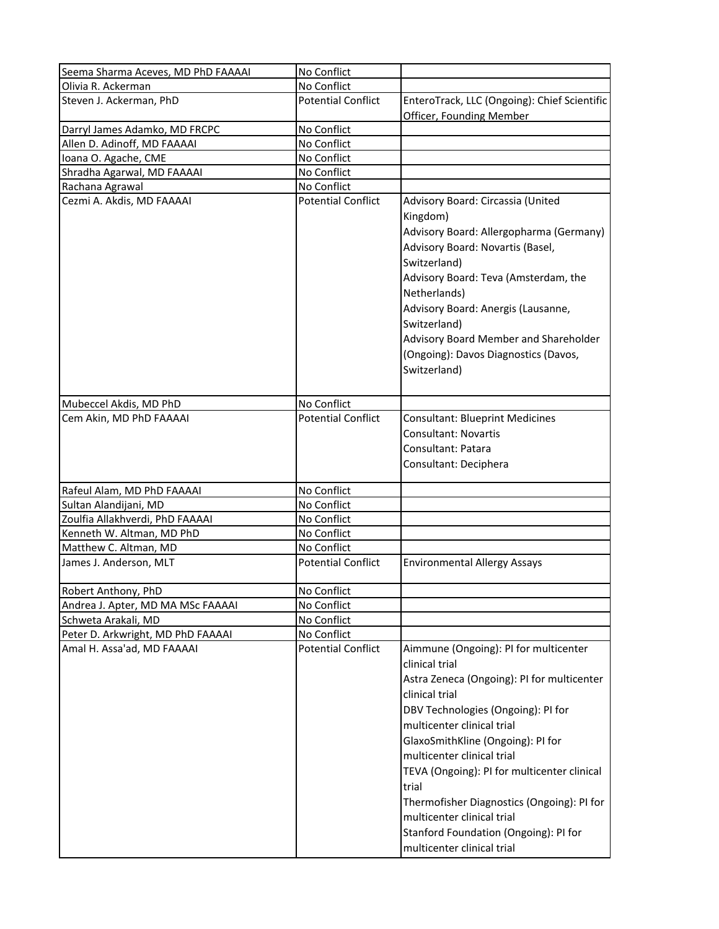| Seema Sharma Aceves, MD PhD FAAAAI           | No Conflict                              |                                                                                                                                                                 |
|----------------------------------------------|------------------------------------------|-----------------------------------------------------------------------------------------------------------------------------------------------------------------|
| Olivia R. Ackerman                           | No Conflict                              |                                                                                                                                                                 |
| Steven J. Ackerman, PhD                      | <b>Potential Conflict</b>                | EnteroTrack, LLC (Ongoing): Chief Scientific                                                                                                                    |
|                                              |                                          | Officer, Founding Member                                                                                                                                        |
| Darryl James Adamko, MD FRCPC                | No Conflict                              |                                                                                                                                                                 |
| Allen D. Adinoff, MD FAAAAI                  | No Conflict                              |                                                                                                                                                                 |
| Ioana O. Agache, CME                         | No Conflict                              |                                                                                                                                                                 |
| Shradha Agarwal, MD FAAAAI                   | No Conflict                              |                                                                                                                                                                 |
| Rachana Agrawal<br>Cezmi A. Akdis, MD FAAAAI | No Conflict<br><b>Potential Conflict</b> | Advisory Board: Circassia (United                                                                                                                               |
|                                              |                                          | Kingdom)<br>Advisory Board: Allergopharma (Germany)<br>Advisory Board: Novartis (Basel,<br>Switzerland)<br>Advisory Board: Teva (Amsterdam, the<br>Netherlands) |
|                                              |                                          | Advisory Board: Anergis (Lausanne,<br>Switzerland)                                                                                                              |
|                                              |                                          | Advisory Board Member and Shareholder<br>(Ongoing): Davos Diagnostics (Davos,<br>Switzerland)                                                                   |
| Mubeccel Akdis, MD PhD                       | No Conflict                              |                                                                                                                                                                 |
| Cem Akin, MD PhD FAAAAI                      | <b>Potential Conflict</b>                | <b>Consultant: Blueprint Medicines</b>                                                                                                                          |
|                                              |                                          | <b>Consultant: Novartis</b>                                                                                                                                     |
|                                              |                                          |                                                                                                                                                                 |
|                                              |                                          | Consultant: Patara                                                                                                                                              |
|                                              |                                          | Consultant: Deciphera                                                                                                                                           |
| Rafeul Alam, MD PhD FAAAAI                   | No Conflict                              |                                                                                                                                                                 |
| Sultan Alandijani, MD                        | No Conflict                              |                                                                                                                                                                 |
| Zoulfia Allakhverdi, PhD FAAAAI              | No Conflict                              |                                                                                                                                                                 |
|                                              |                                          |                                                                                                                                                                 |
| Kenneth W. Altman, MD PhD                    | No Conflict                              |                                                                                                                                                                 |
| Matthew C. Altman, MD                        | No Conflict                              |                                                                                                                                                                 |
| James J. Anderson, MLT                       | <b>Potential Conflict</b>                | <b>Environmental Allergy Assays</b>                                                                                                                             |
| Robert Anthony, PhD                          | No Conflict                              |                                                                                                                                                                 |
| Andrea J. Apter, MD MA MSc FAAAAI            | No Conflict                              |                                                                                                                                                                 |
| Schweta Arakali, MD                          | No Conflict                              |                                                                                                                                                                 |
| Peter D. Arkwright, MD PhD FAAAAI            | No Conflict                              |                                                                                                                                                                 |
| Amal H. Assa'ad, MD FAAAAI                   | <b>Potential Conflict</b>                | Aimmune (Ongoing): PI for multicenter<br>clinical trial<br>Astra Zeneca (Ongoing): PI for multicenter<br>clinical trial                                         |
|                                              |                                          | DBV Technologies (Ongoing): PI for                                                                                                                              |
|                                              |                                          | multicenter clinical trial                                                                                                                                      |
|                                              |                                          | GlaxoSmithKline (Ongoing): PI for                                                                                                                               |
|                                              |                                          |                                                                                                                                                                 |
|                                              |                                          | multicenter clinical trial                                                                                                                                      |
|                                              |                                          | TEVA (Ongoing): PI for multicenter clinical                                                                                                                     |
|                                              |                                          | trial                                                                                                                                                           |
|                                              |                                          | Thermofisher Diagnostics (Ongoing): PI for<br>multicenter clinical trial                                                                                        |
|                                              |                                          | Stanford Foundation (Ongoing): PI for                                                                                                                           |
|                                              |                                          | multicenter clinical trial                                                                                                                                      |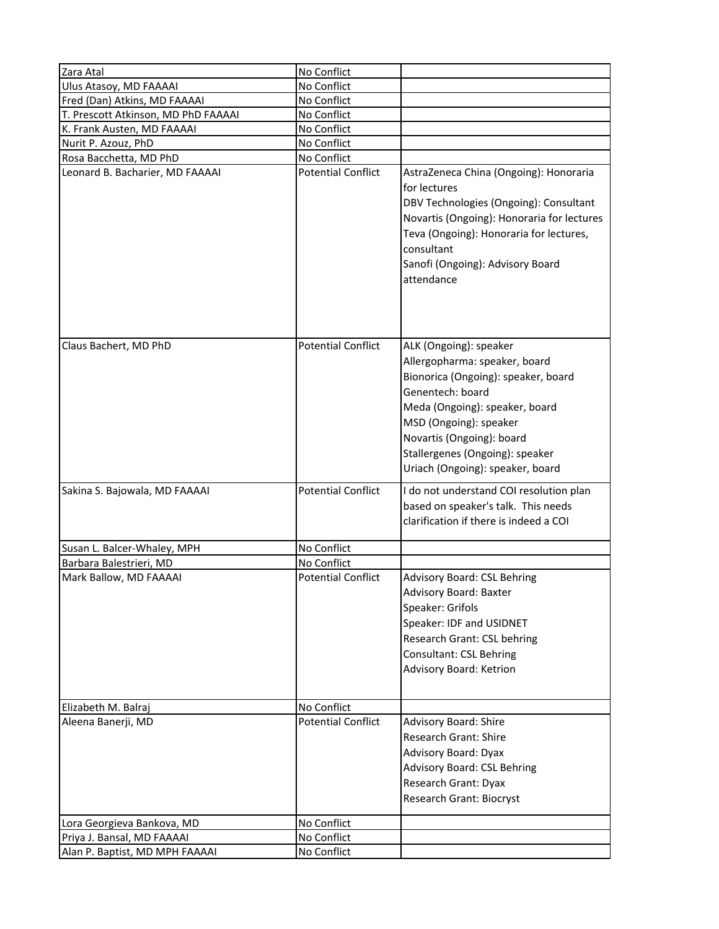| Zara Atal                                              | No Conflict                |                                                                                                                                                                                                                                                                                    |
|--------------------------------------------------------|----------------------------|------------------------------------------------------------------------------------------------------------------------------------------------------------------------------------------------------------------------------------------------------------------------------------|
| Ulus Atasoy, MD FAAAAI<br>Fred (Dan) Atkins, MD FAAAAI | No Conflict<br>No Conflict |                                                                                                                                                                                                                                                                                    |
| T. Prescott Atkinson, MD PhD FAAAAI                    | No Conflict                |                                                                                                                                                                                                                                                                                    |
| K. Frank Austen, MD FAAAAI                             | No Conflict                |                                                                                                                                                                                                                                                                                    |
| Nurit P. Azouz, PhD                                    | No Conflict                |                                                                                                                                                                                                                                                                                    |
| Rosa Bacchetta, MD PhD                                 | No Conflict                |                                                                                                                                                                                                                                                                                    |
| Leonard B. Bacharier, MD FAAAAI                        | <b>Potential Conflict</b>  | AstraZeneca China (Ongoing): Honoraria<br>for lectures<br>DBV Technologies (Ongoing): Consultant<br>Novartis (Ongoing): Honoraria for lectures<br>Teva (Ongoing): Honoraria for lectures,<br>consultant<br>Sanofi (Ongoing): Advisory Board<br>attendance                          |
| Claus Bachert, MD PhD                                  | <b>Potential Conflict</b>  | ALK (Ongoing): speaker<br>Allergopharma: speaker, board<br>Bionorica (Ongoing): speaker, board<br>Genentech: board<br>Meda (Ongoing): speaker, board<br>MSD (Ongoing): speaker<br>Novartis (Ongoing): board<br>Stallergenes (Ongoing): speaker<br>Uriach (Ongoing): speaker, board |
| Sakina S. Bajowala, MD FAAAAI                          | <b>Potential Conflict</b>  | I do not understand COI resolution plan<br>based on speaker's talk. This needs<br>clarification if there is indeed a COI                                                                                                                                                           |
| Susan L. Balcer-Whaley, MPH                            | No Conflict                |                                                                                                                                                                                                                                                                                    |
| Barbara Balestrieri, MD                                | No Conflict                |                                                                                                                                                                                                                                                                                    |
| Mark Ballow, MD FAAAAI                                 | <b>Potential Conflict</b>  | Advisory Board: CSL Behring<br>Advisory Board: Baxter<br>Speaker: Grifols<br>Speaker: IDF and USIDNET<br>Research Grant: CSL behring<br>Consultant: CSL Behring<br>Advisory Board: Ketrion                                                                                         |
| Elizabeth M. Balraj                                    | No Conflict                |                                                                                                                                                                                                                                                                                    |
| Aleena Banerji, MD                                     | <b>Potential Conflict</b>  | Advisory Board: Shire<br>Research Grant: Shire<br>Advisory Board: Dyax<br>Advisory Board: CSL Behring<br>Research Grant: Dyax<br>Research Grant: Biocryst                                                                                                                          |
| Lora Georgieva Bankova, MD                             | No Conflict                |                                                                                                                                                                                                                                                                                    |
| Priya J. Bansal, MD FAAAAI                             | No Conflict                |                                                                                                                                                                                                                                                                                    |
| Alan P. Baptist, MD MPH FAAAAI                         | No Conflict                |                                                                                                                                                                                                                                                                                    |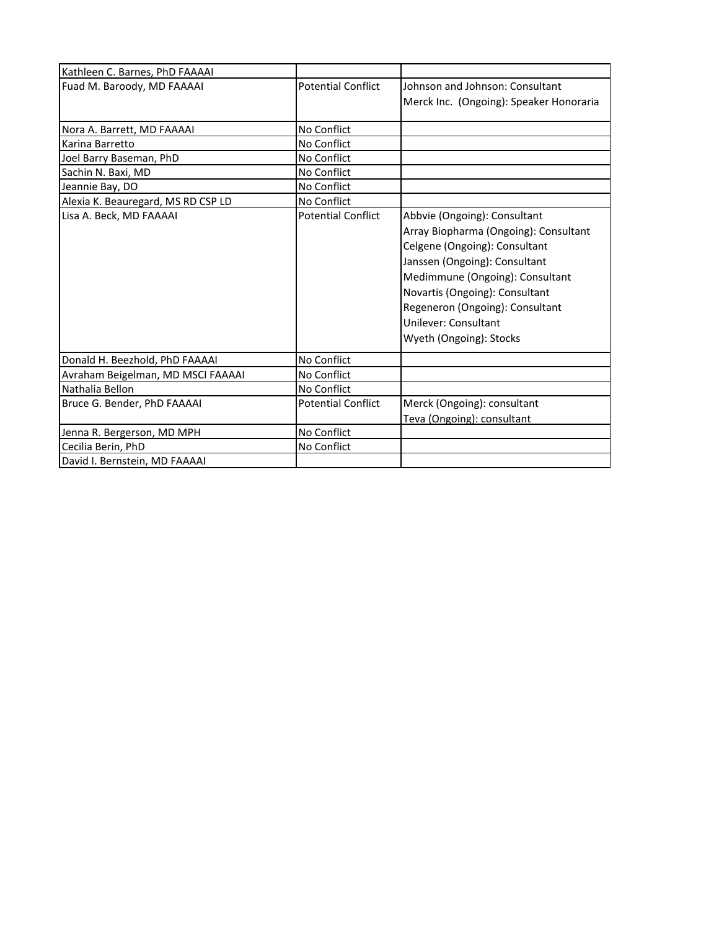| Kathleen C. Barnes, PhD FAAAAI     |                           |                                         |
|------------------------------------|---------------------------|-----------------------------------------|
| Fuad M. Baroody, MD FAAAAI         | <b>Potential Conflict</b> | Johnson and Johnson: Consultant         |
|                                    |                           | Merck Inc. (Ongoing): Speaker Honoraria |
|                                    |                           |                                         |
| Nora A. Barrett, MD FAAAAI         | No Conflict               |                                         |
| Karina Barretto                    | No Conflict               |                                         |
| Joel Barry Baseman, PhD            | No Conflict               |                                         |
| Sachin N. Baxi, MD                 | No Conflict               |                                         |
| Jeannie Bay, DO                    | No Conflict               |                                         |
| Alexia K. Beauregard, MS RD CSP LD | No Conflict               |                                         |
| Lisa A. Beck, MD FAAAAI            | <b>Potential Conflict</b> | Abbvie (Ongoing): Consultant            |
|                                    |                           | Array Biopharma (Ongoing): Consultant   |
|                                    |                           | Celgene (Ongoing): Consultant           |
|                                    |                           | Janssen (Ongoing): Consultant           |
|                                    |                           | Medimmune (Ongoing): Consultant         |
|                                    |                           | Novartis (Ongoing): Consultant          |
|                                    |                           | Regeneron (Ongoing): Consultant         |
|                                    |                           | Unilever: Consultant                    |
|                                    |                           | Wyeth (Ongoing): Stocks                 |
|                                    |                           |                                         |
| Donald H. Beezhold, PhD FAAAAI     | No Conflict               |                                         |
| Avraham Beigelman, MD MSCI FAAAAI  | No Conflict               |                                         |
| Nathalia Bellon                    | No Conflict               |                                         |
| Bruce G. Bender, PhD FAAAAI        | <b>Potential Conflict</b> | Merck (Ongoing): consultant             |
|                                    |                           | Teva (Ongoing): consultant              |
| Jenna R. Bergerson, MD MPH         | No Conflict               |                                         |
| Cecilia Berin, PhD                 | No Conflict               |                                         |
| David I. Bernstein, MD FAAAAI      |                           |                                         |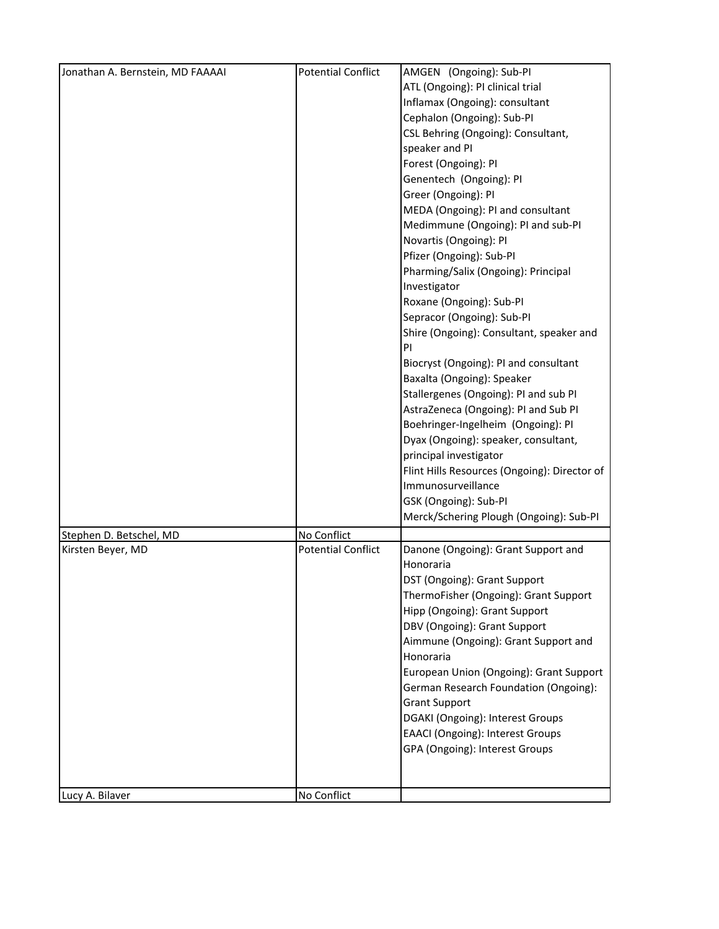| Jonathan A. Bernstein, MD FAAAAI | <b>Potential Conflict</b> | AMGEN (Ongoing): Sub-Pl                      |
|----------------------------------|---------------------------|----------------------------------------------|
|                                  |                           | ATL (Ongoing): PI clinical trial             |
|                                  |                           | Inflamax (Ongoing): consultant               |
|                                  |                           | Cephalon (Ongoing): Sub-PI                   |
|                                  |                           | CSL Behring (Ongoing): Consultant,           |
|                                  |                           | speaker and PI                               |
|                                  |                           | Forest (Ongoing): PI                         |
|                                  |                           | Genentech (Ongoing): PI                      |
|                                  |                           | Greer (Ongoing): PI                          |
|                                  |                           | MEDA (Ongoing): PI and consultant            |
|                                  |                           | Medimmune (Ongoing): PI and sub-PI           |
|                                  |                           | Novartis (Ongoing): PI                       |
|                                  |                           | Pfizer (Ongoing): Sub-PI                     |
|                                  |                           | Pharming/Salix (Ongoing): Principal          |
|                                  |                           | Investigator                                 |
|                                  |                           | Roxane (Ongoing): Sub-PI                     |
|                                  |                           | Sepracor (Ongoing): Sub-PI                   |
|                                  |                           | Shire (Ongoing): Consultant, speaker and     |
|                                  |                           | PI                                           |
|                                  |                           | Biocryst (Ongoing): PI and consultant        |
|                                  |                           | Baxalta (Ongoing): Speaker                   |
|                                  |                           | Stallergenes (Ongoing): PI and sub PI        |
|                                  |                           | AstraZeneca (Ongoing): PI and Sub PI         |
|                                  |                           | Boehringer-Ingelheim (Ongoing): PI           |
|                                  |                           | Dyax (Ongoing): speaker, consultant,         |
|                                  |                           | principal investigator                       |
|                                  |                           | Flint Hills Resources (Ongoing): Director of |
|                                  |                           | Immunosurveillance                           |
|                                  |                           | GSK (Ongoing): Sub-PI                        |
|                                  |                           | Merck/Schering Plough (Ongoing): Sub-Pl      |
|                                  |                           |                                              |
| Stephen D. Betschel, MD          | No Conflict               |                                              |
| Kirsten Beyer, MD                | <b>Potential Conflict</b> | Danone (Ongoing): Grant Support and          |
|                                  |                           | Honoraria                                    |
|                                  |                           | DST (Ongoing): Grant Support                 |
|                                  |                           | ThermoFisher (Ongoing): Grant Support        |
|                                  |                           | Hipp (Ongoing): Grant Support                |
|                                  |                           | DBV (Ongoing): Grant Support                 |
|                                  |                           | Aimmune (Ongoing): Grant Support and         |
|                                  |                           | Honoraria                                    |
|                                  |                           | European Union (Ongoing): Grant Support      |
|                                  |                           | German Research Foundation (Ongoing):        |
|                                  |                           | <b>Grant Support</b>                         |
|                                  |                           | DGAKI (Ongoing): Interest Groups             |
|                                  |                           | <b>EAACI</b> (Ongoing): Interest Groups      |
|                                  |                           | GPA (Ongoing): Interest Groups               |
|                                  |                           |                                              |
|                                  |                           |                                              |
| Lucy A. Bilaver                  | No Conflict               |                                              |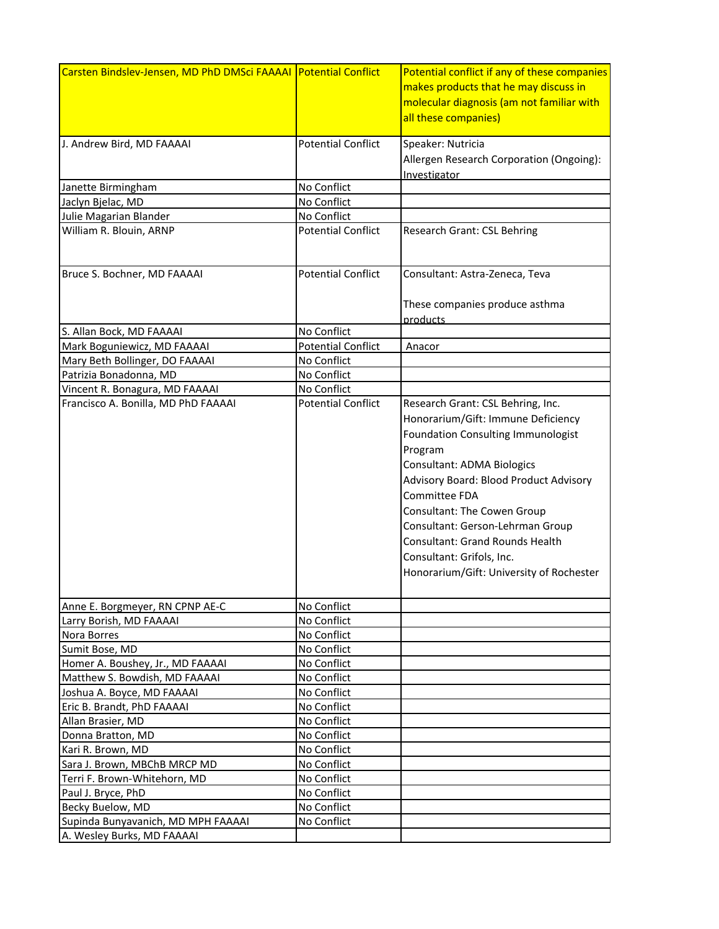| Carsten Bindslev-Jensen, MD PhD DMSci FAAAAI   Potential Conflict |                           | Potential conflict if any of these companies |
|-------------------------------------------------------------------|---------------------------|----------------------------------------------|
|                                                                   |                           | makes products that he may discuss in        |
|                                                                   |                           | molecular diagnosis (am not familiar with    |
|                                                                   |                           | all these companies)                         |
|                                                                   |                           |                                              |
| J. Andrew Bird, MD FAAAAI                                         | <b>Potential Conflict</b> | Speaker: Nutricia                            |
|                                                                   |                           | Allergen Research Corporation (Ongoing):     |
|                                                                   |                           | Investigator                                 |
| Janette Birmingham                                                | No Conflict               |                                              |
| Jaclyn Bjelac, MD                                                 | No Conflict               |                                              |
| Julie Magarian Blander                                            | No Conflict               |                                              |
| William R. Blouin, ARNP                                           | <b>Potential Conflict</b> | Research Grant: CSL Behring                  |
|                                                                   |                           |                                              |
|                                                                   |                           |                                              |
| Bruce S. Bochner, MD FAAAAI                                       | <b>Potential Conflict</b> | Consultant: Astra-Zeneca, Teva               |
|                                                                   |                           |                                              |
|                                                                   |                           | These companies produce asthma               |
|                                                                   |                           | products                                     |
| S. Allan Bock, MD FAAAAI                                          | No Conflict               |                                              |
| Mark Boguniewicz, MD FAAAAI                                       | <b>Potential Conflict</b> | Anacor                                       |
| Mary Beth Bollinger, DO FAAAAI                                    | No Conflict               |                                              |
| Patrizia Bonadonna, MD                                            | No Conflict               |                                              |
| Vincent R. Bonagura, MD FAAAAI                                    | No Conflict               |                                              |
| Francisco A. Bonilla, MD PhD FAAAAI                               | <b>Potential Conflict</b> | Research Grant: CSL Behring, Inc.            |
|                                                                   |                           | Honorarium/Gift: Immune Deficiency           |
|                                                                   |                           | Foundation Consulting Immunologist           |
|                                                                   |                           | Program                                      |
|                                                                   |                           | <b>Consultant: ADMA Biologics</b>            |
|                                                                   |                           | Advisory Board: Blood Product Advisory       |
|                                                                   |                           | <b>Committee FDA</b>                         |
|                                                                   |                           |                                              |
|                                                                   |                           | Consultant: The Cowen Group                  |
|                                                                   |                           | Consultant: Gerson-Lehrman Group             |
|                                                                   |                           | Consultant: Grand Rounds Health              |
|                                                                   |                           | Consultant: Grifols, Inc.                    |
|                                                                   |                           | Honorarium/Gift: University of Rochester     |
|                                                                   |                           |                                              |
| Anne E. Borgmeyer, RN CPNP AE-C                                   | No Conflict               |                                              |
| Larry Borish, MD FAAAAI                                           | No Conflict               |                                              |
| Nora Borres                                                       | No Conflict               |                                              |
| Sumit Bose, MD                                                    | No Conflict               |                                              |
| Homer A. Boushey, Jr., MD FAAAAI                                  | No Conflict               |                                              |
| Matthew S. Bowdish, MD FAAAAI                                     | No Conflict               |                                              |
| Joshua A. Boyce, MD FAAAAI                                        | No Conflict               |                                              |
| Eric B. Brandt, PhD FAAAAI                                        | No Conflict               |                                              |
| Allan Brasier, MD                                                 | No Conflict               |                                              |
| Donna Bratton, MD                                                 | No Conflict               |                                              |
| Kari R. Brown, MD                                                 | No Conflict               |                                              |
| Sara J. Brown, MBChB MRCP MD                                      | No Conflict               |                                              |
| Terri F. Brown-Whitehorn, MD                                      | No Conflict               |                                              |
| Paul J. Bryce, PhD                                                | No Conflict               |                                              |
| Becky Buelow, MD                                                  | No Conflict               |                                              |
| Supinda Bunyavanich, MD MPH FAAAAI                                | No Conflict               |                                              |
| A. Wesley Burks, MD FAAAAI                                        |                           |                                              |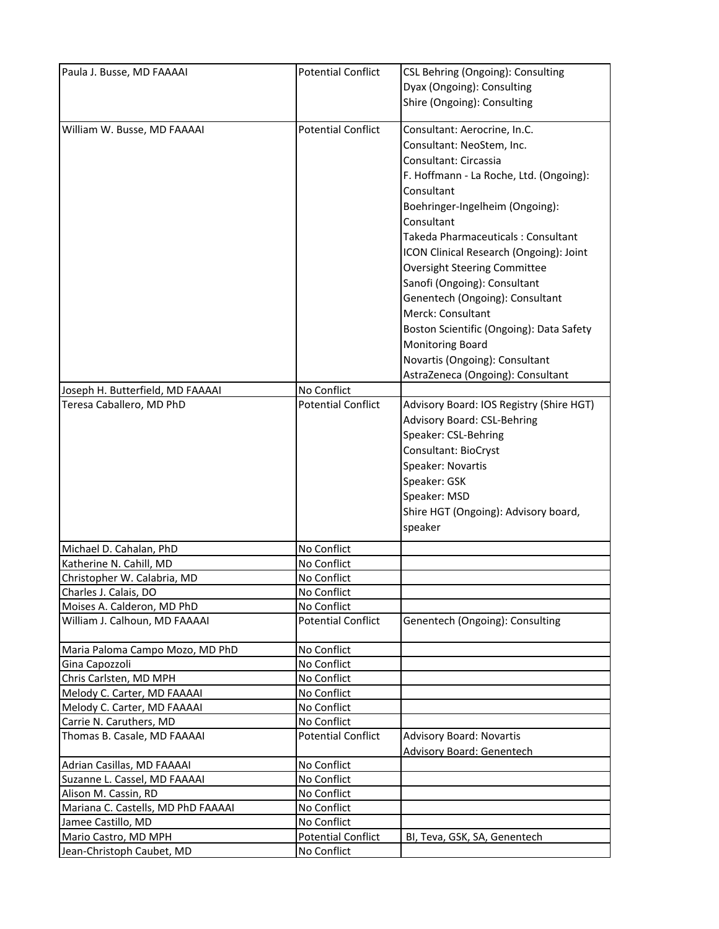| Paula J. Busse, MD FAAAAI          | <b>Potential Conflict</b> | CSL Behring (Ongoing): Consulting        |
|------------------------------------|---------------------------|------------------------------------------|
|                                    |                           | Dyax (Ongoing): Consulting               |
|                                    |                           | Shire (Ongoing): Consulting              |
|                                    |                           |                                          |
| William W. Busse, MD FAAAAI        | <b>Potential Conflict</b> | Consultant: Aerocrine, In.C.             |
|                                    |                           | Consultant: NeoStem, Inc.                |
|                                    |                           | Consultant: Circassia                    |
|                                    |                           | F. Hoffmann - La Roche, Ltd. (Ongoing):  |
|                                    |                           | Consultant                               |
|                                    |                           | Boehringer-Ingelheim (Ongoing):          |
|                                    |                           | Consultant                               |
|                                    |                           | Takeda Pharmaceuticals: Consultant       |
|                                    |                           | ICON Clinical Research (Ongoing): Joint  |
|                                    |                           | <b>Oversight Steering Committee</b>      |
|                                    |                           | Sanofi (Ongoing): Consultant             |
|                                    |                           | Genentech (Ongoing): Consultant          |
|                                    |                           | Merck: Consultant                        |
|                                    |                           | Boston Scientific (Ongoing): Data Safety |
|                                    |                           | Monitoring Board                         |
|                                    |                           | Novartis (Ongoing): Consultant           |
|                                    |                           | AstraZeneca (Ongoing): Consultant        |
| Joseph H. Butterfield, MD FAAAAI   | No Conflict               |                                          |
| Teresa Caballero, MD PhD           | <b>Potential Conflict</b> | Advisory Board: IOS Registry (Shire HGT) |
|                                    |                           | Advisory Board: CSL-Behring              |
|                                    |                           | Speaker: CSL-Behring                     |
|                                    |                           | Consultant: BioCryst                     |
|                                    |                           |                                          |
|                                    |                           | Speaker: Novartis                        |
|                                    |                           | Speaker: GSK                             |
|                                    |                           | Speaker: MSD                             |
|                                    |                           | Shire HGT (Ongoing): Advisory board,     |
|                                    |                           | speaker                                  |
| Michael D. Cahalan, PhD            | No Conflict               |                                          |
| Katherine N. Cahill, MD            | No Conflict               |                                          |
| Christopher W. Calabria, MD        | No Conflict               |                                          |
| Charles J. Calais, DO              | No Conflict               |                                          |
| Moises A. Calderon, MD PhD         | No Conflict               |                                          |
| William J. Calhoun, MD FAAAAI      | <b>Potential Conflict</b> | Genentech (Ongoing): Consulting          |
| Maria Paloma Campo Mozo, MD PhD    | No Conflict               |                                          |
| Gina Capozzoli                     | No Conflict               |                                          |
| Chris Carlsten, MD MPH             | No Conflict               |                                          |
| Melody C. Carter, MD FAAAAI        | No Conflict               |                                          |
| Melody C. Carter, MD FAAAAI        | No Conflict               |                                          |
| Carrie N. Caruthers, MD            | No Conflict               |                                          |
| Thomas B. Casale, MD FAAAAI        | <b>Potential Conflict</b> | <b>Advisory Board: Novartis</b>          |
|                                    |                           | <b>Advisory Board: Genentech</b>         |
| Adrian Casillas, MD FAAAAI         | No Conflict               |                                          |
| Suzanne L. Cassel, MD FAAAAI       | No Conflict               |                                          |
| Alison M. Cassin, RD               | No Conflict               |                                          |
| Mariana C. Castells, MD PhD FAAAAI | No Conflict               |                                          |
| Jamee Castillo, MD                 | No Conflict               |                                          |
| Mario Castro, MD MPH               | <b>Potential Conflict</b> | BI, Teva, GSK, SA, Genentech             |
| Jean-Christoph Caubet, MD          | No Conflict               |                                          |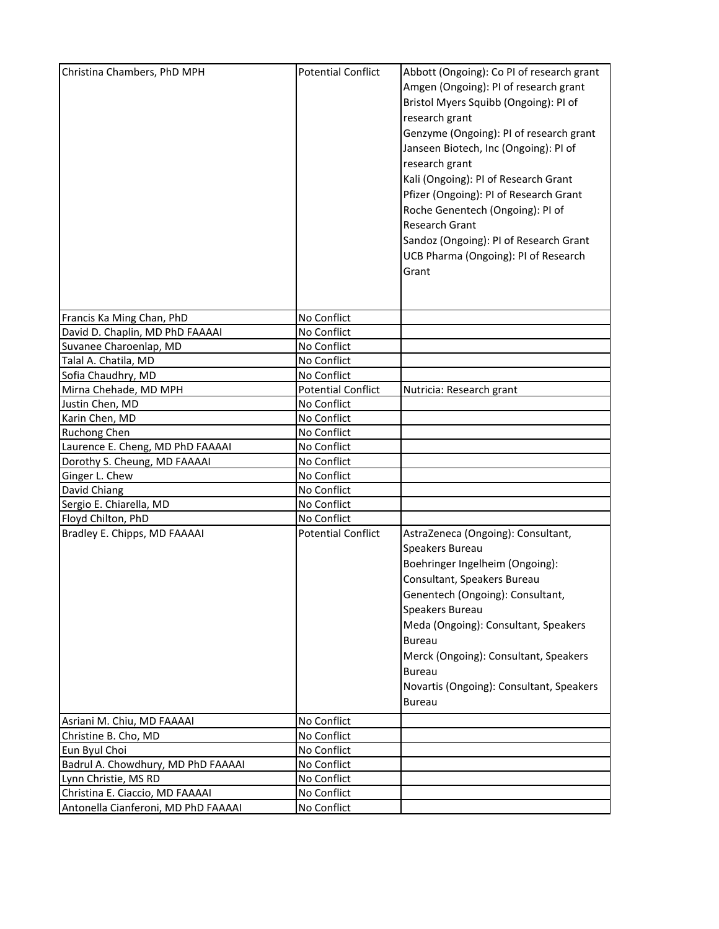| Francis Ka Ming Chan, PhD<br>No Conflict<br>David D. Chaplin, MD PhD FAAAAI<br>No Conflict<br>No Conflict<br>Suvanee Charoenlap, MD<br>No Conflict<br>Talal A. Chatila, MD<br>Sofia Chaudhry, MD<br>No Conflict<br><b>Potential Conflict</b><br>Mirna Chehade, MD MPH<br>Nutricia: Research grant<br>Justin Chen, MD<br>No Conflict<br>No Conflict<br>Karin Chen, MD<br>No Conflict<br><b>Ruchong Chen</b><br>Laurence E. Cheng, MD PhD FAAAAI<br>No Conflict<br>Dorothy S. Cheung, MD FAAAAI<br>No Conflict<br>Ginger L. Chew<br>No Conflict<br>David Chiang<br>No Conflict<br>Sergio E. Chiarella, MD<br>No Conflict<br>Floyd Chilton, PhD<br>No Conflict<br>Bradley E. Chipps, MD FAAAAI<br><b>Potential Conflict</b><br>AstraZeneca (Ongoing): Consultant,<br>Speakers Bureau<br>Boehringer Ingelheim (Ongoing):<br>Consultant, Speakers Bureau<br>Genentech (Ongoing): Consultant,<br>Speakers Bureau<br>Meda (Ongoing): Consultant, Speakers<br><b>Bureau</b><br>Merck (Ongoing): Consultant, Speakers<br><b>Bureau</b><br>Novartis (Ongoing): Consultant, Speakers<br>Bureau<br>Asriani M. Chiu, MD FAAAAI<br>No Conflict<br>Christine B. Cho, MD<br>No Conflict<br>Eun Byul Choi<br>No Conflict<br>Badrul A. Chowdhury, MD PhD FAAAAI<br>No Conflict<br>Lynn Christie, MS RD<br>No Conflict<br>Christina E. Ciaccio, MD FAAAAI<br>No Conflict<br>Antonella Cianferoni, MD PhD FAAAAI<br>No Conflict | Christina Chambers, PhD MPH | <b>Potential Conflict</b> | Abbott (Ongoing): Co PI of research grant<br>Amgen (Ongoing): PI of research grant<br>Bristol Myers Squibb (Ongoing): PI of<br>research grant<br>Genzyme (Ongoing): PI of research grant<br>Janseen Biotech, Inc (Ongoing): PI of<br>research grant<br>Kali (Ongoing): PI of Research Grant<br>Pfizer (Ongoing): PI of Research Grant<br>Roche Genentech (Ongoing): PI of<br>Research Grant<br>Sandoz (Ongoing): PI of Research Grant<br>UCB Pharma (Ongoing): PI of Research<br>Grant |
|-------------------------------------------------------------------------------------------------------------------------------------------------------------------------------------------------------------------------------------------------------------------------------------------------------------------------------------------------------------------------------------------------------------------------------------------------------------------------------------------------------------------------------------------------------------------------------------------------------------------------------------------------------------------------------------------------------------------------------------------------------------------------------------------------------------------------------------------------------------------------------------------------------------------------------------------------------------------------------------------------------------------------------------------------------------------------------------------------------------------------------------------------------------------------------------------------------------------------------------------------------------------------------------------------------------------------------------------------------------------------------------------------------------|-----------------------------|---------------------------|----------------------------------------------------------------------------------------------------------------------------------------------------------------------------------------------------------------------------------------------------------------------------------------------------------------------------------------------------------------------------------------------------------------------------------------------------------------------------------------|
|                                                                                                                                                                                                                                                                                                                                                                                                                                                                                                                                                                                                                                                                                                                                                                                                                                                                                                                                                                                                                                                                                                                                                                                                                                                                                                                                                                                                             |                             |                           |                                                                                                                                                                                                                                                                                                                                                                                                                                                                                        |
|                                                                                                                                                                                                                                                                                                                                                                                                                                                                                                                                                                                                                                                                                                                                                                                                                                                                                                                                                                                                                                                                                                                                                                                                                                                                                                                                                                                                             |                             |                           |                                                                                                                                                                                                                                                                                                                                                                                                                                                                                        |
|                                                                                                                                                                                                                                                                                                                                                                                                                                                                                                                                                                                                                                                                                                                                                                                                                                                                                                                                                                                                                                                                                                                                                                                                                                                                                                                                                                                                             |                             |                           |                                                                                                                                                                                                                                                                                                                                                                                                                                                                                        |
|                                                                                                                                                                                                                                                                                                                                                                                                                                                                                                                                                                                                                                                                                                                                                                                                                                                                                                                                                                                                                                                                                                                                                                                                                                                                                                                                                                                                             |                             |                           |                                                                                                                                                                                                                                                                                                                                                                                                                                                                                        |
|                                                                                                                                                                                                                                                                                                                                                                                                                                                                                                                                                                                                                                                                                                                                                                                                                                                                                                                                                                                                                                                                                                                                                                                                                                                                                                                                                                                                             |                             |                           |                                                                                                                                                                                                                                                                                                                                                                                                                                                                                        |
|                                                                                                                                                                                                                                                                                                                                                                                                                                                                                                                                                                                                                                                                                                                                                                                                                                                                                                                                                                                                                                                                                                                                                                                                                                                                                                                                                                                                             |                             |                           |                                                                                                                                                                                                                                                                                                                                                                                                                                                                                        |
|                                                                                                                                                                                                                                                                                                                                                                                                                                                                                                                                                                                                                                                                                                                                                                                                                                                                                                                                                                                                                                                                                                                                                                                                                                                                                                                                                                                                             |                             |                           |                                                                                                                                                                                                                                                                                                                                                                                                                                                                                        |
|                                                                                                                                                                                                                                                                                                                                                                                                                                                                                                                                                                                                                                                                                                                                                                                                                                                                                                                                                                                                                                                                                                                                                                                                                                                                                                                                                                                                             |                             |                           |                                                                                                                                                                                                                                                                                                                                                                                                                                                                                        |
|                                                                                                                                                                                                                                                                                                                                                                                                                                                                                                                                                                                                                                                                                                                                                                                                                                                                                                                                                                                                                                                                                                                                                                                                                                                                                                                                                                                                             |                             |                           |                                                                                                                                                                                                                                                                                                                                                                                                                                                                                        |
|                                                                                                                                                                                                                                                                                                                                                                                                                                                                                                                                                                                                                                                                                                                                                                                                                                                                                                                                                                                                                                                                                                                                                                                                                                                                                                                                                                                                             |                             |                           |                                                                                                                                                                                                                                                                                                                                                                                                                                                                                        |
|                                                                                                                                                                                                                                                                                                                                                                                                                                                                                                                                                                                                                                                                                                                                                                                                                                                                                                                                                                                                                                                                                                                                                                                                                                                                                                                                                                                                             |                             |                           |                                                                                                                                                                                                                                                                                                                                                                                                                                                                                        |
|                                                                                                                                                                                                                                                                                                                                                                                                                                                                                                                                                                                                                                                                                                                                                                                                                                                                                                                                                                                                                                                                                                                                                                                                                                                                                                                                                                                                             |                             |                           |                                                                                                                                                                                                                                                                                                                                                                                                                                                                                        |
|                                                                                                                                                                                                                                                                                                                                                                                                                                                                                                                                                                                                                                                                                                                                                                                                                                                                                                                                                                                                                                                                                                                                                                                                                                                                                                                                                                                                             |                             |                           |                                                                                                                                                                                                                                                                                                                                                                                                                                                                                        |
|                                                                                                                                                                                                                                                                                                                                                                                                                                                                                                                                                                                                                                                                                                                                                                                                                                                                                                                                                                                                                                                                                                                                                                                                                                                                                                                                                                                                             |                             |                           |                                                                                                                                                                                                                                                                                                                                                                                                                                                                                        |
|                                                                                                                                                                                                                                                                                                                                                                                                                                                                                                                                                                                                                                                                                                                                                                                                                                                                                                                                                                                                                                                                                                                                                                                                                                                                                                                                                                                                             |                             |                           |                                                                                                                                                                                                                                                                                                                                                                                                                                                                                        |
|                                                                                                                                                                                                                                                                                                                                                                                                                                                                                                                                                                                                                                                                                                                                                                                                                                                                                                                                                                                                                                                                                                                                                                                                                                                                                                                                                                                                             |                             |                           |                                                                                                                                                                                                                                                                                                                                                                                                                                                                                        |
|                                                                                                                                                                                                                                                                                                                                                                                                                                                                                                                                                                                                                                                                                                                                                                                                                                                                                                                                                                                                                                                                                                                                                                                                                                                                                                                                                                                                             |                             |                           |                                                                                                                                                                                                                                                                                                                                                                                                                                                                                        |
|                                                                                                                                                                                                                                                                                                                                                                                                                                                                                                                                                                                                                                                                                                                                                                                                                                                                                                                                                                                                                                                                                                                                                                                                                                                                                                                                                                                                             |                             |                           |                                                                                                                                                                                                                                                                                                                                                                                                                                                                                        |
|                                                                                                                                                                                                                                                                                                                                                                                                                                                                                                                                                                                                                                                                                                                                                                                                                                                                                                                                                                                                                                                                                                                                                                                                                                                                                                                                                                                                             |                             |                           |                                                                                                                                                                                                                                                                                                                                                                                                                                                                                        |
|                                                                                                                                                                                                                                                                                                                                                                                                                                                                                                                                                                                                                                                                                                                                                                                                                                                                                                                                                                                                                                                                                                                                                                                                                                                                                                                                                                                                             |                             |                           |                                                                                                                                                                                                                                                                                                                                                                                                                                                                                        |
|                                                                                                                                                                                                                                                                                                                                                                                                                                                                                                                                                                                                                                                                                                                                                                                                                                                                                                                                                                                                                                                                                                                                                                                                                                                                                                                                                                                                             |                             |                           |                                                                                                                                                                                                                                                                                                                                                                                                                                                                                        |
|                                                                                                                                                                                                                                                                                                                                                                                                                                                                                                                                                                                                                                                                                                                                                                                                                                                                                                                                                                                                                                                                                                                                                                                                                                                                                                                                                                                                             |                             |                           |                                                                                                                                                                                                                                                                                                                                                                                                                                                                                        |
|                                                                                                                                                                                                                                                                                                                                                                                                                                                                                                                                                                                                                                                                                                                                                                                                                                                                                                                                                                                                                                                                                                                                                                                                                                                                                                                                                                                                             |                             |                           |                                                                                                                                                                                                                                                                                                                                                                                                                                                                                        |
|                                                                                                                                                                                                                                                                                                                                                                                                                                                                                                                                                                                                                                                                                                                                                                                                                                                                                                                                                                                                                                                                                                                                                                                                                                                                                                                                                                                                             |                             |                           |                                                                                                                                                                                                                                                                                                                                                                                                                                                                                        |
|                                                                                                                                                                                                                                                                                                                                                                                                                                                                                                                                                                                                                                                                                                                                                                                                                                                                                                                                                                                                                                                                                                                                                                                                                                                                                                                                                                                                             |                             |                           |                                                                                                                                                                                                                                                                                                                                                                                                                                                                                        |
|                                                                                                                                                                                                                                                                                                                                                                                                                                                                                                                                                                                                                                                                                                                                                                                                                                                                                                                                                                                                                                                                                                                                                                                                                                                                                                                                                                                                             |                             |                           |                                                                                                                                                                                                                                                                                                                                                                                                                                                                                        |
|                                                                                                                                                                                                                                                                                                                                                                                                                                                                                                                                                                                                                                                                                                                                                                                                                                                                                                                                                                                                                                                                                                                                                                                                                                                                                                                                                                                                             |                             |                           |                                                                                                                                                                                                                                                                                                                                                                                                                                                                                        |
|                                                                                                                                                                                                                                                                                                                                                                                                                                                                                                                                                                                                                                                                                                                                                                                                                                                                                                                                                                                                                                                                                                                                                                                                                                                                                                                                                                                                             |                             |                           |                                                                                                                                                                                                                                                                                                                                                                                                                                                                                        |
|                                                                                                                                                                                                                                                                                                                                                                                                                                                                                                                                                                                                                                                                                                                                                                                                                                                                                                                                                                                                                                                                                                                                                                                                                                                                                                                                                                                                             |                             |                           |                                                                                                                                                                                                                                                                                                                                                                                                                                                                                        |
|                                                                                                                                                                                                                                                                                                                                                                                                                                                                                                                                                                                                                                                                                                                                                                                                                                                                                                                                                                                                                                                                                                                                                                                                                                                                                                                                                                                                             |                             |                           |                                                                                                                                                                                                                                                                                                                                                                                                                                                                                        |
|                                                                                                                                                                                                                                                                                                                                                                                                                                                                                                                                                                                                                                                                                                                                                                                                                                                                                                                                                                                                                                                                                                                                                                                                                                                                                                                                                                                                             |                             |                           |                                                                                                                                                                                                                                                                                                                                                                                                                                                                                        |
|                                                                                                                                                                                                                                                                                                                                                                                                                                                                                                                                                                                                                                                                                                                                                                                                                                                                                                                                                                                                                                                                                                                                                                                                                                                                                                                                                                                                             |                             |                           |                                                                                                                                                                                                                                                                                                                                                                                                                                                                                        |
|                                                                                                                                                                                                                                                                                                                                                                                                                                                                                                                                                                                                                                                                                                                                                                                                                                                                                                                                                                                                                                                                                                                                                                                                                                                                                                                                                                                                             |                             |                           |                                                                                                                                                                                                                                                                                                                                                                                                                                                                                        |
|                                                                                                                                                                                                                                                                                                                                                                                                                                                                                                                                                                                                                                                                                                                                                                                                                                                                                                                                                                                                                                                                                                                                                                                                                                                                                                                                                                                                             |                             |                           |                                                                                                                                                                                                                                                                                                                                                                                                                                                                                        |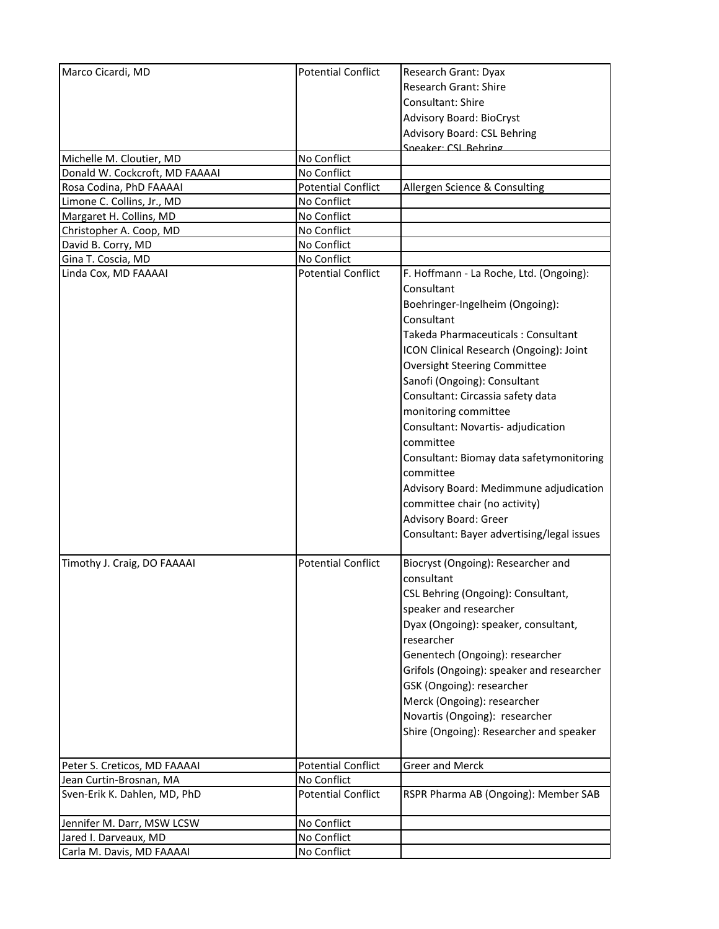| Marco Cicardi, MD              | <b>Potential Conflict</b> | Research Grant: Dyax                       |
|--------------------------------|---------------------------|--------------------------------------------|
|                                |                           | <b>Research Grant: Shire</b>               |
|                                |                           | Consultant: Shire                          |
|                                |                           |                                            |
|                                |                           | <b>Advisory Board: BioCryst</b>            |
|                                |                           | <b>Advisory Board: CSL Behring</b>         |
| Michelle M. Cloutier, MD       | No Conflict               | Sneaker: CSL Rehring                       |
| Donald W. Cockcroft, MD FAAAAI | No Conflict               |                                            |
| Rosa Codina, PhD FAAAAI        | <b>Potential Conflict</b> | Allergen Science & Consulting              |
| Limone C. Collins, Jr., MD     | No Conflict               |                                            |
| Margaret H. Collins, MD        | No Conflict               |                                            |
| Christopher A. Coop, MD        | No Conflict               |                                            |
| David B. Corry, MD             | No Conflict               |                                            |
| Gina T. Coscia, MD             | No Conflict               |                                            |
| Linda Cox, MD FAAAAI           | <b>Potential Conflict</b> | F. Hoffmann - La Roche, Ltd. (Ongoing):    |
|                                |                           | Consultant                                 |
|                                |                           | Boehringer-Ingelheim (Ongoing):            |
|                                |                           | Consultant                                 |
|                                |                           |                                            |
|                                |                           | Takeda Pharmaceuticals: Consultant         |
|                                |                           | ICON Clinical Research (Ongoing): Joint    |
|                                |                           | <b>Oversight Steering Committee</b>        |
|                                |                           | Sanofi (Ongoing): Consultant               |
|                                |                           | Consultant: Circassia safety data          |
|                                |                           | monitoring committee                       |
|                                |                           | Consultant: Novartis- adjudication         |
|                                |                           | committee                                  |
|                                |                           | Consultant: Biomay data safetymonitoring   |
|                                |                           | committee                                  |
|                                |                           |                                            |
|                                |                           | Advisory Board: Medimmune adjudication     |
|                                |                           | committee chair (no activity)              |
|                                |                           | Advisory Board: Greer                      |
|                                |                           | Consultant: Bayer advertising/legal issues |
| Timothy J. Craig, DO FAAAAI    | <b>Potential Conflict</b> | Biocryst (Ongoing): Researcher and         |
|                                |                           | consultant                                 |
|                                |                           | CSL Behring (Ongoing): Consultant,         |
|                                |                           |                                            |
|                                |                           | speaker and researcher                     |
|                                |                           | Dyax (Ongoing): speaker, consultant,       |
|                                |                           | researcher                                 |
|                                |                           | Genentech (Ongoing): researcher            |
|                                |                           | Grifols (Ongoing): speaker and researcher  |
|                                |                           | GSK (Ongoing): researcher                  |
|                                |                           | Merck (Ongoing): researcher                |
|                                |                           | Novartis (Ongoing): researcher             |
|                                |                           | Shire (Ongoing): Researcher and speaker    |
|                                |                           |                                            |
| Peter S. Creticos, MD FAAAAI   | <b>Potential Conflict</b> | <b>Greer and Merck</b>                     |
| Jean Curtin-Brosnan, MA        | No Conflict               |                                            |
| Sven-Erik K. Dahlen, MD, PhD   | <b>Potential Conflict</b> | RSPR Pharma AB (Ongoing): Member SAB       |
| Jennifer M. Darr, MSW LCSW     | No Conflict               |                                            |
| Jared I. Darveaux, MD          | No Conflict               |                                            |
| Carla M. Davis, MD FAAAAI      | No Conflict               |                                            |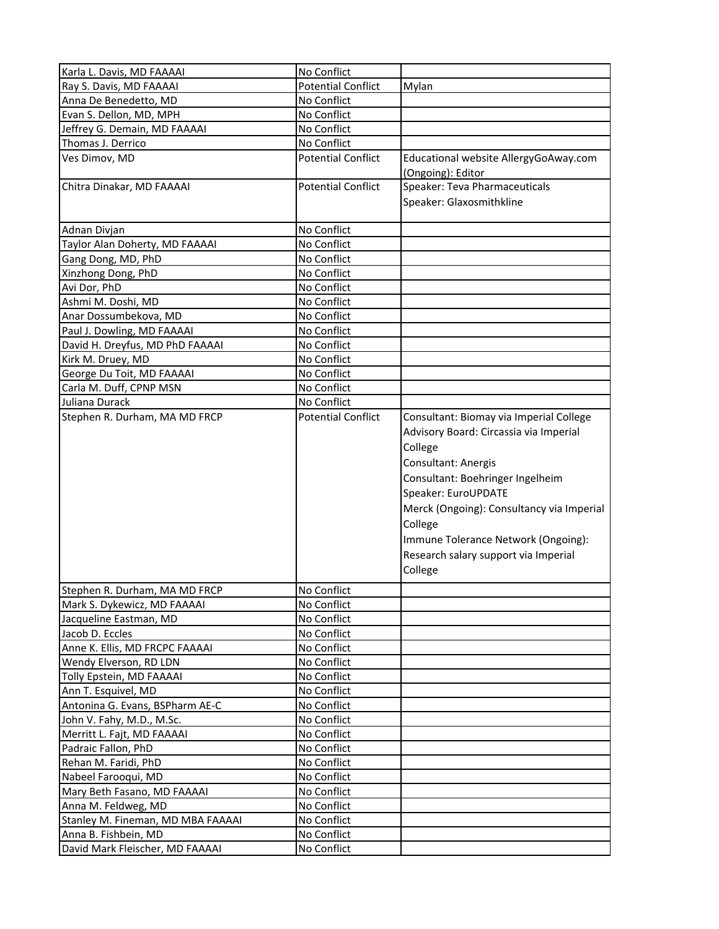| Karla L. Davis, MD FAAAAI         | No Conflict               |                                                                                                                                                                                                                                                                                                                                  |
|-----------------------------------|---------------------------|----------------------------------------------------------------------------------------------------------------------------------------------------------------------------------------------------------------------------------------------------------------------------------------------------------------------------------|
| Ray S. Davis, MD FAAAAI           | <b>Potential Conflict</b> | Mylan                                                                                                                                                                                                                                                                                                                            |
| Anna De Benedetto, MD             | No Conflict               |                                                                                                                                                                                                                                                                                                                                  |
| Evan S. Dellon, MD, MPH           | No Conflict               |                                                                                                                                                                                                                                                                                                                                  |
| Jeffrey G. Demain, MD FAAAAI      | No Conflict               |                                                                                                                                                                                                                                                                                                                                  |
| Thomas J. Derrico                 | No Conflict               |                                                                                                                                                                                                                                                                                                                                  |
| Ves Dimov, MD                     | <b>Potential Conflict</b> | Educational website AllergyGoAway.com<br>(Ongoing): Editor                                                                                                                                                                                                                                                                       |
| Chitra Dinakar, MD FAAAAI         | <b>Potential Conflict</b> | Speaker: Teva Pharmaceuticals                                                                                                                                                                                                                                                                                                    |
|                                   |                           | Speaker: Glaxosmithkline                                                                                                                                                                                                                                                                                                         |
| Adnan Divjan                      | No Conflict               |                                                                                                                                                                                                                                                                                                                                  |
| Taylor Alan Doherty, MD FAAAAI    | No Conflict               |                                                                                                                                                                                                                                                                                                                                  |
| Gang Dong, MD, PhD                | No Conflict               |                                                                                                                                                                                                                                                                                                                                  |
| Xinzhong Dong, PhD                | No Conflict               |                                                                                                                                                                                                                                                                                                                                  |
| Avi Dor, PhD                      | No Conflict               |                                                                                                                                                                                                                                                                                                                                  |
| Ashmi M. Doshi, MD                | No Conflict               |                                                                                                                                                                                                                                                                                                                                  |
| Anar Dossumbekova, MD             | No Conflict               |                                                                                                                                                                                                                                                                                                                                  |
| Paul J. Dowling, MD FAAAAI        | No Conflict               |                                                                                                                                                                                                                                                                                                                                  |
| David H. Dreyfus, MD PhD FAAAAI   | No Conflict               |                                                                                                                                                                                                                                                                                                                                  |
| Kirk M. Druey, MD                 | No Conflict               |                                                                                                                                                                                                                                                                                                                                  |
| George Du Toit, MD FAAAAI         | No Conflict               |                                                                                                                                                                                                                                                                                                                                  |
| Carla M. Duff, CPNP MSN           | No Conflict               |                                                                                                                                                                                                                                                                                                                                  |
| Juliana Durack                    | No Conflict               |                                                                                                                                                                                                                                                                                                                                  |
| Stephen R. Durham, MA MD FRCP     | <b>Potential Conflict</b> | Consultant: Biomay via Imperial College<br>Advisory Board: Circassia via Imperial<br>College<br>Consultant: Anergis<br>Consultant: Boehringer Ingelheim<br>Speaker: EuroUPDATE<br>Merck (Ongoing): Consultancy via Imperial<br>College<br>Immune Tolerance Network (Ongoing):<br>Research salary support via Imperial<br>College |
| Stephen R. Durham, MA MD FRCP     | No Conflict               |                                                                                                                                                                                                                                                                                                                                  |
| Mark S. Dykewicz, MD FAAAAI       | No Conflict               |                                                                                                                                                                                                                                                                                                                                  |
| Jacqueline Eastman, MD            | No Conflict               |                                                                                                                                                                                                                                                                                                                                  |
| Jacob D. Eccles                   | No Conflict               |                                                                                                                                                                                                                                                                                                                                  |
| Anne K. Ellis, MD FRCPC FAAAAI    | No Conflict               |                                                                                                                                                                                                                                                                                                                                  |
| Wendy Elverson, RD LDN            | No Conflict               |                                                                                                                                                                                                                                                                                                                                  |
| Tolly Epstein, MD FAAAAI          | No Conflict               |                                                                                                                                                                                                                                                                                                                                  |
| Ann T. Esquivel, MD               | No Conflict               |                                                                                                                                                                                                                                                                                                                                  |
| Antonina G. Evans, BSPharm AE-C   | No Conflict               |                                                                                                                                                                                                                                                                                                                                  |
| John V. Fahy, M.D., M.Sc.         | No Conflict               |                                                                                                                                                                                                                                                                                                                                  |
| Merritt L. Fajt, MD FAAAAI        | No Conflict               |                                                                                                                                                                                                                                                                                                                                  |
| Padraic Fallon, PhD               | No Conflict               |                                                                                                                                                                                                                                                                                                                                  |
| Rehan M. Faridi, PhD              | No Conflict               |                                                                                                                                                                                                                                                                                                                                  |
| Nabeel Farooqui, MD               | No Conflict               |                                                                                                                                                                                                                                                                                                                                  |
| Mary Beth Fasano, MD FAAAAI       | No Conflict               |                                                                                                                                                                                                                                                                                                                                  |
| Anna M. Feldweg, MD               | No Conflict               |                                                                                                                                                                                                                                                                                                                                  |
| Stanley M. Fineman, MD MBA FAAAAI | No Conflict               |                                                                                                                                                                                                                                                                                                                                  |
| Anna B. Fishbein, MD              | No Conflict               |                                                                                                                                                                                                                                                                                                                                  |
| David Mark Fleischer, MD FAAAAI   | No Conflict               |                                                                                                                                                                                                                                                                                                                                  |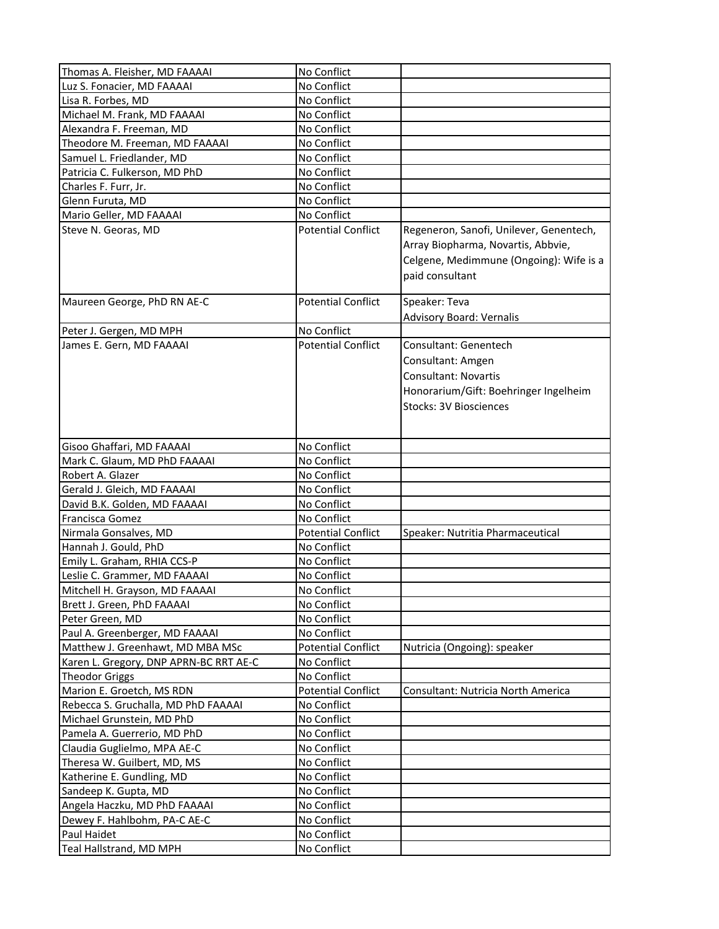| Thomas A. Fleisher, MD FAAAAI          | No Conflict               |                                                                                                                                              |
|----------------------------------------|---------------------------|----------------------------------------------------------------------------------------------------------------------------------------------|
| Luz S. Fonacier, MD FAAAAI             | No Conflict               |                                                                                                                                              |
| Lisa R. Forbes, MD                     | No Conflict               |                                                                                                                                              |
| Michael M. Frank, MD FAAAAI            | No Conflict               |                                                                                                                                              |
| Alexandra F. Freeman, MD               | No Conflict               |                                                                                                                                              |
| Theodore M. Freeman, MD FAAAAI         | No Conflict               |                                                                                                                                              |
| Samuel L. Friedlander, MD              | No Conflict               |                                                                                                                                              |
| Patricia C. Fulkerson, MD PhD          | No Conflict               |                                                                                                                                              |
| Charles F. Furr, Jr.                   | No Conflict               |                                                                                                                                              |
| Glenn Furuta, MD                       | No Conflict               |                                                                                                                                              |
| Mario Geller, MD FAAAAI                | No Conflict               |                                                                                                                                              |
| Steve N. Georas, MD                    | <b>Potential Conflict</b> | Regeneron, Sanofi, Unilever, Genentech,<br>Array Biopharma, Novartis, Abbvie,<br>Celgene, Medimmune (Ongoing): Wife is a<br>paid consultant  |
| Maureen George, PhD RN AE-C            | <b>Potential Conflict</b> | Speaker: Teva                                                                                                                                |
|                                        |                           | <b>Advisory Board: Vernalis</b>                                                                                                              |
| Peter J. Gergen, MD MPH                | No Conflict               |                                                                                                                                              |
| James E. Gern, MD FAAAAI               | <b>Potential Conflict</b> | Consultant: Genentech<br>Consultant: Amgen<br>Consultant: Novartis<br>Honorarium/Gift: Boehringer Ingelheim<br><b>Stocks: 3V Biosciences</b> |
| Gisoo Ghaffari, MD FAAAAI              | No Conflict               |                                                                                                                                              |
| Mark C. Glaum, MD PhD FAAAAI           | No Conflict               |                                                                                                                                              |
| Robert A. Glazer                       | No Conflict               |                                                                                                                                              |
| Gerald J. Gleich, MD FAAAAI            | No Conflict               |                                                                                                                                              |
| David B.K. Golden, MD FAAAAI           | No Conflict               |                                                                                                                                              |
| Francisca Gomez                        | No Conflict               |                                                                                                                                              |
| Nirmala Gonsalves, MD                  | <b>Potential Conflict</b> | Speaker: Nutritia Pharmaceutical                                                                                                             |
| Hannah J. Gould, PhD                   | No Conflict               |                                                                                                                                              |
| Emily L. Graham, RHIA CCS-P            | No Conflict               |                                                                                                                                              |
| Leslie C. Grammer, MD FAAAAI           | No Conflict               |                                                                                                                                              |
| Mitchell H. Grayson, MD FAAAAI         | No Conflict               |                                                                                                                                              |
| Brett J. Green, PhD FAAAAI             | No Conflict               |                                                                                                                                              |
| Peter Green, MD                        | No Conflict               |                                                                                                                                              |
| Paul A. Greenberger, MD FAAAAI         | No Conflict               |                                                                                                                                              |
| Matthew J. Greenhawt, MD MBA MSc       | <b>Potential Conflict</b> | Nutricia (Ongoing): speaker                                                                                                                  |
| Karen L. Gregory, DNP APRN-BC RRT AE-C | No Conflict               |                                                                                                                                              |
| <b>Theodor Griggs</b>                  | No Conflict               |                                                                                                                                              |
| Marion E. Groetch, MS RDN              | <b>Potential Conflict</b> | Consultant: Nutricia North America                                                                                                           |
| Rebecca S. Gruchalla, MD PhD FAAAAI    | No Conflict               |                                                                                                                                              |
| Michael Grunstein, MD PhD              | No Conflict               |                                                                                                                                              |
| Pamela A. Guerrerio, MD PhD            | No Conflict               |                                                                                                                                              |
| Claudia Guglielmo, MPA AE-C            | No Conflict               |                                                                                                                                              |
| Theresa W. Guilbert, MD, MS            | No Conflict               |                                                                                                                                              |
| Katherine E. Gundling, MD              | No Conflict               |                                                                                                                                              |
| Sandeep K. Gupta, MD                   | No Conflict               |                                                                                                                                              |
| Angela Haczku, MD PhD FAAAAI           | No Conflict               |                                                                                                                                              |
| Dewey F. Hahlbohm, PA-C AE-C           | No Conflict               |                                                                                                                                              |
| Paul Haidet                            | No Conflict               |                                                                                                                                              |
| Teal Hallstrand, MD MPH                | No Conflict               |                                                                                                                                              |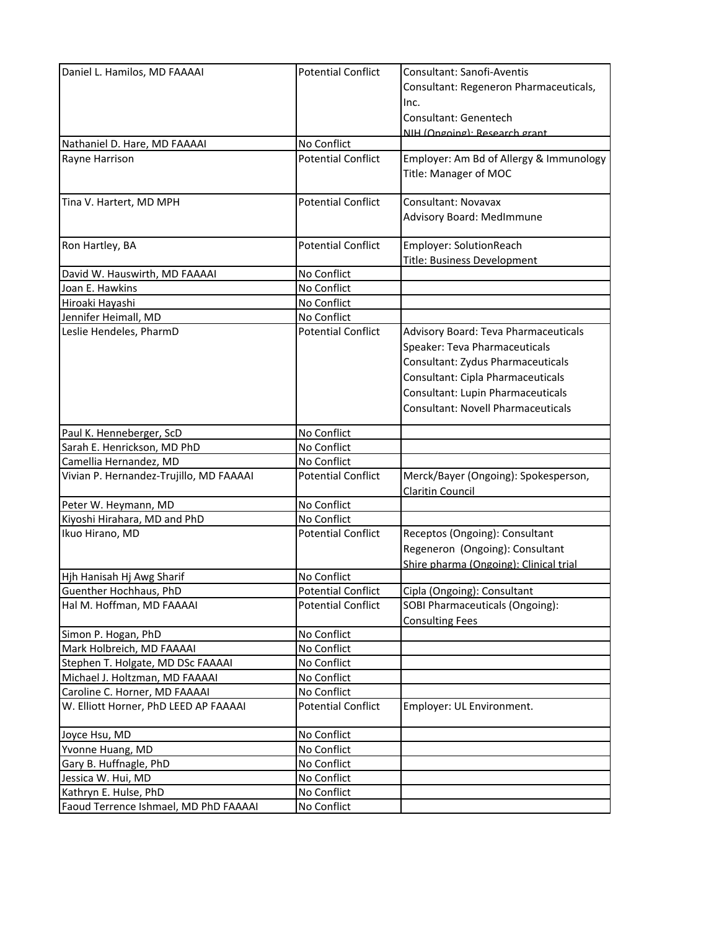| Daniel L. Hamilos, MD FAAAAI            | <b>Potential Conflict</b> | Consultant: Sanofi-Aventis                |
|-----------------------------------------|---------------------------|-------------------------------------------|
|                                         |                           | Consultant: Regeneron Pharmaceuticals,    |
|                                         |                           | Inc.                                      |
|                                         |                           | Consultant: Genentech                     |
|                                         |                           | NIH (Ongoing): Research grant             |
| Nathaniel D. Hare, MD FAAAAI            | No Conflict               |                                           |
| Rayne Harrison                          | <b>Potential Conflict</b> | Employer: Am Bd of Allergy & Immunology   |
|                                         |                           | Title: Manager of MOC                     |
|                                         |                           |                                           |
| Tina V. Hartert, MD MPH                 | <b>Potential Conflict</b> | Consultant: Novavax                       |
|                                         |                           | Advisory Board: MedImmune                 |
|                                         |                           |                                           |
| Ron Hartley, BA                         | <b>Potential Conflict</b> | Employer: SolutionReach                   |
|                                         |                           | Title: Business Development               |
| David W. Hauswirth, MD FAAAAI           | No Conflict               |                                           |
| Joan E. Hawkins                         | No Conflict               |                                           |
| Hiroaki Hayashi                         | No Conflict               |                                           |
| Jennifer Heimall, MD                    | No Conflict               |                                           |
| Leslie Hendeles, PharmD                 | <b>Potential Conflict</b> | Advisory Board: Teva Pharmaceuticals      |
|                                         |                           | Speaker: Teva Pharmaceuticals             |
|                                         |                           | Consultant: Zydus Pharmaceuticals         |
|                                         |                           | Consultant: Cipla Pharmaceuticals         |
|                                         |                           | Consultant: Lupin Pharmaceuticals         |
|                                         |                           | <b>Consultant: Novell Pharmaceuticals</b> |
|                                         |                           |                                           |
| Paul K. Henneberger, ScD                | No Conflict               |                                           |
| Sarah E. Henrickson, MD PhD             | No Conflict               |                                           |
| Camellia Hernandez, MD                  | No Conflict               |                                           |
| Vivian P. Hernandez-Trujillo, MD FAAAAI | <b>Potential Conflict</b> | Merck/Bayer (Ongoing): Spokesperson,      |
|                                         |                           | Claritin Council                          |
| Peter W. Heymann, MD                    | No Conflict               |                                           |
| Kiyoshi Hirahara, MD and PhD            | No Conflict               |                                           |
| Ikuo Hirano, MD                         | <b>Potential Conflict</b> | Receptos (Ongoing): Consultant            |
|                                         |                           | Regeneron (Ongoing): Consultant           |
|                                         |                           | Shire pharma (Ongoing): Clinical trial    |
| Hjh Hanisah Hj Awg Sharif               | No Conflict               |                                           |
| Guenther Hochhaus, PhD                  | <b>Potential Conflict</b> | Cipla (Ongoing): Consultant               |
| Hal M. Hoffman, MD FAAAAI               | <b>Potential Conflict</b> | SOBI Pharmaceuticals (Ongoing):           |
|                                         |                           | <b>Consulting Fees</b>                    |
| Simon P. Hogan, PhD                     | No Conflict               |                                           |
| Mark Holbreich, MD FAAAAI               | No Conflict               |                                           |
| Stephen T. Holgate, MD DSc FAAAAI       | No Conflict               |                                           |
| Michael J. Holtzman, MD FAAAAI          | No Conflict               |                                           |
| Caroline C. Horner, MD FAAAAI           | No Conflict               |                                           |
| W. Elliott Horner, PhD LEED AP FAAAAI   | <b>Potential Conflict</b> | Employer: UL Environment.                 |
| Joyce Hsu, MD                           | No Conflict               |                                           |
| Yvonne Huang, MD                        | No Conflict               |                                           |
| Gary B. Huffnagle, PhD                  | No Conflict               |                                           |
| Jessica W. Hui, MD                      | No Conflict               |                                           |
| Kathryn E. Hulse, PhD                   | No Conflict               |                                           |
| Faoud Terrence Ishmael, MD PhD FAAAAI   | No Conflict               |                                           |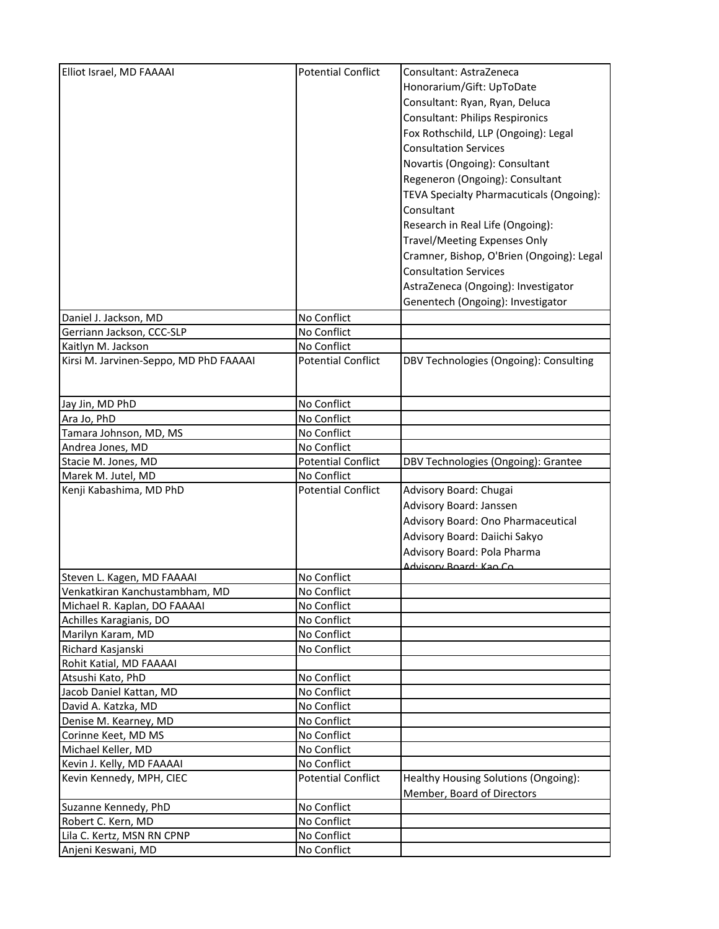| Elliot Israel, MD FAAAAI                     | <b>Potential Conflict</b>  | Consultant: AstraZeneca                                                   |
|----------------------------------------------|----------------------------|---------------------------------------------------------------------------|
|                                              |                            | Honorarium/Gift: UpToDate                                                 |
|                                              |                            | Consultant: Ryan, Ryan, Deluca                                            |
|                                              |                            | Consultant: Philips Respironics                                           |
|                                              |                            | Fox Rothschild, LLP (Ongoing): Legal                                      |
|                                              |                            |                                                                           |
|                                              |                            | <b>Consultation Services</b>                                              |
|                                              |                            | Novartis (Ongoing): Consultant                                            |
|                                              |                            | Regeneron (Ongoing): Consultant                                           |
|                                              |                            | TEVA Specialty Pharmacuticals (Ongoing):                                  |
|                                              |                            | Consultant                                                                |
|                                              |                            | Research in Real Life (Ongoing):                                          |
|                                              |                            | Travel/Meeting Expenses Only                                              |
|                                              |                            | Cramner, Bishop, O'Brien (Ongoing): Legal                                 |
|                                              |                            | <b>Consultation Services</b>                                              |
|                                              |                            | AstraZeneca (Ongoing): Investigator                                       |
|                                              |                            | Genentech (Ongoing): Investigator                                         |
| Daniel J. Jackson, MD                        | No Conflict                |                                                                           |
| Gerriann Jackson, CCC-SLP                    | No Conflict                |                                                                           |
| Kaitlyn M. Jackson                           | No Conflict                |                                                                           |
| Kirsi M. Jarvinen-Seppo, MD PhD FAAAAI       | <b>Potential Conflict</b>  | DBV Technologies (Ongoing): Consulting                                    |
|                                              |                            |                                                                           |
| Jay Jin, MD PhD                              | No Conflict                |                                                                           |
| Ara Jo, PhD                                  | No Conflict                |                                                                           |
| Tamara Johnson, MD, MS                       | No Conflict                |                                                                           |
| Andrea Jones, MD                             | No Conflict                |                                                                           |
| Stacie M. Jones, MD                          | <b>Potential Conflict</b>  | DBV Technologies (Ongoing): Grantee                                       |
| Marek M. Jutel, MD                           | No Conflict                |                                                                           |
| Kenji Kabashima, MD PhD                      | <b>Potential Conflict</b>  | Advisory Board: Chugai                                                    |
|                                              |                            | Advisory Board: Janssen                                                   |
|                                              |                            |                                                                           |
|                                              |                            | Advisory Board: Ono Pharmaceutical                                        |
|                                              |                            | Advisory Board: Daiichi Sakyo                                             |
|                                              |                            | Advisory Board: Pola Pharma                                               |
| Steven L. Kagen, MD FAAAAI                   | No Conflict                | Advisory Board: Kao Co                                                    |
| Venkatkiran Kanchustambham, MD               | No Conflict                |                                                                           |
| Michael R. Kaplan, DO FAAAAI                 | No Conflict                |                                                                           |
| Achilles Karagianis, DO                      | No Conflict                |                                                                           |
| Marilyn Karam, MD                            | No Conflict                |                                                                           |
| Richard Kasjanski                            | No Conflict                |                                                                           |
| Rohit Katial, MD FAAAAI                      |                            |                                                                           |
| Atsushi Kato, PhD                            | No Conflict                |                                                                           |
| Jacob Daniel Kattan, MD                      | No Conflict                |                                                                           |
| David A. Katzka, MD                          | No Conflict                |                                                                           |
|                                              | No Conflict                |                                                                           |
| Denise M. Kearney, MD<br>Corinne Keet, MD MS |                            |                                                                           |
|                                              | No Conflict                |                                                                           |
| Michael Keller, MD                           | No Conflict<br>No Conflict |                                                                           |
| Kevin J. Kelly, MD FAAAAI                    |                            |                                                                           |
| Kevin Kennedy, MPH, CIEC                     | <b>Potential Conflict</b>  | Healthy Housing Solutions (Ongoing):<br><b>Member, Board of Directors</b> |
| Suzanne Kennedy, PhD                         | No Conflict                |                                                                           |
| Robert C. Kern, MD                           | No Conflict                |                                                                           |
| Lila C. Kertz, MSN RN CPNP                   | No Conflict                |                                                                           |
| Anjeni Keswani, MD                           | No Conflict                |                                                                           |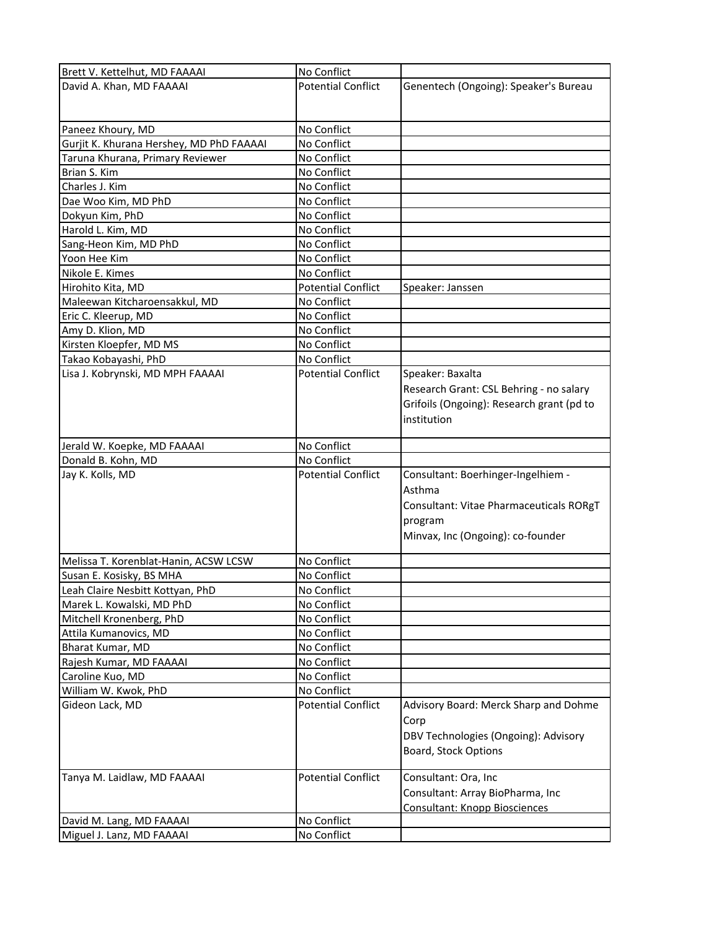| Brett V. Kettelhut, MD FAAAAI            | No Conflict               |                                           |
|------------------------------------------|---------------------------|-------------------------------------------|
| David A. Khan, MD FAAAAI                 | <b>Potential Conflict</b> | Genentech (Ongoing): Speaker's Bureau     |
|                                          |                           |                                           |
|                                          |                           |                                           |
| Paneez Khoury, MD                        | No Conflict               |                                           |
| Gurjit K. Khurana Hershey, MD PhD FAAAAI | No Conflict               |                                           |
| Taruna Khurana, Primary Reviewer         | No Conflict               |                                           |
| Brian S. Kim                             | No Conflict               |                                           |
| Charles J. Kim                           | No Conflict               |                                           |
| Dae Woo Kim, MD PhD                      | No Conflict               |                                           |
| Dokyun Kim, PhD                          | No Conflict               |                                           |
| Harold L. Kim, MD                        | No Conflict               |                                           |
| Sang-Heon Kim, MD PhD                    | No Conflict               |                                           |
| Yoon Hee Kim                             | No Conflict               |                                           |
| Nikole E. Kimes                          | No Conflict               |                                           |
| Hirohito Kita, MD                        | <b>Potential Conflict</b> | Speaker: Janssen                          |
| Maleewan Kitcharoensakkul, MD            | No Conflict               |                                           |
| Eric C. Kleerup, MD                      | No Conflict               |                                           |
| Amy D. Klion, MD                         | No Conflict               |                                           |
| Kirsten Kloepfer, MD MS                  | No Conflict               |                                           |
| Takao Kobayashi, PhD                     | No Conflict               |                                           |
| Lisa J. Kobrynski, MD MPH FAAAAI         | <b>Potential Conflict</b> | Speaker: Baxalta                          |
|                                          |                           | Research Grant: CSL Behring - no salary   |
|                                          |                           |                                           |
|                                          |                           | Grifoils (Ongoing): Research grant (pd to |
|                                          |                           | institution                               |
| Jerald W. Koepke, MD FAAAAI              | No Conflict               |                                           |
| Donald B. Kohn, MD                       | No Conflict               |                                           |
| Jay K. Kolls, MD                         | <b>Potential Conflict</b> | Consultant: Boerhinger-Ingelhiem -        |
|                                          |                           | Asthma                                    |
|                                          |                           |                                           |
|                                          |                           | Consultant: Vitae Pharmaceuticals RORgT   |
|                                          |                           | program                                   |
|                                          |                           | Minvax, Inc (Ongoing): co-founder         |
| Melissa T. Korenblat-Hanin, ACSW LCSW    | No Conflict               |                                           |
|                                          |                           |                                           |
| Susan E. Kosisky, BS MHA                 | No Conflict               |                                           |
| Leah Claire Nesbitt Kottyan, PhD         | No Conflict               |                                           |
| Marek L. Kowalski, MD PhD                | No Conflict               |                                           |
| Mitchell Kronenberg, PhD                 | No Conflict               |                                           |
| Attila Kumanovics, MD                    | No Conflict               |                                           |
| Bharat Kumar, MD                         | No Conflict               |                                           |
| Rajesh Kumar, MD FAAAAI                  | No Conflict               |                                           |
| Caroline Kuo, MD                         | No Conflict               |                                           |
| William W. Kwok, PhD                     | No Conflict               |                                           |
| Gideon Lack, MD                          | <b>Potential Conflict</b> | Advisory Board: Merck Sharp and Dohme     |
|                                          |                           | Corp                                      |
|                                          |                           | DBV Technologies (Ongoing): Advisory      |
|                                          |                           | <b>Board, Stock Options</b>               |
|                                          |                           |                                           |
| Tanya M. Laidlaw, MD FAAAAI              | <b>Potential Conflict</b> | Consultant: Ora, Inc                      |
|                                          |                           | Consultant: Array BioPharma, Inc          |
|                                          |                           | Consultant: Knopp Biosciences             |
| David M. Lang, MD FAAAAI                 | No Conflict               |                                           |
| Miguel J. Lanz, MD FAAAAI                | No Conflict               |                                           |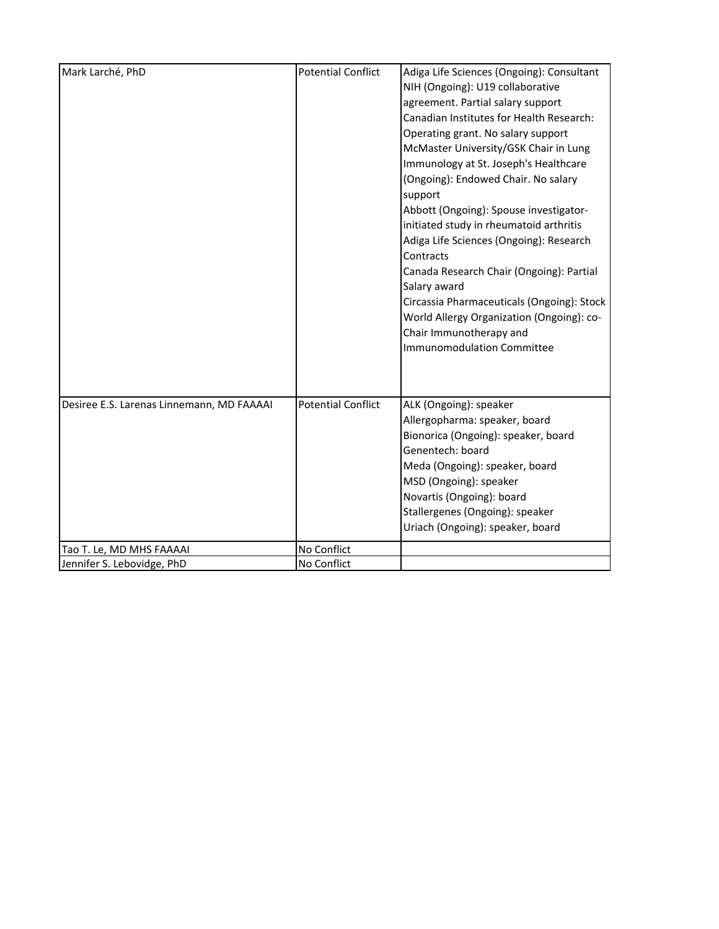| Mark Larché, PhD                          | <b>Potential Conflict</b> | Adiga Life Sciences (Ongoing): Consultant<br>NIH (Ongoing): U19 collaborative<br>agreement. Partial salary support<br>Canadian Institutes for Health Research:<br>Operating grant. No salary support<br>McMaster University/GSK Chair in Lung<br>Immunology at St. Joseph's Healthcare<br>(Ongoing): Endowed Chair. No salary<br>support<br>Abbott (Ongoing): Spouse investigator-<br>initiated study in rheumatoid arthritis<br>Adiga Life Sciences (Ongoing): Research<br>Contracts<br>Canada Research Chair (Ongoing): Partial<br>Salary award<br>Circassia Pharmaceuticals (Ongoing): Stock<br>World Allergy Organization (Ongoing): co-<br>Chair Immunotherapy and<br><b>Immunomodulation Committee</b> |
|-------------------------------------------|---------------------------|--------------------------------------------------------------------------------------------------------------------------------------------------------------------------------------------------------------------------------------------------------------------------------------------------------------------------------------------------------------------------------------------------------------------------------------------------------------------------------------------------------------------------------------------------------------------------------------------------------------------------------------------------------------------------------------------------------------|
| Desiree E.S. Larenas Linnemann, MD FAAAAI | <b>Potential Conflict</b> | ALK (Ongoing): speaker<br>Allergopharma: speaker, board<br>Bionorica (Ongoing): speaker, board<br>Genentech: board<br>Meda (Ongoing): speaker, board<br>MSD (Ongoing): speaker<br>Novartis (Ongoing): board<br>Stallergenes (Ongoing): speaker<br>Uriach (Ongoing): speaker, board                                                                                                                                                                                                                                                                                                                                                                                                                           |
| Tao T. Le, MD MHS FAAAAI                  | No Conflict               |                                                                                                                                                                                                                                                                                                                                                                                                                                                                                                                                                                                                                                                                                                              |
| Jennifer S. Lebovidge, PhD                | No Conflict               |                                                                                                                                                                                                                                                                                                                                                                                                                                                                                                                                                                                                                                                                                                              |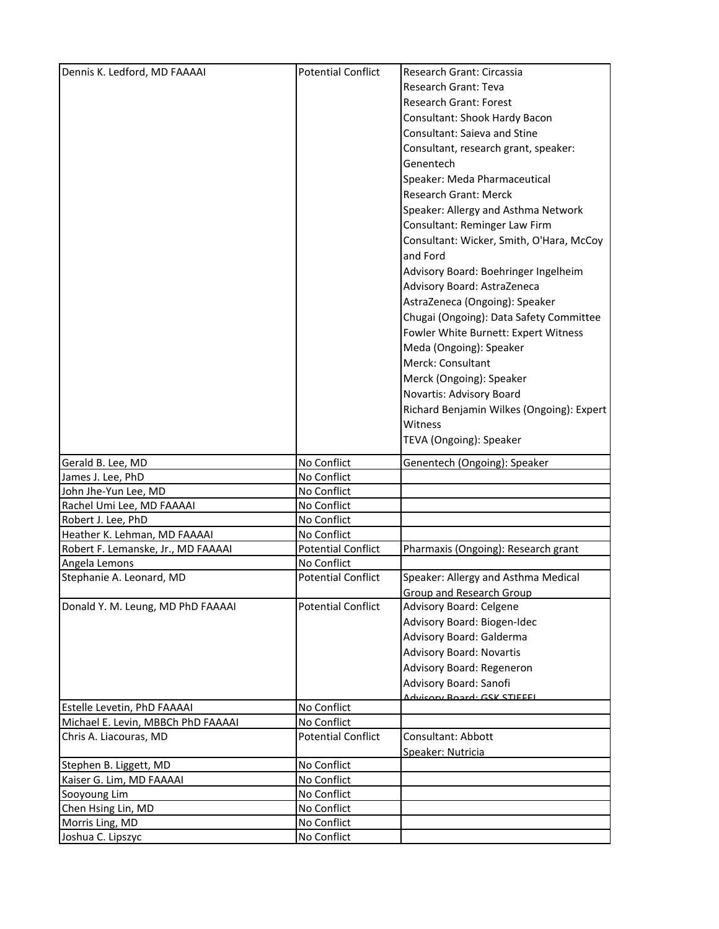| Dennis K. Ledford, MD FAAAAI                                 | <b>Potential Conflict</b>  | Research Grant: Circassia                 |
|--------------------------------------------------------------|----------------------------|-------------------------------------------|
|                                                              |                            | Research Grant: Teva                      |
|                                                              |                            | <b>Research Grant: Forest</b>             |
|                                                              |                            |                                           |
|                                                              |                            | Consultant: Shook Hardy Bacon             |
|                                                              |                            | <b>Consultant: Saieva and Stine</b>       |
|                                                              |                            | Consultant, research grant, speaker:      |
|                                                              |                            | Genentech                                 |
|                                                              |                            | Speaker: Meda Pharmaceutical              |
|                                                              |                            | Research Grant: Merck                     |
|                                                              |                            | Speaker: Allergy and Asthma Network       |
|                                                              |                            | Consultant: Reminger Law Firm             |
|                                                              |                            | Consultant: Wicker, Smith, O'Hara, McCoy  |
|                                                              |                            | and Ford                                  |
|                                                              |                            | Advisory Board: Boehringer Ingelheim      |
|                                                              |                            | Advisory Board: AstraZeneca               |
|                                                              |                            | AstraZeneca (Ongoing): Speaker            |
|                                                              |                            | Chugai (Ongoing): Data Safety Committee   |
|                                                              |                            | Fowler White Burnett: Expert Witness      |
|                                                              |                            | Meda (Ongoing): Speaker                   |
|                                                              |                            | Merck: Consultant                         |
|                                                              |                            | Merck (Ongoing): Speaker                  |
|                                                              |                            |                                           |
|                                                              |                            | Novartis: Advisory Board                  |
|                                                              |                            | Richard Benjamin Wilkes (Ongoing): Expert |
|                                                              |                            | Witness                                   |
|                                                              |                            | TEVA (Ongoing): Speaker                   |
| Gerald B. Lee, MD                                            | No Conflict                | Genentech (Ongoing): Speaker              |
| James J. Lee, PhD                                            | No Conflict                |                                           |
| John Jhe-Yun Lee, MD                                         | No Conflict                |                                           |
| Rachel Umi Lee, MD FAAAAI                                    | No Conflict                |                                           |
| Robert J. Lee, PhD                                           | No Conflict                |                                           |
| Heather K. Lehman, MD FAAAAI                                 | No Conflict                |                                           |
| Robert F. Lemanske, Jr., MD FAAAAI                           | <b>Potential Conflict</b>  | Pharmaxis (Ongoing): Research grant       |
| Angela Lemons                                                | No Conflict                |                                           |
| Stephanie A. Leonard, MD                                     | <b>Potential Conflict</b>  | Speaker: Allergy and Asthma Medical       |
|                                                              |                            | Group and Research Group                  |
| Donald Y. M. Leung, MD PhD FAAAAI                            | <b>Potential Conflict</b>  | Advisory Board: Celgene                   |
|                                                              |                            |                                           |
|                                                              |                            |                                           |
|                                                              |                            | Advisory Board: Biogen-Idec               |
|                                                              |                            | Advisory Board: Galderma                  |
|                                                              |                            | <b>Advisory Board: Novartis</b>           |
|                                                              |                            | Advisory Board: Regeneron                 |
|                                                              |                            | Advisory Board: Sanofi                    |
|                                                              |                            | Advisory Roard: GSK STIEEEL               |
| Estelle Levetin, PhD FAAAAI                                  | No Conflict<br>No Conflict |                                           |
| Michael E. Levin, MBBCh PhD FAAAAI<br>Chris A. Liacouras, MD | <b>Potential Conflict</b>  | Consultant: Abbott                        |
|                                                              |                            |                                           |
| Stephen B. Liggett, MD                                       | No Conflict                | Speaker: Nutricia                         |
| Kaiser G. Lim, MD FAAAAI                                     | No Conflict                |                                           |
| Sooyoung Lim                                                 | No Conflict                |                                           |
| Chen Hsing Lin, MD                                           | No Conflict                |                                           |
| Morris Ling, MD                                              | No Conflict                |                                           |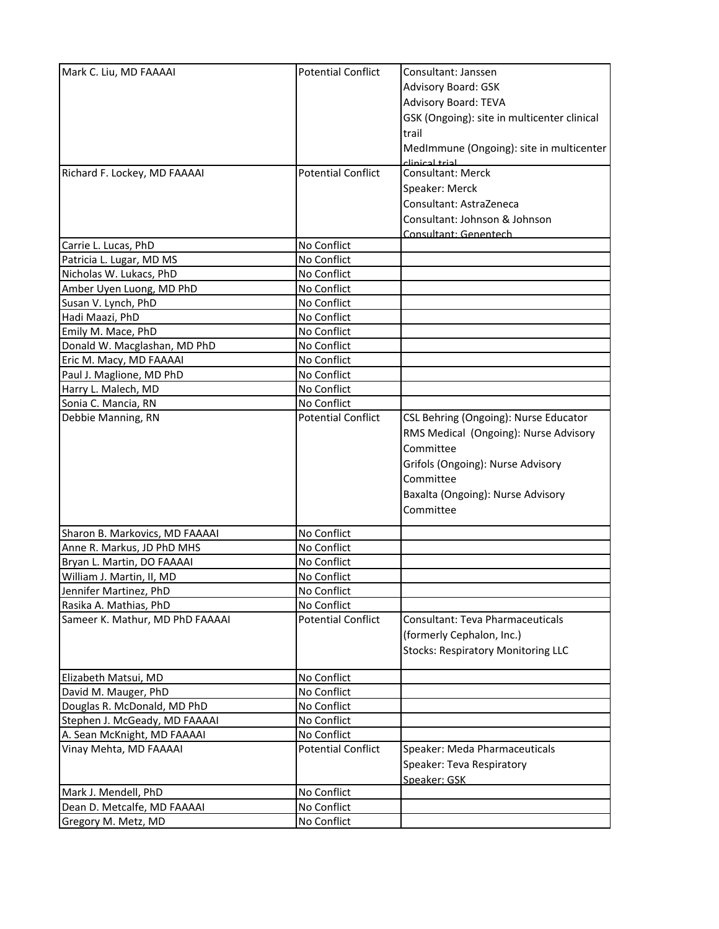| Mark C. Liu, MD FAAAAI          | <b>Potential Conflict</b> | Consultant: Janssen                         |
|---------------------------------|---------------------------|---------------------------------------------|
|                                 |                           | Advisory Board: GSK                         |
|                                 |                           | <b>Advisory Board: TEVA</b>                 |
|                                 |                           | GSK (Ongoing): site in multicenter clinical |
|                                 |                           | trail                                       |
|                                 |                           | MedImmune (Ongoing): site in multicenter    |
|                                 |                           | لجنعط لجمنعناء                              |
| Richard F. Lockey, MD FAAAAI    | <b>Potential Conflict</b> | <b>Consultant: Merck</b>                    |
|                                 |                           | Speaker: Merck                              |
|                                 |                           | Consultant: AstraZeneca                     |
|                                 |                           | Consultant: Johnson & Johnson               |
|                                 |                           | Consultant: Genentech                       |
| Carrie L. Lucas, PhD            | No Conflict               |                                             |
| Patricia L. Lugar, MD MS        | No Conflict               |                                             |
| Nicholas W. Lukacs, PhD         | No Conflict               |                                             |
| Amber Uyen Luong, MD PhD        | No Conflict               |                                             |
| Susan V. Lynch, PhD             | No Conflict               |                                             |
| Hadi Maazi, PhD                 | No Conflict               |                                             |
| Emily M. Mace, PhD              | No Conflict               |                                             |
| Donald W. Macglashan, MD PhD    | No Conflict               |                                             |
| Eric M. Macy, MD FAAAAI         | No Conflict               |                                             |
| Paul J. Maglione, MD PhD        | No Conflict               |                                             |
| Harry L. Malech, MD             | No Conflict               |                                             |
| Sonia C. Mancia, RN             | No Conflict               |                                             |
| Debbie Manning, RN              | <b>Potential Conflict</b> | CSL Behring (Ongoing): Nurse Educator       |
|                                 |                           | RMS Medical (Ongoing): Nurse Advisory       |
|                                 |                           | Committee                                   |
|                                 |                           | Grifols (Ongoing): Nurse Advisory           |
|                                 |                           | Committee                                   |
|                                 |                           |                                             |
|                                 |                           | Baxalta (Ongoing): Nurse Advisory           |
|                                 |                           | Committee                                   |
| Sharon B. Markovics, MD FAAAAI  | No Conflict               |                                             |
| Anne R. Markus, JD PhD MHS      | No Conflict               |                                             |
| Bryan L. Martin, DO FAAAAI      | No Conflict               |                                             |
| William J. Martin, II, MD       | No Conflict               |                                             |
| Jennifer Martinez, PhD          | No Conflict               |                                             |
| Rasika A. Mathias, PhD          | No Conflict               |                                             |
| Sameer K. Mathur, MD PhD FAAAAI | <b>Potential Conflict</b> | Consultant: Teva Pharmaceuticals            |
|                                 |                           | (formerly Cephalon, Inc.)                   |
|                                 |                           | <b>Stocks: Respiratory Monitoring LLC</b>   |
|                                 |                           |                                             |
| Elizabeth Matsui, MD            | No Conflict               |                                             |
| David M. Mauger, PhD            | No Conflict               |                                             |
| Douglas R. McDonald, MD PhD     | No Conflict               |                                             |
| Stephen J. McGeady, MD FAAAAI   | No Conflict               |                                             |
| A. Sean McKnight, MD FAAAAI     | No Conflict               |                                             |
| Vinay Mehta, MD FAAAAI          | <b>Potential Conflict</b> | Speaker: Meda Pharmaceuticals               |
|                                 |                           | Speaker: Teva Respiratory                   |
|                                 |                           | Speaker: GSK                                |
| Mark J. Mendell, PhD            | No Conflict               |                                             |
| Dean D. Metcalfe, MD FAAAAI     | No Conflict               |                                             |
| Gregory M. Metz, MD             | No Conflict               |                                             |
|                                 |                           |                                             |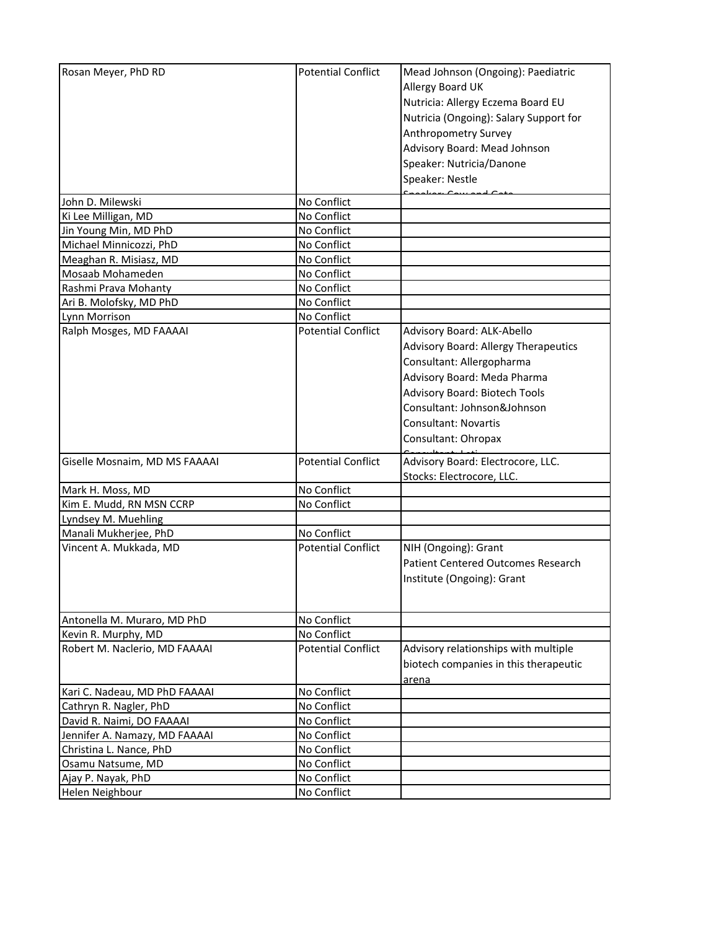| Rosan Meyer, PhD RD           | <b>Potential Conflict</b> | Mead Johnson (Ongoing): Paediatric          |
|-------------------------------|---------------------------|---------------------------------------------|
|                               |                           | Allergy Board UK                            |
|                               |                           | Nutricia: Allergy Eczema Board EU           |
|                               |                           | Nutricia (Ongoing): Salary Support for      |
|                               |                           | Anthropometry Survey                        |
|                               |                           | Advisory Board: Mead Johnson                |
|                               |                           |                                             |
|                               |                           | Speaker: Nutricia/Danone                    |
|                               |                           | Speaker: Nestle                             |
| John D. Milewski              | No Conflict               |                                             |
| Ki Lee Milligan, MD           | No Conflict               |                                             |
| Jin Young Min, MD PhD         | No Conflict               |                                             |
| Michael Minnicozzi, PhD       | No Conflict               |                                             |
| Meaghan R. Misiasz, MD        | No Conflict               |                                             |
| Mosaab Mohameden              | No Conflict               |                                             |
| Rashmi Prava Mohanty          | No Conflict               |                                             |
| Ari B. Molofsky, MD PhD       | No Conflict               |                                             |
| Lynn Morrison                 | No Conflict               |                                             |
| Ralph Mosges, MD FAAAAI       | <b>Potential Conflict</b> | Advisory Board: ALK-Abello                  |
|                               |                           | <b>Advisory Board: Allergy Therapeutics</b> |
|                               |                           | Consultant: Allergopharma                   |
|                               |                           | Advisory Board: Meda Pharma                 |
|                               |                           | Advisory Board: Biotech Tools               |
|                               |                           | Consultant: Johnson&Johnson                 |
|                               |                           | Consultant: Novartis                        |
|                               |                           |                                             |
|                               |                           | Consultant: Ohropax                         |
| Giselle Mosnaim, MD MS FAAAAI | <b>Potential Conflict</b> | Advisory Board: Electrocore, LLC.           |
|                               |                           | Stocks: Electrocore, LLC.                   |
| Mark H. Moss, MD              | No Conflict               |                                             |
| Kim E. Mudd, RN MSN CCRP      | No Conflict               |                                             |
| Lyndsey M. Muehling           |                           |                                             |
| Manali Mukherjee, PhD         | No Conflict               |                                             |
| Vincent A. Mukkada, MD        | <b>Potential Conflict</b> | NIH (Ongoing): Grant                        |
|                               |                           | <b>Patient Centered Outcomes Research</b>   |
|                               |                           | Institute (Ongoing): Grant                  |
|                               |                           |                                             |
| Antonella M. Muraro, MD PhD   | No Conflict               |                                             |
| Kevin R. Murphy, MD           | No Conflict               |                                             |
| Robert M. Naclerio, MD FAAAAI | <b>Potential Conflict</b> | Advisory relationships with multiple        |
|                               |                           | biotech companies in this therapeutic       |
|                               |                           |                                             |
| Kari C. Nadeau, MD PhD FAAAAI | No Conflict               | <u>arena</u>                                |
| Cathryn R. Nagler, PhD        | No Conflict               |                                             |
| David R. Naimi, DO FAAAAI     | No Conflict               |                                             |
| Jennifer A. Namazy, MD FAAAAI | No Conflict               |                                             |
| Christina L. Nance, PhD       | No Conflict               |                                             |
| Osamu Natsume, MD             | No Conflict               |                                             |
| Ajay P. Nayak, PhD            | No Conflict               |                                             |
| Helen Neighbour               | No Conflict               |                                             |
|                               |                           |                                             |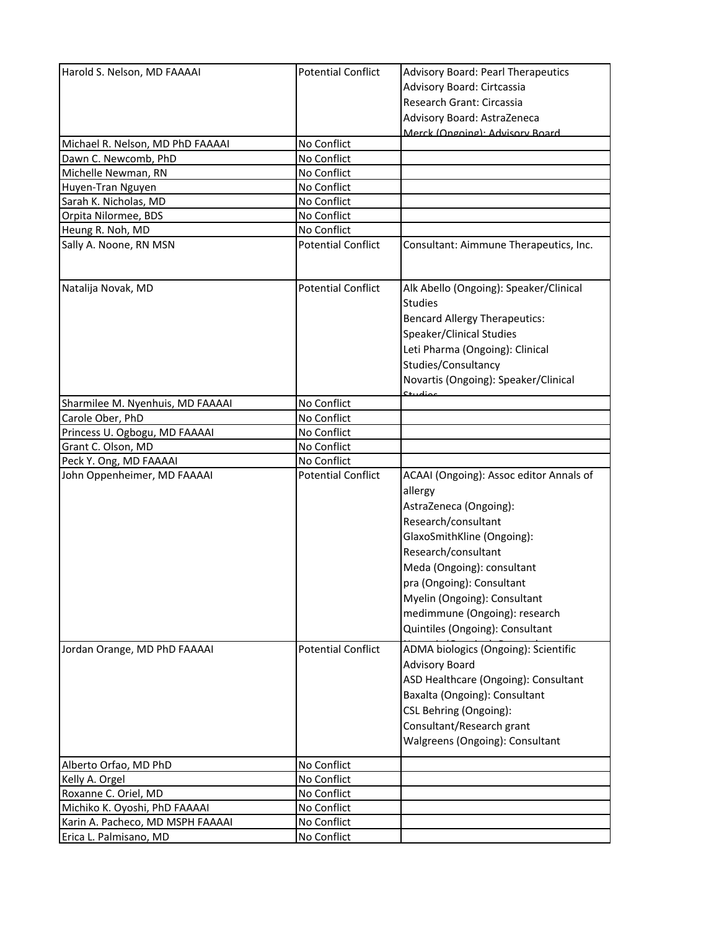| Harold S. Nelson, MD FAAAAI                                       | <b>Potential Conflict</b>  | <b>Advisory Board: Pearl Therapeutics</b>                    |
|-------------------------------------------------------------------|----------------------------|--------------------------------------------------------------|
|                                                                   |                            | Advisory Board: Cirtcassia                                   |
|                                                                   |                            | Research Grant: Circassia                                    |
|                                                                   |                            | Advisory Board: AstraZeneca                                  |
|                                                                   |                            | Merck (Ongoing): Advisory Board                              |
| Michael R. Nelson, MD PhD FAAAAI                                  | No Conflict                |                                                              |
| Dawn C. Newcomb, PhD                                              | No Conflict                |                                                              |
| Michelle Newman, RN                                               | No Conflict                |                                                              |
| Huyen-Tran Nguyen                                                 | No Conflict                |                                                              |
| Sarah K. Nicholas, MD                                             | No Conflict                |                                                              |
| Orpita Nilormee, BDS                                              | No Conflict                |                                                              |
| Heung R. Noh, MD                                                  | No Conflict                |                                                              |
| Sally A. Noone, RN MSN                                            | <b>Potential Conflict</b>  | Consultant: Aimmune Therapeutics, Inc.                       |
| Natalija Novak, MD                                                | <b>Potential Conflict</b>  | Alk Abello (Ongoing): Speaker/Clinical                       |
|                                                                   |                            | <b>Studies</b>                                               |
|                                                                   |                            | <b>Bencard Allergy Therapeutics:</b>                         |
|                                                                   |                            | Speaker/Clinical Studies                                     |
|                                                                   |                            | Leti Pharma (Ongoing): Clinical                              |
|                                                                   |                            | Studies/Consultancy                                          |
|                                                                   |                            |                                                              |
|                                                                   |                            | Novartis (Ongoing): Speaker/Clinical                         |
| Sharmilee M. Nyenhuis, MD FAAAAI                                  | No Conflict                |                                                              |
| Carole Ober, PhD                                                  | No Conflict                |                                                              |
| Princess U. Ogbogu, MD FAAAAI                                     | No Conflict                |                                                              |
| Grant C. Olson, MD                                                | No Conflict                |                                                              |
|                                                                   |                            |                                                              |
|                                                                   | No Conflict                |                                                              |
| Peck Y. Ong, MD FAAAAI<br>John Oppenheimer, MD FAAAAI             | <b>Potential Conflict</b>  | ACAAI (Ongoing): Assoc editor Annals of                      |
|                                                                   |                            | allergy                                                      |
|                                                                   |                            |                                                              |
|                                                                   |                            | AstraZeneca (Ongoing):                                       |
|                                                                   |                            | Research/consultant                                          |
|                                                                   |                            | GlaxoSmithKline (Ongoing):                                   |
|                                                                   |                            | Research/consultant                                          |
|                                                                   |                            | Meda (Ongoing): consultant                                   |
|                                                                   |                            | pra (Ongoing): Consultant                                    |
|                                                                   |                            | Myelin (Ongoing): Consultant                                 |
|                                                                   |                            | medimmune (Ongoing): research                                |
|                                                                   |                            | Quintiles (Ongoing): Consultant                              |
| Jordan Orange, MD PhD FAAAAI                                      | <b>Potential Conflict</b>  | ADMA biologics (Ongoing): Scientific                         |
|                                                                   |                            |                                                              |
|                                                                   |                            | <b>Advisory Board</b>                                        |
|                                                                   |                            | ASD Healthcare (Ongoing): Consultant                         |
|                                                                   |                            | Baxalta (Ongoing): Consultant                                |
|                                                                   |                            | CSL Behring (Ongoing):                                       |
|                                                                   |                            | Consultant/Research grant<br>Walgreens (Ongoing): Consultant |
|                                                                   |                            |                                                              |
| Alberto Orfao, MD PhD                                             | No Conflict                |                                                              |
| Kelly A. Orgel                                                    | No Conflict                |                                                              |
| Roxanne C. Oriel, MD                                              | No Conflict                |                                                              |
| Michiko K. Oyoshi, PhD FAAAAI<br>Karin A. Pacheco, MD MSPH FAAAAI | No Conflict<br>No Conflict |                                                              |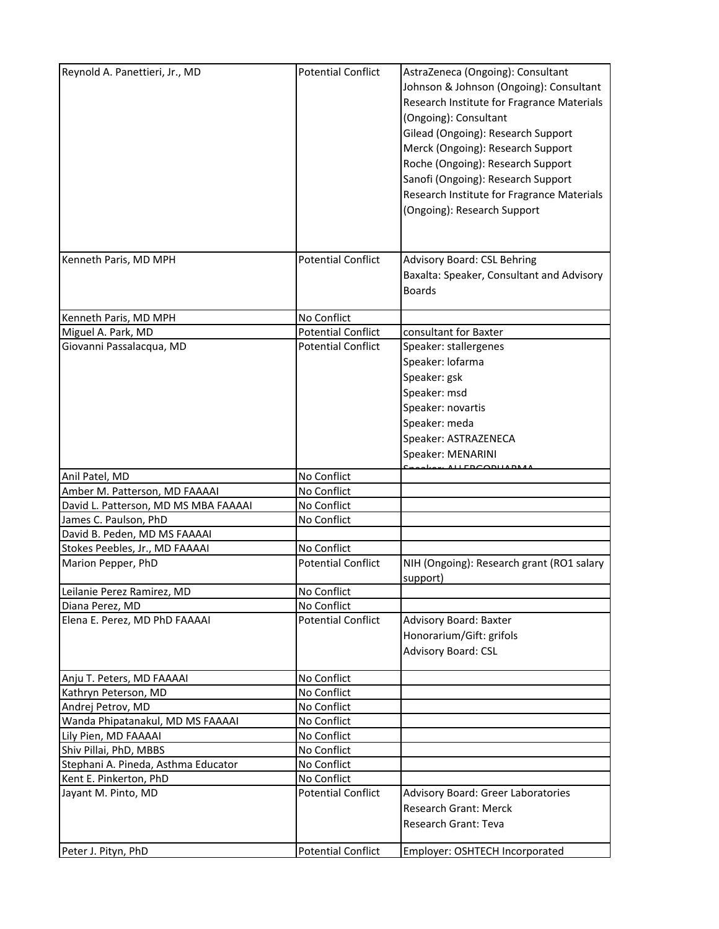| Reynold A. Panettieri, Jr., MD       | <b>Potential Conflict</b> | AstraZeneca (Ongoing): Consultant<br>Johnson & Johnson (Ongoing): Consultant<br>Research Institute for Fragrance Materials<br>(Ongoing): Consultant<br>Gilead (Ongoing): Research Support<br>Merck (Ongoing): Research Support<br>Roche (Ongoing): Research Support<br>Sanofi (Ongoing): Research Support<br>Research Institute for Fragrance Materials<br>(Ongoing): Research Support |
|--------------------------------------|---------------------------|----------------------------------------------------------------------------------------------------------------------------------------------------------------------------------------------------------------------------------------------------------------------------------------------------------------------------------------------------------------------------------------|
| Kenneth Paris, MD MPH                | <b>Potential Conflict</b> | Advisory Board: CSL Behring<br>Baxalta: Speaker, Consultant and Advisory<br><b>Boards</b>                                                                                                                                                                                                                                                                                              |
| Kenneth Paris, MD MPH                | No Conflict               |                                                                                                                                                                                                                                                                                                                                                                                        |
| Miguel A. Park, MD                   | <b>Potential Conflict</b> | consultant for Baxter                                                                                                                                                                                                                                                                                                                                                                  |
| Giovanni Passalacqua, MD             | <b>Potential Conflict</b> | Speaker: stallergenes<br>Speaker: lofarma<br>Speaker: gsk<br>Speaker: msd<br>Speaker: novartis<br>Speaker: meda<br>Speaker: ASTRAZENECA<br>Speaker: MENARINI                                                                                                                                                                                                                           |
| Anil Patel, MD                       | No Conflict               |                                                                                                                                                                                                                                                                                                                                                                                        |
| Amber M. Patterson, MD FAAAAI        | No Conflict               |                                                                                                                                                                                                                                                                                                                                                                                        |
| David L. Patterson, MD MS MBA FAAAAI | No Conflict               |                                                                                                                                                                                                                                                                                                                                                                                        |
| James C. Paulson, PhD                | No Conflict               |                                                                                                                                                                                                                                                                                                                                                                                        |
| David B. Peden, MD MS FAAAAI         |                           |                                                                                                                                                                                                                                                                                                                                                                                        |
| Stokes Peebles, Jr., MD FAAAAI       | No Conflict               |                                                                                                                                                                                                                                                                                                                                                                                        |
| Marion Pepper, PhD                   | <b>Potential Conflict</b> | NIH (Ongoing): Research grant (RO1 salary<br>support)                                                                                                                                                                                                                                                                                                                                  |
| Leilanie Perez Ramirez, MD           | No Conflict               |                                                                                                                                                                                                                                                                                                                                                                                        |
| Diana Perez, MD                      | No Conflict               |                                                                                                                                                                                                                                                                                                                                                                                        |
| Elena E. Perez, MD PhD FAAAAI        | <b>Potential Conflict</b> | <b>Advisory Board: Baxter</b><br>Honorarium/Gift: grifols<br>Advisory Board: CSL                                                                                                                                                                                                                                                                                                       |
| Anju T. Peters, MD FAAAAI            | No Conflict               |                                                                                                                                                                                                                                                                                                                                                                                        |
| Kathryn Peterson, MD                 | No Conflict               |                                                                                                                                                                                                                                                                                                                                                                                        |
| Andrej Petrov, MD                    | No Conflict               |                                                                                                                                                                                                                                                                                                                                                                                        |
| Wanda Phipatanakul, MD MS FAAAAI     | No Conflict               |                                                                                                                                                                                                                                                                                                                                                                                        |
| Lily Pien, MD FAAAAI                 | No Conflict               |                                                                                                                                                                                                                                                                                                                                                                                        |
| Shiv Pillai, PhD, MBBS               | No Conflict               |                                                                                                                                                                                                                                                                                                                                                                                        |
| Stephani A. Pineda, Asthma Educator  | No Conflict               |                                                                                                                                                                                                                                                                                                                                                                                        |
| Kent E. Pinkerton, PhD               | No Conflict               |                                                                                                                                                                                                                                                                                                                                                                                        |
| Jayant M. Pinto, MD                  | <b>Potential Conflict</b> | <b>Advisory Board: Greer Laboratories</b><br><b>Research Grant: Merck</b><br><b>Research Grant: Teva</b>                                                                                                                                                                                                                                                                               |
| Peter J. Pityn, PhD                  | <b>Potential Conflict</b> | Employer: OSHTECH Incorporated                                                                                                                                                                                                                                                                                                                                                         |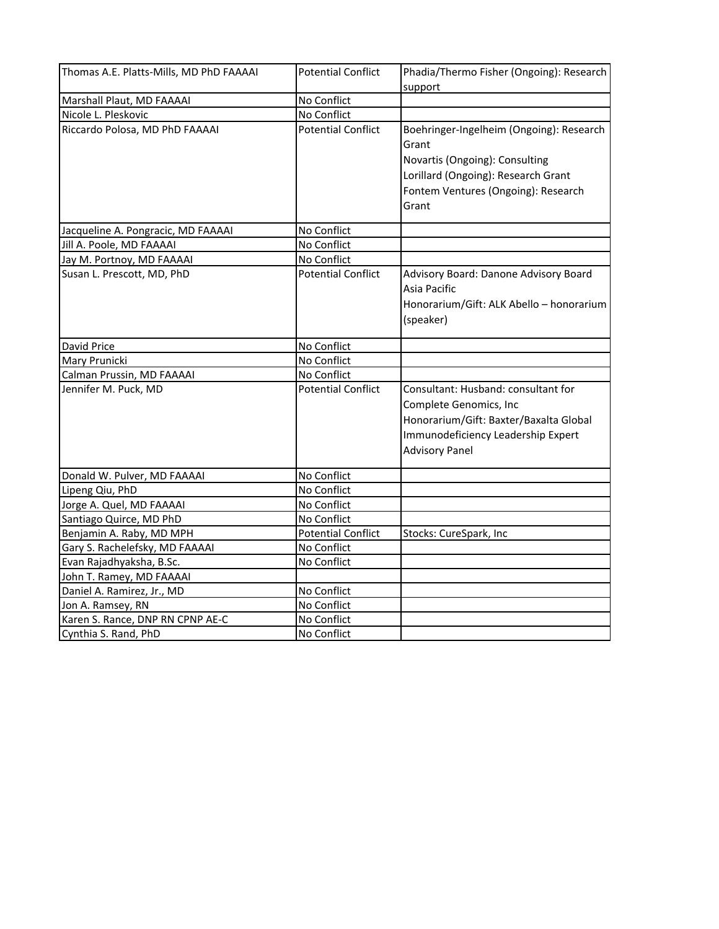| Thomas A.E. Platts-Mills, MD PhD FAAAAI | <b>Potential Conflict</b> | Phadia/Thermo Fisher (Ongoing): Research |
|-----------------------------------------|---------------------------|------------------------------------------|
|                                         |                           | support                                  |
| Marshall Plaut, MD FAAAAI               | No Conflict               |                                          |
| Nicole L. Pleskovic                     | No Conflict               |                                          |
| Riccardo Polosa, MD PhD FAAAAI          | <b>Potential Conflict</b> | Boehringer-Ingelheim (Ongoing): Research |
|                                         |                           | Grant                                    |
|                                         |                           | Novartis (Ongoing): Consulting           |
|                                         |                           | Lorillard (Ongoing): Research Grant      |
|                                         |                           | Fontem Ventures (Ongoing): Research      |
|                                         |                           | Grant                                    |
| Jacqueline A. Pongracic, MD FAAAAI      | No Conflict               |                                          |
| Jill A. Poole, MD FAAAAI                | No Conflict               |                                          |
| Jay M. Portnoy, MD FAAAAI               | No Conflict               |                                          |
| Susan L. Prescott, MD, PhD              | <b>Potential Conflict</b> | Advisory Board: Danone Advisory Board    |
|                                         |                           | Asia Pacific                             |
|                                         |                           | Honorarium/Gift: ALK Abello - honorarium |
|                                         |                           | (speaker)                                |
| David Price                             | No Conflict               |                                          |
| Mary Prunicki                           | No Conflict               |                                          |
| Calman Prussin, MD FAAAAI               | No Conflict               |                                          |
| Jennifer M. Puck, MD                    | <b>Potential Conflict</b> | Consultant: Husband: consultant for      |
|                                         |                           | Complete Genomics, Inc                   |
|                                         |                           |                                          |
|                                         |                           | Honorarium/Gift: Baxter/Baxalta Global   |
|                                         |                           | Immunodeficiency Leadership Expert       |
|                                         |                           | <b>Advisory Panel</b>                    |
| Donald W. Pulver, MD FAAAAI             | No Conflict               |                                          |
| Lipeng Qiu, PhD                         | No Conflict               |                                          |
| Jorge A. Quel, MD FAAAAI                | No Conflict               |                                          |
| Santiago Quirce, MD PhD                 | No Conflict               |                                          |
| Benjamin A. Raby, MD MPH                | <b>Potential Conflict</b> | Stocks: CureSpark, Inc                   |
| Gary S. Rachelefsky, MD FAAAAI          | No Conflict               |                                          |
| Evan Rajadhyaksha, B.Sc.                | No Conflict               |                                          |
| John T. Ramey, MD FAAAAI                |                           |                                          |
| Daniel A. Ramirez, Jr., MD              | No Conflict               |                                          |
| Jon A. Ramsey, RN                       | No Conflict               |                                          |
| Karen S. Rance, DNP RN CPNP AE-C        | No Conflict               |                                          |
| Cynthia S. Rand, PhD                    | No Conflict               |                                          |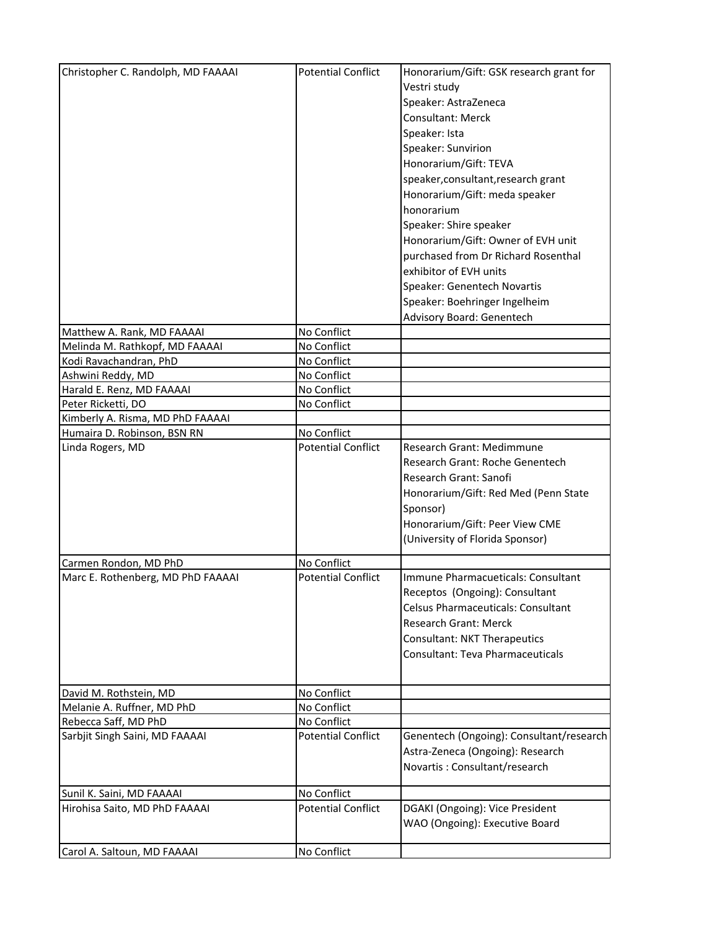| Christopher C. Randolph, MD FAAAAI | <b>Potential Conflict</b> | Honorarium/Gift: GSK research grant for  |
|------------------------------------|---------------------------|------------------------------------------|
|                                    |                           | Vestri study                             |
|                                    |                           | Speaker: AstraZeneca                     |
|                                    |                           | Consultant: Merck                        |
|                                    |                           |                                          |
|                                    |                           | Speaker: Ista                            |
|                                    |                           | Speaker: Sunvirion                       |
|                                    |                           | Honorarium/Gift: TEVA                    |
|                                    |                           | speaker, consultant, research grant      |
|                                    |                           | Honorarium/Gift: meda speaker            |
|                                    |                           | honorarium                               |
|                                    |                           | Speaker: Shire speaker                   |
|                                    |                           | Honorarium/Gift: Owner of EVH unit       |
|                                    |                           | purchased from Dr Richard Rosenthal      |
|                                    |                           | exhibitor of EVH units                   |
|                                    |                           | Speaker: Genentech Novartis              |
|                                    |                           | Speaker: Boehringer Ingelheim            |
|                                    |                           | Advisory Board: Genentech                |
| Matthew A. Rank, MD FAAAAI         | No Conflict               |                                          |
| Melinda M. Rathkopf, MD FAAAAI     | No Conflict               |                                          |
| Kodi Ravachandran, PhD             | No Conflict               |                                          |
| Ashwini Reddy, MD                  | No Conflict               |                                          |
| Harald E. Renz, MD FAAAAI          | No Conflict               |                                          |
| Peter Ricketti, DO                 | No Conflict               |                                          |
| Kimberly A. Risma, MD PhD FAAAAI   |                           |                                          |
| Humaira D. Robinson, BSN RN        | No Conflict               |                                          |
| Linda Rogers, MD                   | <b>Potential Conflict</b> | <b>Research Grant: Medimmune</b>         |
|                                    |                           | Research Grant: Roche Genentech          |
|                                    |                           | Research Grant: Sanofi                   |
|                                    |                           | Honorarium/Gift: Red Med (Penn State     |
|                                    |                           |                                          |
|                                    |                           | Sponsor)                                 |
|                                    |                           | Honorarium/Gift: Peer View CME           |
|                                    |                           | (University of Florida Sponsor)          |
| Carmen Rondon, MD PhD              | No Conflict               |                                          |
| Marc E. Rothenberg, MD PhD FAAAAI  | <b>Potential Conflict</b> | Immune Pharmacueticals: Consultant       |
|                                    |                           | Receptos (Ongoing): Consultant           |
|                                    |                           | Celsus Pharmaceuticals: Consultant       |
|                                    |                           | <b>Research Grant: Merck</b>             |
|                                    |                           | <b>Consultant: NKT Therapeutics</b>      |
|                                    |                           | Consultant: Teva Pharmaceuticals         |
|                                    |                           |                                          |
|                                    |                           |                                          |
| David M. Rothstein, MD             | No Conflict               |                                          |
| Melanie A. Ruffner, MD PhD         | No Conflict               |                                          |
| Rebecca Saff, MD PhD               | No Conflict               |                                          |
| Sarbjit Singh Saini, MD FAAAAI     | <b>Potential Conflict</b> | Genentech (Ongoing): Consultant/research |
|                                    |                           | Astra-Zeneca (Ongoing): Research         |
|                                    |                           | Novartis: Consultant/research            |
|                                    |                           |                                          |
| Sunil K. Saini, MD FAAAAI          | No Conflict               |                                          |
| Hirohisa Saito, MD PhD FAAAAI      | <b>Potential Conflict</b> | DGAKI (Ongoing): Vice President          |
|                                    |                           | WAO (Ongoing): Executive Board           |
|                                    |                           |                                          |
| Carol A. Saltoun, MD FAAAAI        | No Conflict               |                                          |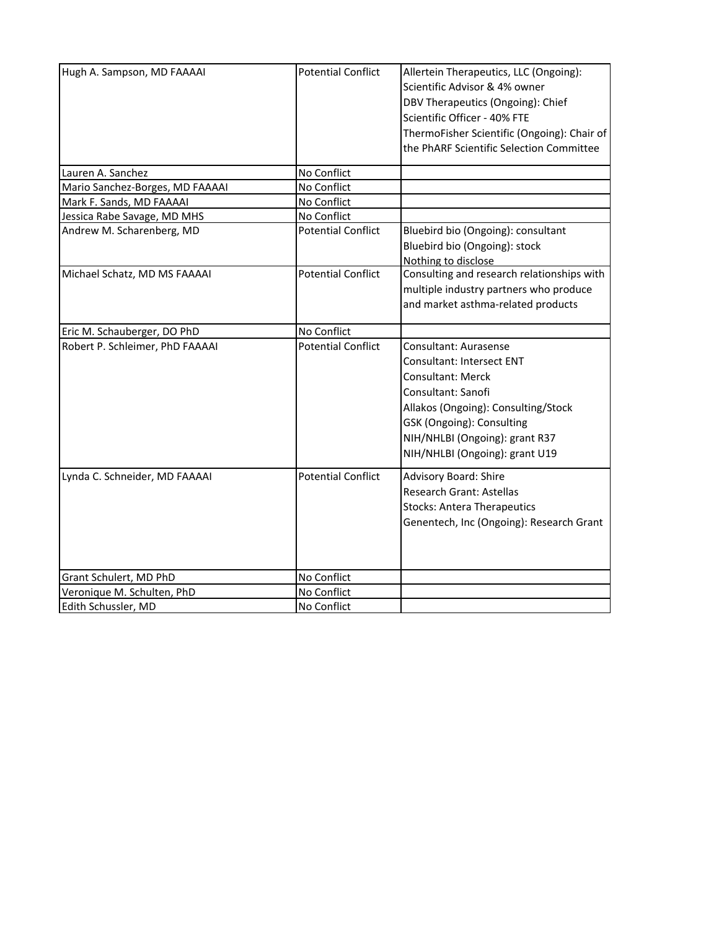| Hugh A. Sampson, MD FAAAAI      | <b>Potential Conflict</b> | Allertein Therapeutics, LLC (Ongoing):      |
|---------------------------------|---------------------------|---------------------------------------------|
|                                 |                           | Scientific Advisor & 4% owner               |
|                                 |                           | DBV Therapeutics (Ongoing): Chief           |
|                                 |                           | Scientific Officer - 40% FTE                |
|                                 |                           | ThermoFisher Scientific (Ongoing): Chair of |
|                                 |                           | the PhARF Scientific Selection Committee    |
|                                 |                           |                                             |
| Lauren A. Sanchez               | No Conflict               |                                             |
| Mario Sanchez-Borges, MD FAAAAI | No Conflict               |                                             |
| Mark F. Sands, MD FAAAAI        | No Conflict               |                                             |
| Jessica Rabe Savage, MD MHS     | No Conflict               |                                             |
| Andrew M. Scharenberg, MD       | <b>Potential Conflict</b> | Bluebird bio (Ongoing): consultant          |
|                                 |                           | Bluebird bio (Ongoing): stock               |
|                                 |                           | Nothing to disclose                         |
| Michael Schatz, MD MS FAAAAI    | <b>Potential Conflict</b> | Consulting and research relationships with  |
|                                 |                           | multiple industry partners who produce      |
|                                 |                           | and market asthma-related products          |
|                                 |                           |                                             |
| Eric M. Schauberger, DO PhD     | No Conflict               |                                             |
| Robert P. Schleimer, PhD FAAAAI | <b>Potential Conflict</b> | Consultant: Aurasense                       |
|                                 |                           | <b>Consultant: Intersect ENT</b>            |
|                                 |                           | <b>Consultant: Merck</b>                    |
|                                 |                           | Consultant: Sanofi                          |
|                                 |                           | Allakos (Ongoing): Consulting/Stock         |
|                                 |                           | GSK (Ongoing): Consulting                   |
|                                 |                           | NIH/NHLBI (Ongoing): grant R37              |
|                                 |                           |                                             |
|                                 |                           | NIH/NHLBI (Ongoing): grant U19              |
| Lynda C. Schneider, MD FAAAAI   | <b>Potential Conflict</b> | <b>Advisory Board: Shire</b>                |
|                                 |                           | <b>Research Grant: Astellas</b>             |
|                                 |                           | <b>Stocks: Antera Therapeutics</b>          |
|                                 |                           | Genentech, Inc (Ongoing): Research Grant    |
|                                 |                           |                                             |
|                                 |                           |                                             |
|                                 |                           |                                             |
| Grant Schulert, MD PhD          | No Conflict               |                                             |
| Veronique M. Schulten, PhD      | No Conflict               |                                             |
| Edith Schussler, MD             | No Conflict               |                                             |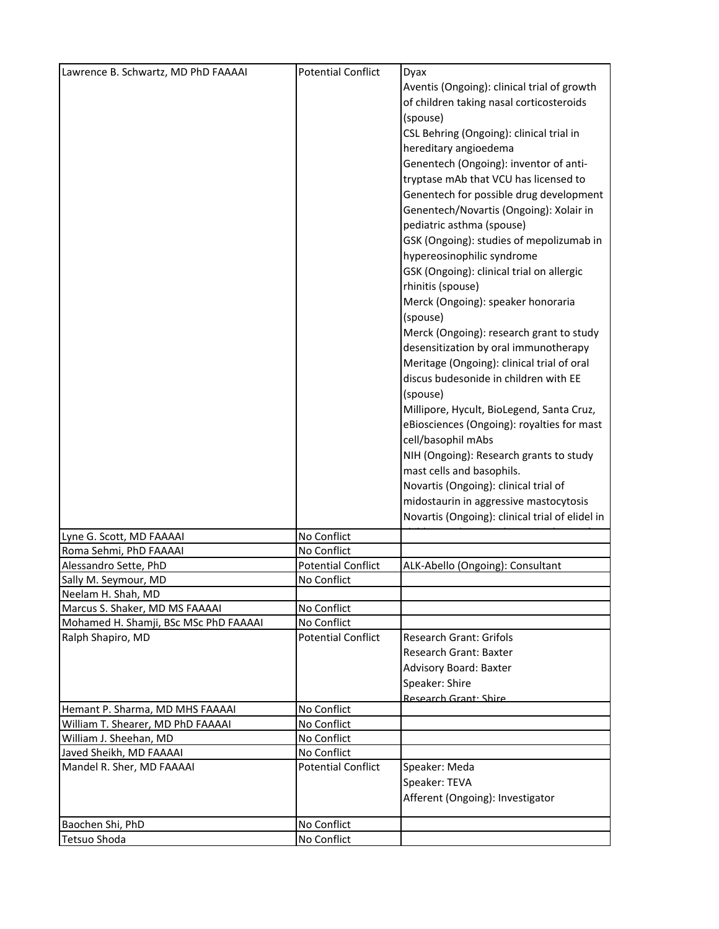| Lawrence B. Schwartz, MD PhD FAAAAI                  | <b>Potential Conflict</b> | Dyax                                            |
|------------------------------------------------------|---------------------------|-------------------------------------------------|
|                                                      |                           | Aventis (Ongoing): clinical trial of growth     |
|                                                      |                           |                                                 |
|                                                      |                           | of children taking nasal corticosteroids        |
|                                                      |                           | (spouse)                                        |
|                                                      |                           | CSL Behring (Ongoing): clinical trial in        |
|                                                      |                           | hereditary angioedema                           |
|                                                      |                           | Genentech (Ongoing): inventor of anti-          |
|                                                      |                           | tryptase mAb that VCU has licensed to           |
|                                                      |                           | Genentech for possible drug development         |
|                                                      |                           | Genentech/Novartis (Ongoing): Xolair in         |
|                                                      |                           | pediatric asthma (spouse)                       |
|                                                      |                           | GSK (Ongoing): studies of mepolizumab in        |
|                                                      |                           | hypereosinophilic syndrome                      |
|                                                      |                           | GSK (Ongoing): clinical trial on allergic       |
|                                                      |                           | rhinitis (spouse)                               |
|                                                      |                           | Merck (Ongoing): speaker honoraria              |
|                                                      |                           | (spouse)                                        |
|                                                      |                           | Merck (Ongoing): research grant to study        |
|                                                      |                           | desensitization by oral immunotherapy           |
|                                                      |                           | Meritage (Ongoing): clinical trial of oral      |
|                                                      |                           | discus budesonide in children with EE           |
|                                                      |                           | (spouse)                                        |
|                                                      |                           | Millipore, Hycult, BioLegend, Santa Cruz,       |
|                                                      |                           | eBiosciences (Ongoing): royalties for mast      |
|                                                      |                           | cell/basophil mAbs                              |
|                                                      |                           | NIH (Ongoing): Research grants to study         |
|                                                      |                           |                                                 |
|                                                      |                           | mast cells and basophils.                       |
|                                                      |                           | Novartis (Ongoing): clinical trial of           |
|                                                      |                           | midostaurin in aggressive mastocytosis          |
|                                                      |                           | Novartis (Ongoing): clinical trial of elidel in |
| Lyne G. Scott, MD FAAAAI                             | No Conflict               |                                                 |
| Roma Sehmi, PhD FAAAAI                               | No Conflict               |                                                 |
| Alessandro Sette, PhD                                | <b>Potential Conflict</b> | ALK-Abello (Ongoing): Consultant                |
| Sally M. Seymour, MD                                 | No Conflict               |                                                 |
| Neelam H. Shah, MD<br>Marcus S. Shaker, MD MS FAAAAI | No Conflict               |                                                 |
| Mohamed H. Shamji, BSc MSc PhD FAAAAI                | No Conflict               |                                                 |
| Ralph Shapiro, MD                                    | <b>Potential Conflict</b> | <b>Research Grant: Grifols</b>                  |
|                                                      |                           | Research Grant: Baxter                          |
|                                                      |                           | Advisory Board: Baxter                          |
|                                                      |                           | Speaker: Shire                                  |
|                                                      |                           | Research Grant: Shire                           |
| Hemant P. Sharma, MD MHS FAAAAI                      | No Conflict               |                                                 |
| William T. Shearer, MD PhD FAAAAI                    | No Conflict               |                                                 |
| William J. Sheehan, MD                               | No Conflict               |                                                 |
| Javed Sheikh, MD FAAAAI                              | No Conflict               |                                                 |
| Mandel R. Sher, MD FAAAAI                            | <b>Potential Conflict</b> | Speaker: Meda                                   |
|                                                      |                           | Speaker: TEVA                                   |
|                                                      |                           | Afferent (Ongoing): Investigator                |
| Baochen Shi, PhD                                     | No Conflict               |                                                 |
| <b>Tetsuo Shoda</b>                                  | No Conflict               |                                                 |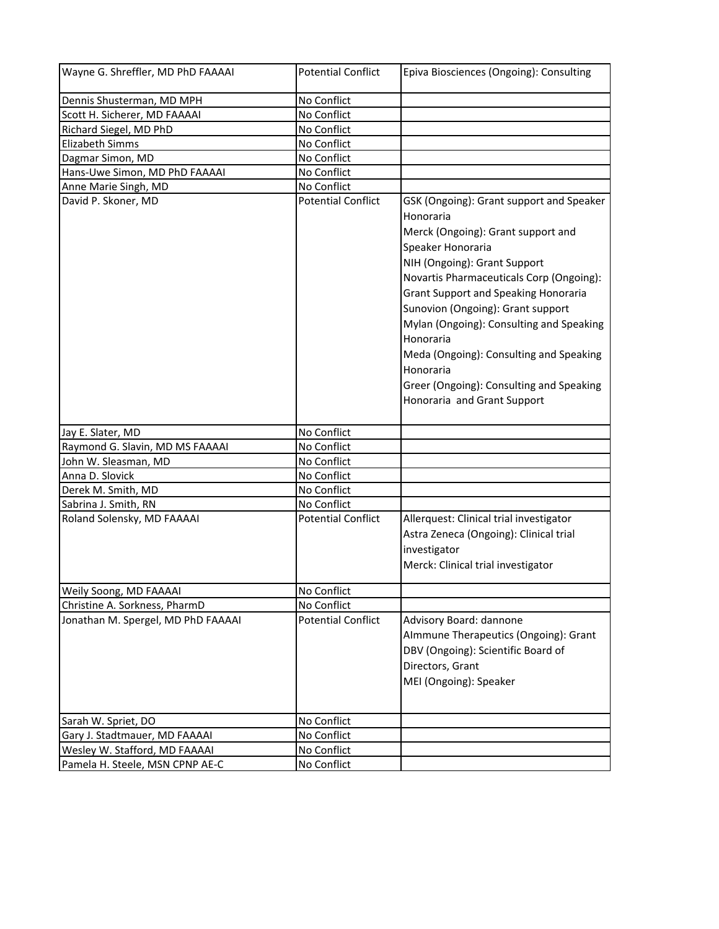| Wayne G. Shreffler, MD PhD FAAAAI  | <b>Potential Conflict</b> | Epiva Biosciences (Ongoing): Consulting                                                                                                                                                                                                                                                                                      |
|------------------------------------|---------------------------|------------------------------------------------------------------------------------------------------------------------------------------------------------------------------------------------------------------------------------------------------------------------------------------------------------------------------|
| Dennis Shusterman, MD MPH          | No Conflict               |                                                                                                                                                                                                                                                                                                                              |
| Scott H. Sicherer, MD FAAAAI       | No Conflict               |                                                                                                                                                                                                                                                                                                                              |
| Richard Siegel, MD PhD             | No Conflict               |                                                                                                                                                                                                                                                                                                                              |
| <b>Elizabeth Simms</b>             | No Conflict               |                                                                                                                                                                                                                                                                                                                              |
| Dagmar Simon, MD                   | No Conflict               |                                                                                                                                                                                                                                                                                                                              |
| Hans-Uwe Simon, MD PhD FAAAAI      | No Conflict               |                                                                                                                                                                                                                                                                                                                              |
| Anne Marie Singh, MD               | No Conflict               |                                                                                                                                                                                                                                                                                                                              |
| David P. Skoner, MD                | <b>Potential Conflict</b> | GSK (Ongoing): Grant support and Speaker<br>Honoraria<br>Merck (Ongoing): Grant support and<br>Speaker Honoraria<br>NIH (Ongoing): Grant Support<br>Novartis Pharmaceuticals Corp (Ongoing):<br><b>Grant Support and Speaking Honoraria</b><br>Sunovion (Ongoing): Grant support<br>Mylan (Ongoing): Consulting and Speaking |
|                                    |                           | Honoraria<br>Meda (Ongoing): Consulting and Speaking<br>Honoraria<br>Greer (Ongoing): Consulting and Speaking<br>Honoraria and Grant Support                                                                                                                                                                                 |
| Jay E. Slater, MD                  | No Conflict               |                                                                                                                                                                                                                                                                                                                              |
| Raymond G. Slavin, MD MS FAAAAI    | No Conflict               |                                                                                                                                                                                                                                                                                                                              |
| John W. Sleasman, MD               | No Conflict               |                                                                                                                                                                                                                                                                                                                              |
| Anna D. Slovick                    | No Conflict               |                                                                                                                                                                                                                                                                                                                              |
| Derek M. Smith, MD                 | No Conflict               |                                                                                                                                                                                                                                                                                                                              |
| Sabrina J. Smith, RN               | No Conflict               |                                                                                                                                                                                                                                                                                                                              |
| Roland Solensky, MD FAAAAI         | <b>Potential Conflict</b> | Allerquest: Clinical trial investigator<br>Astra Zeneca (Ongoing): Clinical trial<br>investigator<br>Merck: Clinical trial investigator                                                                                                                                                                                      |
| Weily Soong, MD FAAAAI             | No Conflict               |                                                                                                                                                                                                                                                                                                                              |
| Christine A. Sorkness, PharmD      | No Conflict               |                                                                                                                                                                                                                                                                                                                              |
| Jonathan M. Spergel, MD PhD FAAAAI | <b>Potential Conflict</b> | Advisory Board: dannone<br>Almmune Therapeutics (Ongoing): Grant<br>DBV (Ongoing): Scientific Board of<br>Directors, Grant<br>MEI (Ongoing): Speaker                                                                                                                                                                         |
| Sarah W. Spriet, DO                | No Conflict               |                                                                                                                                                                                                                                                                                                                              |
| Gary J. Stadtmauer, MD FAAAAI      | No Conflict               |                                                                                                                                                                                                                                                                                                                              |
| Wesley W. Stafford, MD FAAAAI      | No Conflict               |                                                                                                                                                                                                                                                                                                                              |
| Pamela H. Steele, MSN CPNP AE-C    | No Conflict               |                                                                                                                                                                                                                                                                                                                              |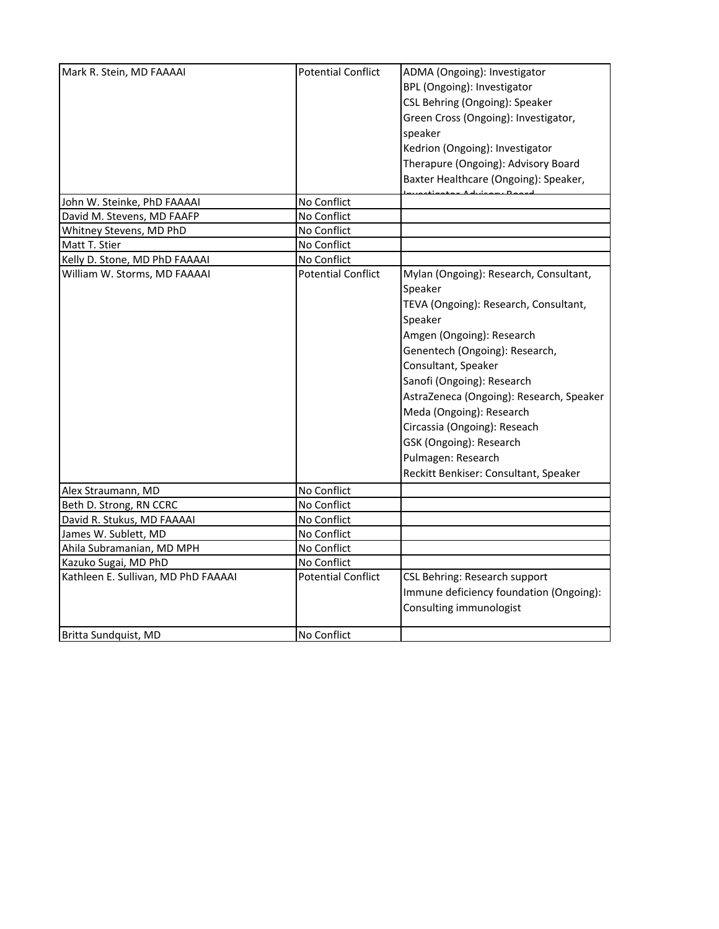| Mark R. Stein, MD FAAAAI                      | <b>Potential Conflict</b> | ADMA (Ongoing): Investigator             |
|-----------------------------------------------|---------------------------|------------------------------------------|
|                                               |                           | BPL (Ongoing): Investigator              |
|                                               |                           | CSL Behring (Ongoing): Speaker           |
|                                               |                           | Green Cross (Ongoing): Investigator,     |
|                                               |                           | speaker                                  |
|                                               |                           | Kedrion (Ongoing): Investigator          |
|                                               |                           |                                          |
|                                               |                           | Therapure (Ongoing): Advisory Board      |
|                                               |                           | Baxter Healthcare (Ongoing): Speaker,    |
| John W. Steinke, PhD FAAAAI                   | No Conflict               |                                          |
| David M. Stevens, MD FAAFP                    | No Conflict               |                                          |
| Whitney Stevens, MD PhD                       | No Conflict               |                                          |
| Matt T. Stier                                 | No Conflict               |                                          |
| Kelly D. Stone, MD PhD FAAAAI                 | No Conflict               |                                          |
| William W. Storms, MD FAAAAI                  | <b>Potential Conflict</b> | Mylan (Ongoing): Research, Consultant,   |
|                                               |                           | Speaker                                  |
|                                               |                           | TEVA (Ongoing): Research, Consultant,    |
|                                               |                           | Speaker                                  |
|                                               |                           | Amgen (Ongoing): Research                |
|                                               |                           | Genentech (Ongoing): Research,           |
|                                               |                           | Consultant, Speaker                      |
|                                               |                           | Sanofi (Ongoing): Research               |
|                                               |                           | AstraZeneca (Ongoing): Research, Speaker |
|                                               |                           | Meda (Ongoing): Research                 |
|                                               |                           | Circassia (Ongoing): Reseach             |
|                                               |                           | GSK (Ongoing): Research                  |
|                                               |                           | Pulmagen: Research                       |
|                                               |                           | Reckitt Benkiser: Consultant, Speaker    |
|                                               | No Conflict               |                                          |
| Alex Straumann, MD<br>Beth D. Strong, RN CCRC | No Conflict               |                                          |
| David R. Stukus, MD FAAAAI                    | No Conflict               |                                          |
| James W. Sublett, MD                          | No Conflict               |                                          |
| Ahila Subramanian, MD MPH                     | No Conflict               |                                          |
| Kazuko Sugai, MD PhD                          | No Conflict               |                                          |
| Kathleen E. Sullivan, MD PhD FAAAAI           | <b>Potential Conflict</b> | CSL Behring: Research support            |
|                                               |                           | Immune deficiency foundation (Ongoing):  |
|                                               |                           | Consulting immunologist                  |
|                                               |                           |                                          |
| Britta Sundquist, MD                          | No Conflict               |                                          |
|                                               |                           |                                          |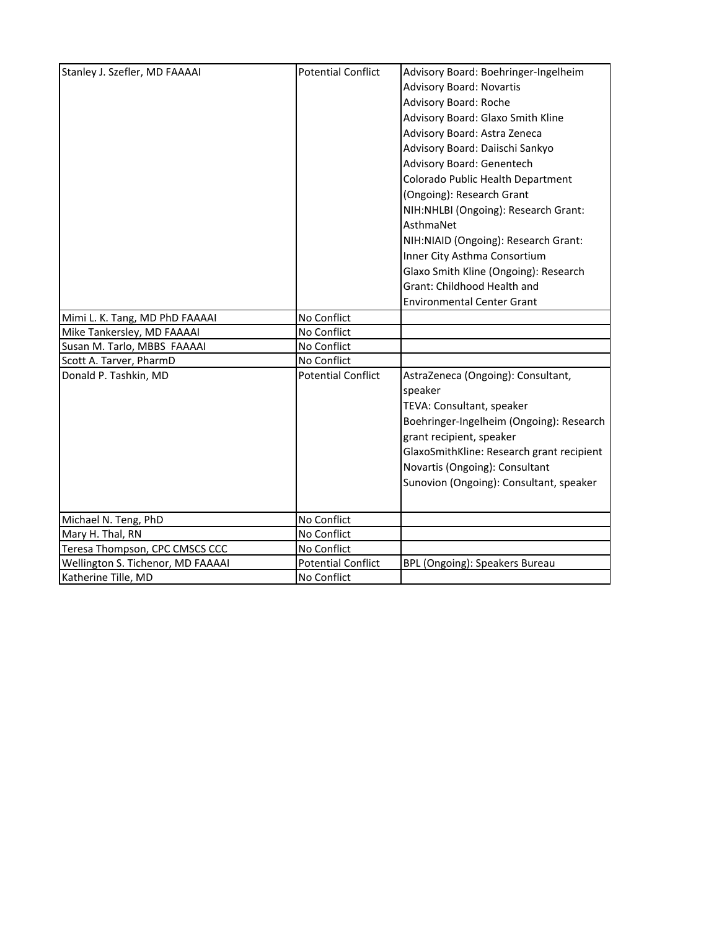| Stanley J. Szefler, MD FAAAAI     | <b>Potential Conflict</b> | Advisory Board: Boehringer-Ingelheim      |
|-----------------------------------|---------------------------|-------------------------------------------|
|                                   |                           | <b>Advisory Board: Novartis</b>           |
|                                   |                           | Advisory Board: Roche                     |
|                                   |                           | Advisory Board: Glaxo Smith Kline         |
|                                   |                           | Advisory Board: Astra Zeneca              |
|                                   |                           | Advisory Board: Daiischi Sankyo           |
|                                   |                           | Advisory Board: Genentech                 |
|                                   |                           | Colorado Public Health Department         |
|                                   |                           | (Ongoing): Research Grant                 |
|                                   |                           | NIH:NHLBI (Ongoing): Research Grant:      |
|                                   |                           | AsthmaNet                                 |
|                                   |                           | NIH:NIAID (Ongoing): Research Grant:      |
|                                   |                           | Inner City Asthma Consortium              |
|                                   |                           | Glaxo Smith Kline (Ongoing): Research     |
|                                   |                           | Grant: Childhood Health and               |
|                                   |                           | <b>Environmental Center Grant</b>         |
| Mimi L. K. Tang, MD PhD FAAAAI    | No Conflict               |                                           |
| Mike Tankersley, MD FAAAAI        | No Conflict               |                                           |
| Susan M. Tarlo, MBBS FAAAAI       | No Conflict               |                                           |
| Scott A. Tarver, PharmD           | No Conflict               |                                           |
| Donald P. Tashkin, MD             | <b>Potential Conflict</b> | AstraZeneca (Ongoing): Consultant,        |
|                                   |                           | speaker                                   |
|                                   |                           | TEVA: Consultant, speaker                 |
|                                   |                           | Boehringer-Ingelheim (Ongoing): Research  |
|                                   |                           | grant recipient, speaker                  |
|                                   |                           | GlaxoSmithKline: Research grant recipient |
|                                   |                           | Novartis (Ongoing): Consultant            |
|                                   |                           | Sunovion (Ongoing): Consultant, speaker   |
|                                   |                           |                                           |
| Michael N. Teng, PhD              | No Conflict               |                                           |
| Mary H. Thal, RN                  | No Conflict               |                                           |
| Teresa Thompson, CPC CMSCS CCC    | No Conflict               |                                           |
| Wellington S. Tichenor, MD FAAAAI | <b>Potential Conflict</b> | BPL (Ongoing): Speakers Bureau            |
| Katherine Tille, MD               | No Conflict               |                                           |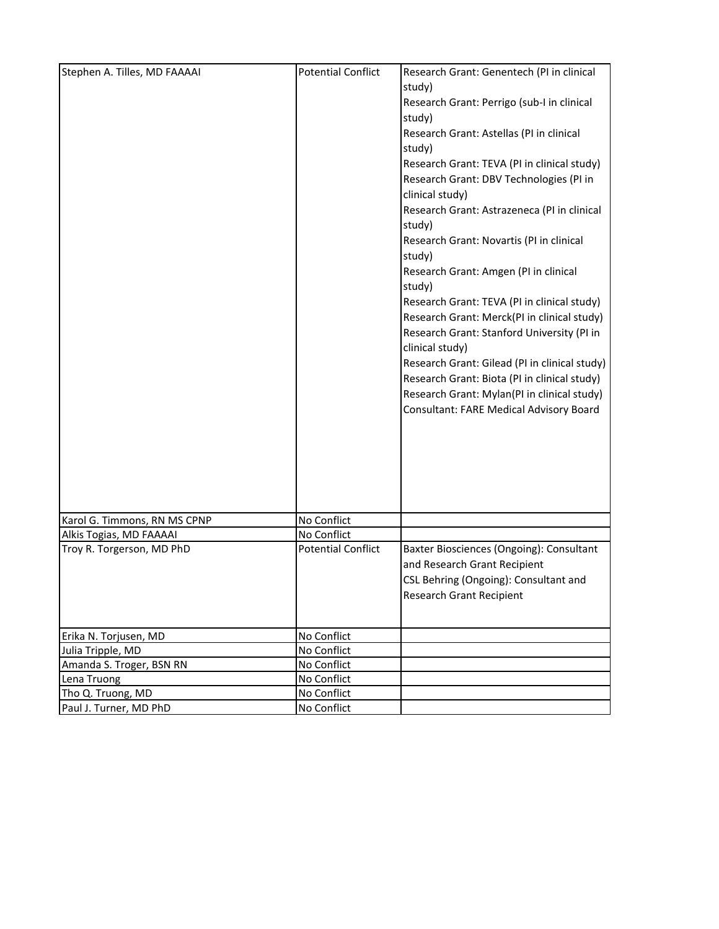| Stephen A. Tilles, MD FAAAAI | <b>Potential Conflict</b> | Research Grant: Genentech (PI in clinical                  |
|------------------------------|---------------------------|------------------------------------------------------------|
|                              |                           | study)                                                     |
|                              |                           | Research Grant: Perrigo (sub-I in clinical                 |
|                              |                           | study)                                                     |
|                              |                           | Research Grant: Astellas (PI in clinical                   |
|                              |                           | study)                                                     |
|                              |                           | Research Grant: TEVA (PI in clinical study)                |
|                              |                           | Research Grant: DBV Technologies (PI in<br>clinical study) |
|                              |                           | Research Grant: Astrazeneca (PI in clinical                |
|                              |                           | study)                                                     |
|                              |                           | Research Grant: Novartis (PI in clinical<br>study)         |
|                              |                           | Research Grant: Amgen (PI in clinical                      |
|                              |                           | study)                                                     |
|                              |                           | Research Grant: TEVA (PI in clinical study)                |
|                              |                           | Research Grant: Merck(PI in clinical study)                |
|                              |                           | Research Grant: Stanford University (PI in                 |
|                              |                           | clinical study)                                            |
|                              |                           | Research Grant: Gilead (PI in clinical study)              |
|                              |                           | Research Grant: Biota (PI in clinical study)               |
|                              |                           | Research Grant: Mylan(PI in clinical study)                |
|                              |                           | Consultant: FARE Medical Advisory Board                    |
|                              |                           |                                                            |
|                              |                           |                                                            |
|                              |                           |                                                            |
|                              |                           |                                                            |
|                              |                           |                                                            |
|                              |                           |                                                            |
| Karol G. Timmons, RN MS CPNP | No Conflict               |                                                            |
| Alkis Togias, MD FAAAAI      | No Conflict               |                                                            |
| Troy R. Torgerson, MD PhD    | <b>Potential Conflict</b> | Baxter Biosciences (Ongoing): Consultant                   |
|                              |                           | and Research Grant Recipient                               |
|                              |                           | CSL Behring (Ongoing): Consultant and                      |
|                              |                           | <b>Research Grant Recipient</b>                            |
|                              |                           |                                                            |
| Erika N. Torjusen, MD        | No Conflict               |                                                            |
| Julia Tripple, MD            | No Conflict               |                                                            |
| Amanda S. Troger, BSN RN     | No Conflict               |                                                            |
| Lena Truong                  | No Conflict               |                                                            |
| Tho Q. Truong, MD            | No Conflict               |                                                            |
| Paul J. Turner, MD PhD       | No Conflict               |                                                            |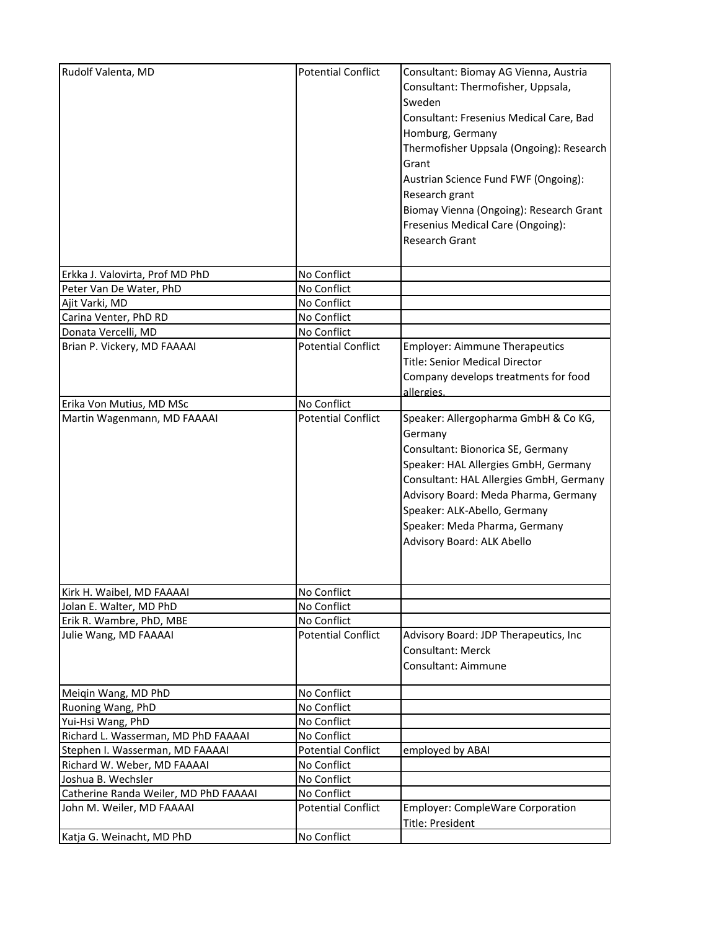| Rudolf Valenta, MD                                                 | <b>Potential Conflict</b>                | Consultant: Biomay AG Vienna, Austria<br>Consultant: Thermofisher, Uppsala,<br>Sweden<br>Consultant: Fresenius Medical Care, Bad<br>Homburg, Germany<br>Thermofisher Uppsala (Ongoing): Research<br>Grant<br>Austrian Science Fund FWF (Ongoing):<br>Research grant<br>Biomay Vienna (Ongoing): Research Grant<br>Fresenius Medical Care (Ongoing):<br>Research Grant |
|--------------------------------------------------------------------|------------------------------------------|-----------------------------------------------------------------------------------------------------------------------------------------------------------------------------------------------------------------------------------------------------------------------------------------------------------------------------------------------------------------------|
| Erkka J. Valovirta, Prof MD PhD                                    | No Conflict                              |                                                                                                                                                                                                                                                                                                                                                                       |
| Peter Van De Water, PhD                                            | No Conflict                              |                                                                                                                                                                                                                                                                                                                                                                       |
| Ajit Varki, MD                                                     | No Conflict                              |                                                                                                                                                                                                                                                                                                                                                                       |
| Carina Venter, PhD RD                                              | No Conflict                              |                                                                                                                                                                                                                                                                                                                                                                       |
| Donata Vercelli, MD                                                | No Conflict                              |                                                                                                                                                                                                                                                                                                                                                                       |
| Brian P. Vickery, MD FAAAAI                                        | <b>Potential Conflict</b>                | <b>Employer: Aimmune Therapeutics</b><br><b>Title: Senior Medical Director</b><br>Company develops treatments for food<br>allergies.                                                                                                                                                                                                                                  |
| Erika Von Mutius, MD MSc                                           | No Conflict                              |                                                                                                                                                                                                                                                                                                                                                                       |
| Martin Wagenmann, MD FAAAAI                                        | <b>Potential Conflict</b>                | Speaker: Allergopharma GmbH & Co KG,<br>Germany<br>Consultant: Bionorica SE, Germany<br>Speaker: HAL Allergies GmbH, Germany<br>Consultant: HAL Allergies GmbH, Germany<br>Advisory Board: Meda Pharma, Germany<br>Speaker: ALK-Abello, Germany<br>Speaker: Meda Pharma, Germany<br>Advisory Board: ALK Abello                                                        |
| Kirk H. Waibel, MD FAAAAI                                          | No Conflict                              |                                                                                                                                                                                                                                                                                                                                                                       |
| Jolan E. Walter, MD PhD                                            | No Conflict                              |                                                                                                                                                                                                                                                                                                                                                                       |
| Erik R. Wambre, PhD, MBE                                           | No Conflict                              |                                                                                                                                                                                                                                                                                                                                                                       |
| Julie Wang, MD FAAAAI                                              | <b>Potential Conflict</b>                | Advisory Board: JDP Therapeutics, Inc<br>Consultant: Merck<br>Consultant: Aimmune                                                                                                                                                                                                                                                                                     |
| Meiqin Wang, MD PhD                                                | No Conflict                              |                                                                                                                                                                                                                                                                                                                                                                       |
| Ruoning Wang, PhD                                                  | No Conflict                              |                                                                                                                                                                                                                                                                                                                                                                       |
| Yui-Hsi Wang, PhD                                                  | No Conflict                              |                                                                                                                                                                                                                                                                                                                                                                       |
| Richard L. Wasserman, MD PhD FAAAAI                                | No Conflict                              |                                                                                                                                                                                                                                                                                                                                                                       |
| Stephen I. Wasserman, MD FAAAAI                                    | <b>Potential Conflict</b>                | employed by ABAI                                                                                                                                                                                                                                                                                                                                                      |
| Richard W. Weber, MD FAAAAI                                        | No Conflict                              |                                                                                                                                                                                                                                                                                                                                                                       |
| Joshua B. Wechsler                                                 | No Conflict                              |                                                                                                                                                                                                                                                                                                                                                                       |
| Catherine Randa Weiler, MD PhD FAAAAI<br>John M. Weiler, MD FAAAAI | No Conflict<br><b>Potential Conflict</b> | Employer: CompleWare Corporation<br>Title: President                                                                                                                                                                                                                                                                                                                  |
| Katja G. Weinacht, MD PhD                                          | No Conflict                              |                                                                                                                                                                                                                                                                                                                                                                       |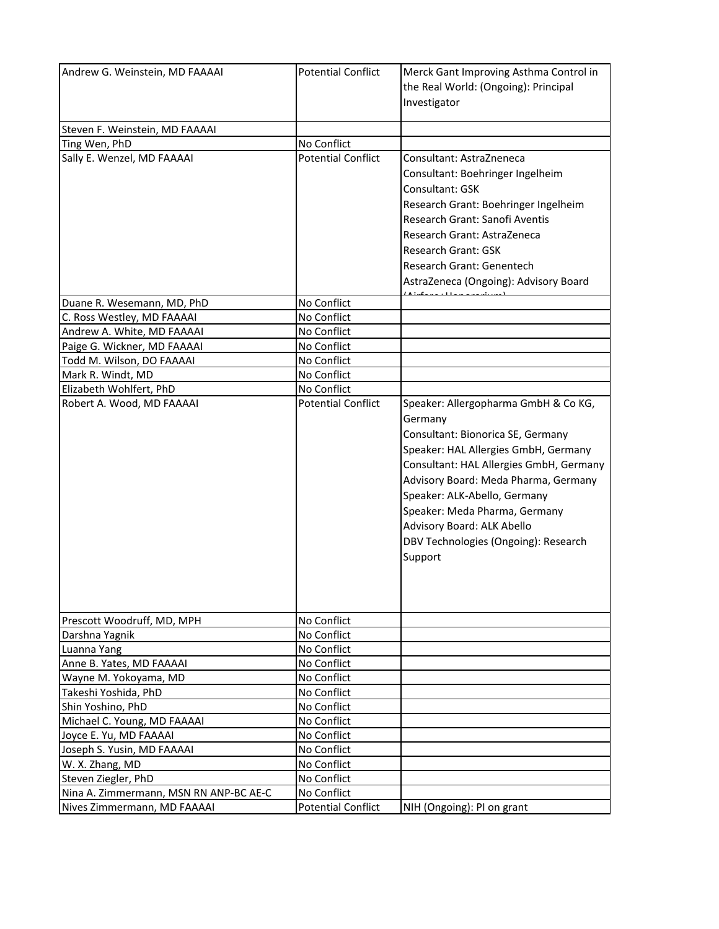| Andrew G. Weinstein, MD FAAAAI                          | <b>Potential Conflict</b>                | Merck Gant Improving Asthma Control in<br>the Real World: (Ongoing): Principal<br>Investigator                                                                                                                                                                                                                                                                    |
|---------------------------------------------------------|------------------------------------------|-------------------------------------------------------------------------------------------------------------------------------------------------------------------------------------------------------------------------------------------------------------------------------------------------------------------------------------------------------------------|
| Steven F. Weinstein, MD FAAAAI                          |                                          |                                                                                                                                                                                                                                                                                                                                                                   |
| Ting Wen, PhD                                           | No Conflict                              |                                                                                                                                                                                                                                                                                                                                                                   |
| Sally E. Wenzel, MD FAAAAI                              | <b>Potential Conflict</b>                | Consultant: AstraZneneca<br>Consultant: Boehringer Ingelheim<br>Consultant: GSK<br>Research Grant: Boehringer Ingelheim<br>Research Grant: Sanofi Aventis<br>Research Grant: AstraZeneca<br><b>Research Grant: GSK</b><br>Research Grant: Genentech<br>AstraZeneca (Ongoing): Advisory Board                                                                      |
| Duane R. Wesemann, MD, PhD                              | No Conflict                              |                                                                                                                                                                                                                                                                                                                                                                   |
| C. Ross Westley, MD FAAAAI                              | No Conflict                              |                                                                                                                                                                                                                                                                                                                                                                   |
| Andrew A. White, MD FAAAAI                              | No Conflict                              |                                                                                                                                                                                                                                                                                                                                                                   |
| Paige G. Wickner, MD FAAAAI                             | No Conflict                              |                                                                                                                                                                                                                                                                                                                                                                   |
| Todd M. Wilson, DO FAAAAI                               | No Conflict                              |                                                                                                                                                                                                                                                                                                                                                                   |
| Mark R. Windt, MD                                       | No Conflict                              |                                                                                                                                                                                                                                                                                                                                                                   |
| Elizabeth Wohlfert, PhD                                 | No Conflict                              |                                                                                                                                                                                                                                                                                                                                                                   |
| Robert A. Wood, MD FAAAAI<br>Prescott Woodruff, MD, MPH | <b>Potential Conflict</b><br>No Conflict | Speaker: Allergopharma GmbH & Co KG,<br>Germany<br>Consultant: Bionorica SE, Germany<br>Speaker: HAL Allergies GmbH, Germany<br>Consultant: HAL Allergies GmbH, Germany<br>Advisory Board: Meda Pharma, Germany<br>Speaker: ALK-Abello, Germany<br>Speaker: Meda Pharma, Germany<br>Advisory Board: ALK Abello<br>DBV Technologies (Ongoing): Research<br>Support |
|                                                         |                                          |                                                                                                                                                                                                                                                                                                                                                                   |
| Darshna Yagnik<br>Luanna Yang                           | No Conflict<br>No Conflict               |                                                                                                                                                                                                                                                                                                                                                                   |
| Anne B. Yates, MD FAAAAI                                | No Conflict                              |                                                                                                                                                                                                                                                                                                                                                                   |
| Wayne M. Yokoyama, MD                                   | No Conflict                              |                                                                                                                                                                                                                                                                                                                                                                   |
| Takeshi Yoshida, PhD                                    | No Conflict                              |                                                                                                                                                                                                                                                                                                                                                                   |
| Shin Yoshino, PhD                                       | No Conflict                              |                                                                                                                                                                                                                                                                                                                                                                   |
| Michael C. Young, MD FAAAAI                             | No Conflict                              |                                                                                                                                                                                                                                                                                                                                                                   |
| Joyce E. Yu, MD FAAAAI                                  | No Conflict                              |                                                                                                                                                                                                                                                                                                                                                                   |
| Joseph S. Yusin, MD FAAAAI                              | No Conflict                              |                                                                                                                                                                                                                                                                                                                                                                   |
| W. X. Zhang, MD                                         | No Conflict                              |                                                                                                                                                                                                                                                                                                                                                                   |
| Steven Ziegler, PhD                                     | No Conflict                              |                                                                                                                                                                                                                                                                                                                                                                   |
| Nina A. Zimmermann, MSN RN ANP-BC AE-C                  | No Conflict                              |                                                                                                                                                                                                                                                                                                                                                                   |
| Nives Zimmermann, MD FAAAAI                             | <b>Potential Conflict</b>                | NIH (Ongoing): PI on grant                                                                                                                                                                                                                                                                                                                                        |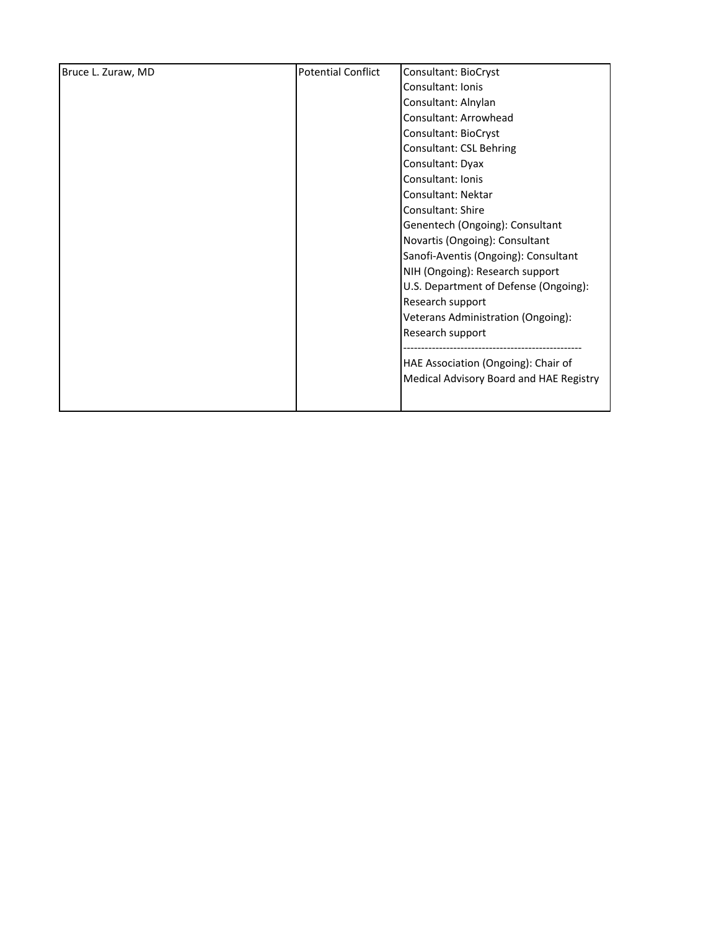| Bruce L. Zuraw, MD | <b>Potential Conflict</b> | Consultant: BioCryst                    |
|--------------------|---------------------------|-----------------------------------------|
|                    |                           | Consultant: Ionis                       |
|                    |                           | Consultant: Alnylan                     |
|                    |                           | Consultant: Arrowhead                   |
|                    |                           | Consultant: BioCryst                    |
|                    |                           | Consultant: CSL Behring                 |
|                    |                           | Consultant: Dyax                        |
|                    |                           | Consultant: Ionis                       |
|                    |                           | Consultant: Nektar                      |
|                    |                           | Consultant: Shire                       |
|                    |                           | Genentech (Ongoing): Consultant         |
|                    |                           | Novartis (Ongoing): Consultant          |
|                    |                           | Sanofi-Aventis (Ongoing): Consultant    |
|                    |                           | NIH (Ongoing): Research support         |
|                    |                           | U.S. Department of Defense (Ongoing):   |
|                    |                           | Research support                        |
|                    |                           | Veterans Administration (Ongoing):      |
|                    |                           | Research support                        |
|                    |                           |                                         |
|                    |                           | HAE Association (Ongoing): Chair of     |
|                    |                           | Medical Advisory Board and HAE Registry |
|                    |                           |                                         |
|                    |                           |                                         |